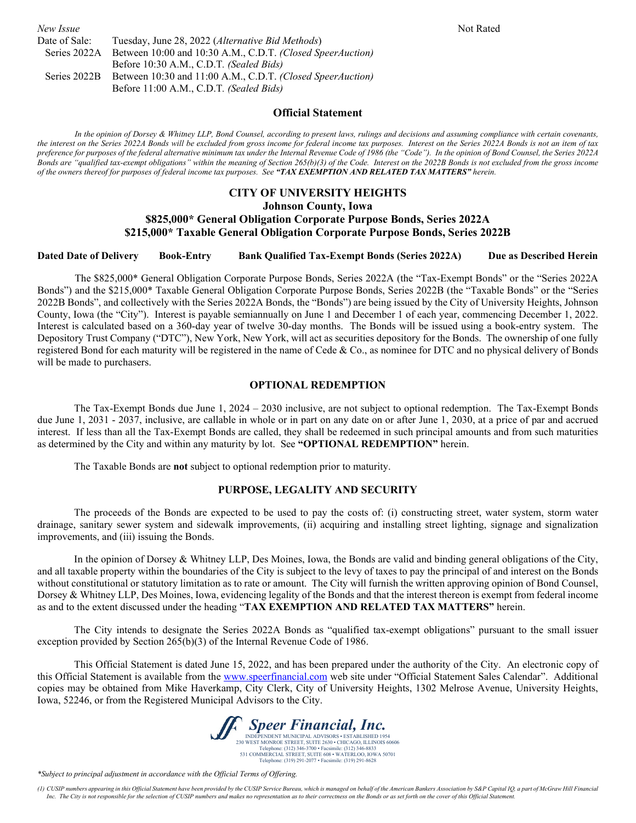|                                                                         | Not Rated |
|-------------------------------------------------------------------------|-----------|
| Tuesday, June 28, 2022 (Alternative Bid Methods)                        |           |
| Series 2022A Between 10:00 and 10:30 A.M., C.D.T. (Closed SpeerAuction) |           |
| Before 10:30 A.M., C.D.T. (Sealed Bids)                                 |           |
| Between 10:30 and 11:00 A.M., C.D.T. (Closed SpeerAuction)              |           |
| Before 11:00 A.M., C.D.T. (Sealed Bids)                                 |           |
|                                                                         |           |

#### **Official Statement**

*In the opinion of Dorsey & Whitney LLP, Bond Counsel, according to present laws, rulings and decisions and assuming compliance with certain covenants, the interest on the Series 2022A Bonds will be excluded from gross income for federal income tax purposes. Interest on the Series 2022A Bonds is not an item of tax preference for purposes of the federal alternative minimum tax under the Internal Revenue Code of 1986 (the "Code"). In the opinion of Bond Counsel, the Series 2022A Bonds are "qualified tax-exempt obligations" within the meaning of Section 265(b)(3) of the Code. Interest on the 2022B Bonds is not excluded from the gross income of the owners thereof for purposes of federal income tax purposes. See "TAX EXEMPTION AND RELATED TAX MATTERS" herein.*

#### **CITY OF UNIVERSITY HEIGHTS**

**Johnson County, Iowa**

#### **\$825,000\* General Obligation Corporate Purpose Bonds, Series 2022A \$215,000\* Taxable General Obligation Corporate Purpose Bonds, Series 2022B**

#### **Dated Date of Delivery Book-Entry Bank Qualified Tax-Exempt Bonds (Series 2022A) Due as Described Herein**

The \$825,000\* General Obligation Corporate Purpose Bonds, Series 2022A (the "Tax-Exempt Bonds" or the "Series 2022A Bonds") and the \$215,000\* Taxable General Obligation Corporate Purpose Bonds, Series 2022B (the "Taxable Bonds" or the "Series 2022B Bonds", and collectively with the Series 2022A Bonds, the "Bonds") are being issued by the City of University Heights, Johnson County, Iowa (the "City"). Interest is payable semiannually on June 1 and December 1 of each year, commencing December 1, 2022. Interest is calculated based on a 360-day year of twelve 30-day months. The Bonds will be issued using a book-entry system. The Depository Trust Company ("DTC"), New York, New York, will act as securities depository for the Bonds. The ownership of one fully registered Bond for each maturity will be registered in the name of Cede & Co., as nominee for DTC and no physical delivery of Bonds will be made to purchasers.

#### **OPTIONAL REDEMPTION**

The Tax-Exempt Bonds due June 1, 2024 – 2030 inclusive, are not subject to optional redemption. The Tax-Exempt Bonds due June 1, 2031 - 2037, inclusive, are callable in whole or in part on any date on or after June 1, 2030, at a price of par and accrued interest. If less than all the Tax-Exempt Bonds are called, they shall be redeemed in such principal amounts and from such maturities as determined by the City and within any maturity by lot. See **"OPTIONAL REDEMPTION"** herein.

The Taxable Bonds are **not** subject to optional redemption prior to maturity.

#### **PURPOSE, LEGALITY AND SECURITY**

The proceeds of the Bonds are expected to be used to pay the costs of: (i) constructing street, water system, storm water drainage, sanitary sewer system and sidewalk improvements, (ii) acquiring and installing street lighting, signage and signalization improvements, and (iii) issuing the Bonds.

In the opinion of Dorsey & Whitney LLP, Des Moines, Iowa, the Bonds are valid and binding general obligations of the City, and all taxable property within the boundaries of the City is subject to the levy of taxes to pay the principal of and interest on the Bonds without constitutional or statutory limitation as to rate or amount. The City will furnish the written approving opinion of Bond Counsel, Dorsey & Whitney LLP, Des Moines, Iowa, evidencing legality of the Bonds and that the interest thereon is exempt from federal income as and to the extent discussed under the heading "**TAX EXEMPTION AND RELATED TAX MATTERS"** herein.

The City intends to designate the Series 2022A Bonds as "qualified tax-exempt obligations" pursuant to the small issuer exception provided by Section 265(b)(3) of the Internal Revenue Code of 1986.

This Official Statement is dated June 15, 2022, and has been prepared under the authority of the City. An electronic copy of this Official Statement is available from the [www.speerfinancial.com](http://www.speerfinancial.com/) web site under "Official Statement Sales Calendar". Additional copies may be obtained from Mike Haverkamp, City Clerk, City of University Heights, 1302 Melrose Avenue, University Heights, Iowa, 52246, or from the Registered Municipal Advisors to the City.



*\*Subject to principal adjustment in accordance with the Official Terms of Offering.*

<sup>(1)</sup> CUSIP numbers appearing in this Official Statement have been provided by the CUSIP Service Bureau, which is managed on behalf of the American Bankers Association by S&P Capital IQ, a part of McGraw Hill Financial *Inc. The City is not responsible for the selection of CUSIP numbers and makes no representation as to their correctness on the Bonds or as set forth on the cover of this Official Statement.*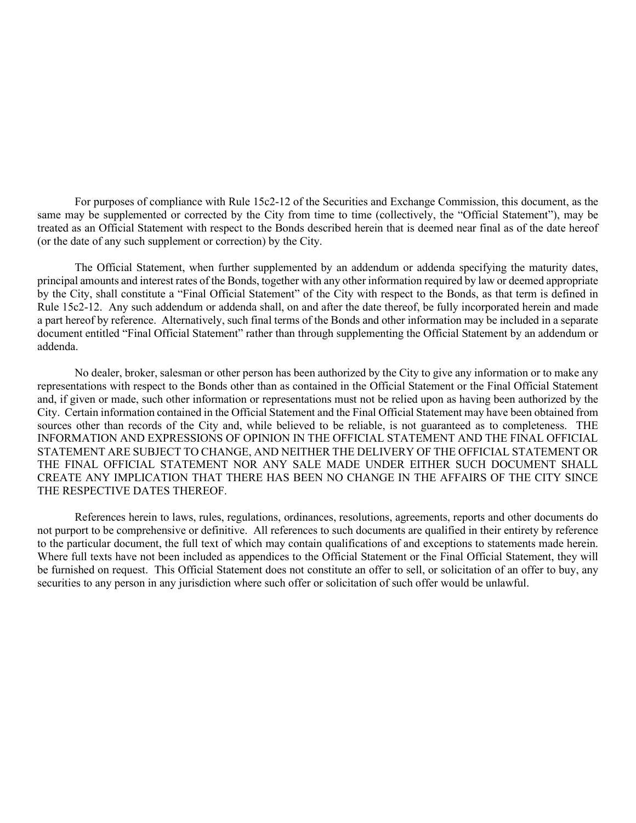For purposes of compliance with Rule 15c2-12 of the Securities and Exchange Commission, this document, as the same may be supplemented or corrected by the City from time to time (collectively, the "Official Statement"), may be treated as an Official Statement with respect to the Bonds described herein that is deemed near final as of the date hereof (or the date of any such supplement or correction) by the City.

The Official Statement, when further supplemented by an addendum or addenda specifying the maturity dates, principal amounts and interest rates of the Bonds, together with any other information required by law or deemed appropriate by the City, shall constitute a "Final Official Statement" of the City with respect to the Bonds, as that term is defined in Rule 15c2-12. Any such addendum or addenda shall, on and after the date thereof, be fully incorporated herein and made a part hereof by reference. Alternatively, such final terms of the Bonds and other information may be included in a separate document entitled "Final Official Statement" rather than through supplementing the Official Statement by an addendum or addenda.

No dealer, broker, salesman or other person has been authorized by the City to give any information or to make any representations with respect to the Bonds other than as contained in the Official Statement or the Final Official Statement and, if given or made, such other information or representations must not be relied upon as having been authorized by the City. Certain information contained in the Official Statement and the Final Official Statement may have been obtained from sources other than records of the City and, while believed to be reliable, is not guaranteed as to completeness. THE INFORMATION AND EXPRESSIONS OF OPINION IN THE OFFICIAL STATEMENT AND THE FINAL OFFICIAL STATEMENT ARE SUBJECT TO CHANGE, AND NEITHER THE DELIVERY OF THE OFFICIAL STATEMENT OR THE FINAL OFFICIAL STATEMENT NOR ANY SALE MADE UNDER EITHER SUCH DOCUMENT SHALL CREATE ANY IMPLICATION THAT THERE HAS BEEN NO CHANGE IN THE AFFAIRS OF THE CITY SINCE THE RESPECTIVE DATES THEREOF.

References herein to laws, rules, regulations, ordinances, resolutions, agreements, reports and other documents do not purport to be comprehensive or definitive. All references to such documents are qualified in their entirety by reference to the particular document, the full text of which may contain qualifications of and exceptions to statements made herein. Where full texts have not been included as appendices to the Official Statement or the Final Official Statement, they will be furnished on request. This Official Statement does not constitute an offer to sell, or solicitation of an offer to buy, any securities to any person in any jurisdiction where such offer or solicitation of such offer would be unlawful.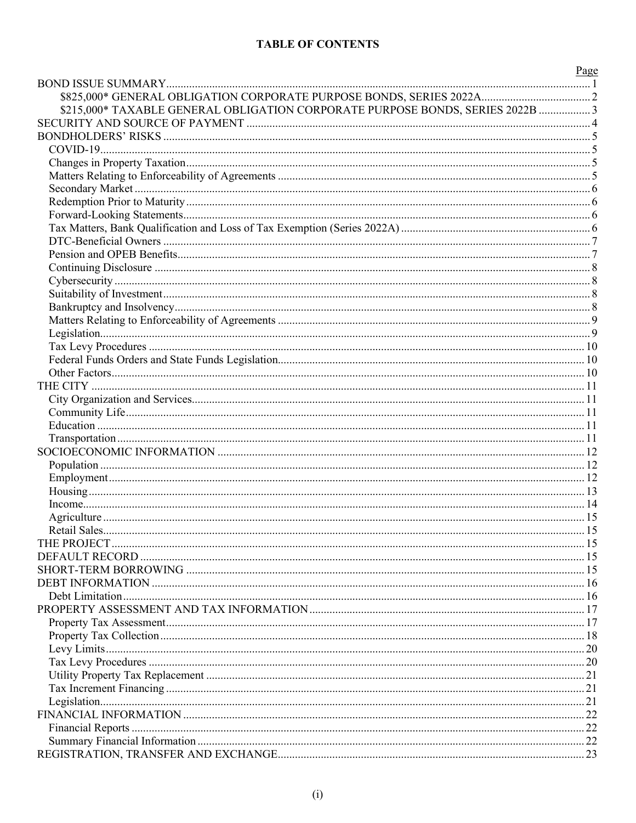# **TABLE OF CONTENTS**

|                                                                                | Page |
|--------------------------------------------------------------------------------|------|
|                                                                                |      |
|                                                                                |      |
| \$215,000* TAXABLE GENERAL OBLIGATION CORPORATE PURPOSE BONDS, SERIES 2022B  3 |      |
|                                                                                |      |
|                                                                                |      |
|                                                                                |      |
|                                                                                |      |
|                                                                                |      |
|                                                                                |      |
|                                                                                |      |
|                                                                                |      |
|                                                                                |      |
|                                                                                |      |
|                                                                                |      |
|                                                                                |      |
|                                                                                |      |
|                                                                                |      |
|                                                                                |      |
|                                                                                |      |
|                                                                                |      |
|                                                                                |      |
|                                                                                |      |
|                                                                                |      |
|                                                                                |      |
|                                                                                |      |
|                                                                                |      |
|                                                                                |      |
|                                                                                |      |
|                                                                                |      |
|                                                                                |      |
|                                                                                |      |
|                                                                                |      |
|                                                                                |      |
|                                                                                |      |
|                                                                                |      |
|                                                                                |      |
|                                                                                |      |
|                                                                                |      |
|                                                                                |      |
|                                                                                |      |
|                                                                                |      |
|                                                                                |      |
|                                                                                |      |
|                                                                                |      |
|                                                                                |      |
|                                                                                |      |
|                                                                                |      |
|                                                                                |      |
|                                                                                |      |
|                                                                                |      |
|                                                                                |      |
|                                                                                |      |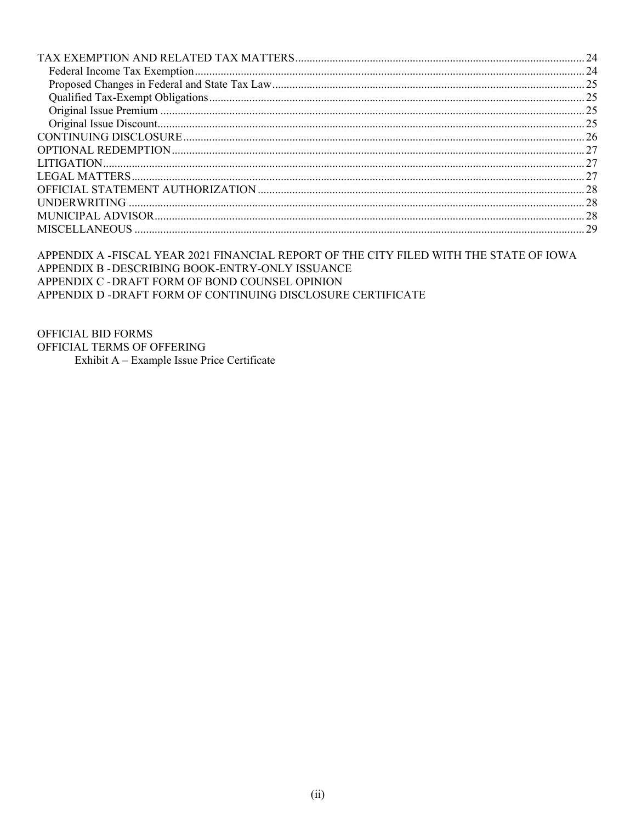APPENDIX A -FISCAL YEAR 2021 FINANCIAL REPORT OF THE CITY FILED WITH THE STATE OF IOWA APPENDIX B - DESCRIBING BOOK-ENTRY-ONLY ISSUANCE APPENDIX C - DRAFT FORM OF BOND COUNSEL OPINION APPENDIX D - DRAFT FORM OF CONTINUING DISCLOSURE CERTIFICATE

OFFICIAL BID FORMS OFFICIAL TERMS OF OFFERING Exhibit A - Example Issue Price Certificate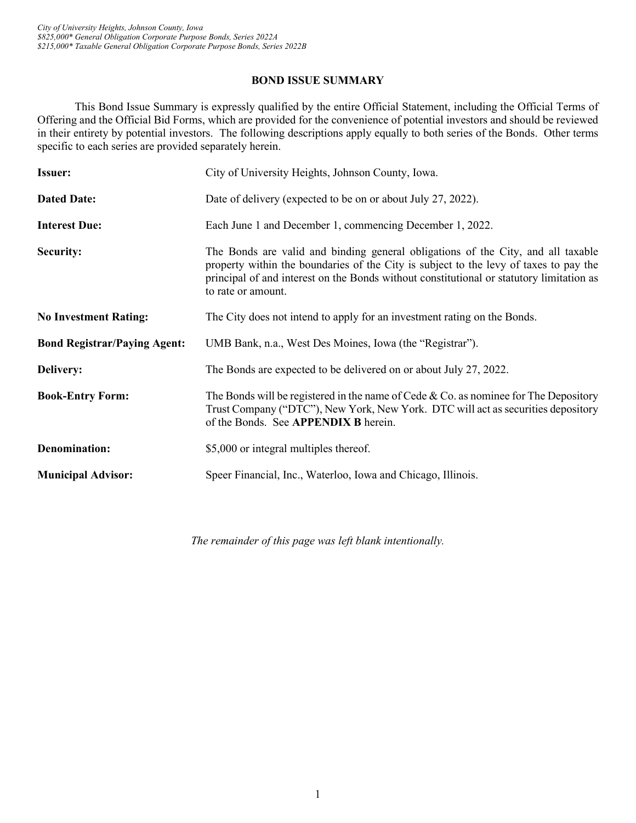# **BOND ISSUE SUMMARY**

<span id="page-4-0"></span>This Bond Issue Summary is expressly qualified by the entire Official Statement, including the Official Terms of Offering and the Official Bid Forms, which are provided for the convenience of potential investors and should be reviewed in their entirety by potential investors. The following descriptions apply equally to both series of the Bonds. Other terms specific to each series are provided separately herein.

| <b>Issuer:</b>                      | City of University Heights, Johnson County, Iowa.                                                                                                                                                                                                                                           |
|-------------------------------------|---------------------------------------------------------------------------------------------------------------------------------------------------------------------------------------------------------------------------------------------------------------------------------------------|
| <b>Dated Date:</b>                  | Date of delivery (expected to be on or about July 27, 2022).                                                                                                                                                                                                                                |
| <b>Interest Due:</b>                | Each June 1 and December 1, commencing December 1, 2022.                                                                                                                                                                                                                                    |
| <b>Security:</b>                    | The Bonds are valid and binding general obligations of the City, and all taxable<br>property within the boundaries of the City is subject to the levy of taxes to pay the<br>principal of and interest on the Bonds without constitutional or statutory limitation as<br>to rate or amount. |
| <b>No Investment Rating:</b>        | The City does not intend to apply for an investment rating on the Bonds.                                                                                                                                                                                                                    |
| <b>Bond Registrar/Paying Agent:</b> | UMB Bank, n.a., West Des Moines, Iowa (the "Registrar").                                                                                                                                                                                                                                    |
| <b>Delivery:</b>                    | The Bonds are expected to be delivered on or about July 27, 2022.                                                                                                                                                                                                                           |
| <b>Book-Entry Form:</b>             | The Bonds will be registered in the name of Cede & Co. as nominee for The Depository<br>Trust Company ("DTC"), New York, New York. DTC will act as securities depository<br>of the Bonds. See APPENDIX B herein.                                                                            |
| <b>Denomination:</b>                | \$5,000 or integral multiples thereof.                                                                                                                                                                                                                                                      |
| <b>Municipal Advisor:</b>           | Speer Financial, Inc., Waterloo, Iowa and Chicago, Illinois.                                                                                                                                                                                                                                |

*The remainder of this page was left blank intentionally.*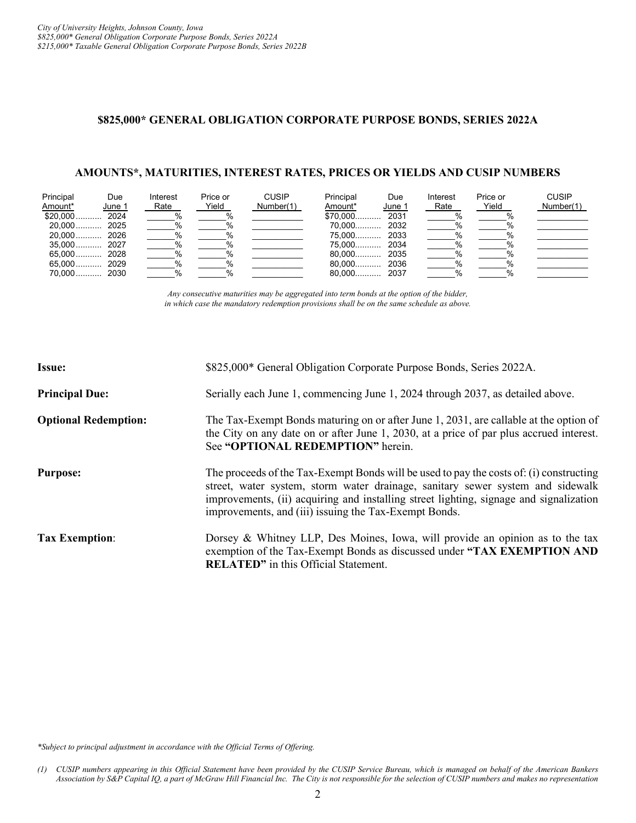# <span id="page-5-0"></span>**\$825,000\* GENERAL OBLIGATION CORPORATE PURPOSE BONDS, SERIES 2022A**

#### **AMOUNTS\*, MATURITIES, INTEREST RATES, PRICES OR YIELDS AND CUSIP NUMBERS**

| Principal<br>Amount* | Due<br>June 1 | Interest<br>Rate | Price or<br>Yield | <b>CUSIP</b><br>Number(1) | Principal<br>Amount* | Due<br>June 1 | Interest<br>Rate | Price or<br>Yield | <b>CUSIP</b><br>Number(1) |
|----------------------|---------------|------------------|-------------------|---------------------------|----------------------|---------------|------------------|-------------------|---------------------------|
| $$20,000$ 2024       |               |                  |                   |                           | \$70,000 2031        |               | $\%$             |                   |                           |
|                      |               |                  |                   |                           | 70.000               | 2032          | $\%$             |                   |                           |
|                      |               |                  |                   |                           |                      |               | %                |                   |                           |
|                      |               |                  |                   |                           |                      |               | %                |                   |                           |
|                      |               |                  |                   |                           |                      |               | %                |                   |                           |
|                      |               |                  |                   |                           |                      |               | $\%$             |                   |                           |
| 70.000 2030          |               |                  |                   |                           |                      |               | $\frac{0}{6}$    |                   |                           |

*Any consecutive maturities may be aggregated into term bonds at the option of the bidder, in which case the mandatory redemption provisions shall be on the same schedule as above.*

| <b>Issue:</b>               | \$825,000* General Obligation Corporate Purpose Bonds, Series 2022A.                                                                                                                                                                                                                                                         |
|-----------------------------|------------------------------------------------------------------------------------------------------------------------------------------------------------------------------------------------------------------------------------------------------------------------------------------------------------------------------|
| <b>Principal Due:</b>       | Serially each June 1, commencing June 1, 2024 through 2037, as detailed above.                                                                                                                                                                                                                                               |
| <b>Optional Redemption:</b> | The Tax-Exempt Bonds maturing on or after June 1, 2031, are callable at the option of<br>the City on any date on or after June 1, 2030, at a price of par plus accrued interest.<br>See "OPTIONAL REDEMPTION" herein.                                                                                                        |
| <b>Purpose:</b>             | The proceeds of the Tax-Exempt Bonds will be used to pay the costs of: (i) constructing<br>street, water system, storm water drainage, sanitary sewer system and sidewalk<br>improvements, (ii) acquiring and installing street lighting, signage and signalization<br>improvements, and (iii) issuing the Tax-Exempt Bonds. |
| <b>Tax Exemption:</b>       | Dorsey & Whitney LLP, Des Moines, Iowa, will provide an opinion as to the tax<br>exemption of the Tax-Exempt Bonds as discussed under "TAX EXEMPTION AND<br><b>RELATED</b> " in this Official Statement.                                                                                                                     |

*\*Subject to principal adjustment in accordance with the Official Terms of Offering.*

*<sup>(1)</sup> CUSIP numbers appearing in this Official Statement have been provided by the CUSIP Service Bureau, which is managed on behalf of the American Bankers Association by S&P Capital IQ, a part of McGraw Hill Financial Inc. The City is not responsible for the selection of CUSIP numbers and makes no representation*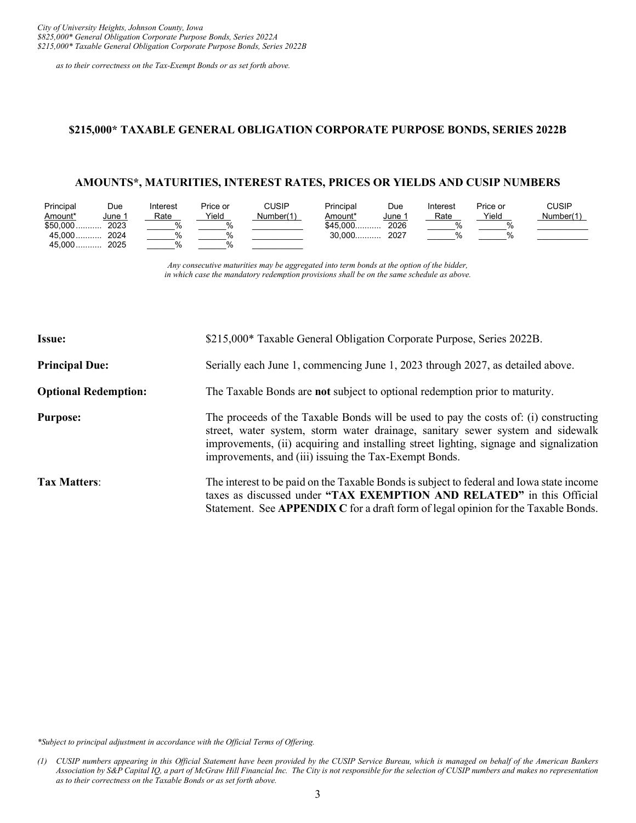*as to their correctness on the Tax-Exempt Bonds or as set forth above.*

#### <span id="page-6-0"></span>**\$215,000\* TAXABLE GENERAL OBLIGATION CORPORATE PURPOSE BONDS, SERIES 2022B**

# **AMOUNTS\*, MATURITIES, INTEREST RATES, PRICES OR YIELDS AND CUSIP NUMBERS**

| Principal | Due           | Interest | Price or | CUSIP     | Principal | Due         | Interest | Price or | CUSIP     |
|-----------|---------------|----------|----------|-----------|-----------|-------------|----------|----------|-----------|
| Amount*   | <u>June 1</u> | Rate     | Yield    | Number(1) | Amount*   | <u>June</u> | Rate     | Yield    | Number(1) |
| $$50,000$ | 2023          |          |          |           | $$45,000$ | 2026        |          |          |           |
| $45.000$  | 2024          |          |          |           | $30.000$  | 2027        |          |          |           |
| $45.000$  | 2025          |          |          |           |           |             |          |          |           |

*Any consecutive maturities may be aggregated into term bonds at the option of the bidder, in which case the mandatory redemption provisions shall be on the same schedule as above.*

| <b>Issue:</b>               | \$215,000* Taxable General Obligation Corporate Purpose, Series 2022B.                                                                                                                                                                                                                                                    |
|-----------------------------|---------------------------------------------------------------------------------------------------------------------------------------------------------------------------------------------------------------------------------------------------------------------------------------------------------------------------|
| <b>Principal Due:</b>       | Serially each June 1, commencing June 1, 2023 through 2027, as detailed above.                                                                                                                                                                                                                                            |
| <b>Optional Redemption:</b> | The Taxable Bonds are not subject to optional redemption prior to maturity.                                                                                                                                                                                                                                               |
| <b>Purpose:</b>             | The proceeds of the Taxable Bonds will be used to pay the costs of: (i) constructing<br>street, water system, storm water drainage, sanitary sewer system and sidewalk<br>improvements, (ii) acquiring and installing street lighting, signage and signalization<br>improvements, and (iii) issuing the Tax-Exempt Bonds. |
| <b>Tax Matters:</b>         | The interest to be paid on the Taxable Bonds is subject to federal and Iowa state income<br>taxes as discussed under "TAX EXEMPTION AND RELATED" in this Official<br>Statement. See APPENDIX C for a draft form of legal opinion for the Taxable Bonds.                                                                   |

*\*Subject to principal adjustment in accordance with the Official Terms of Offering.*

*<sup>(1)</sup> CUSIP numbers appearing in this Official Statement have been provided by the CUSIP Service Bureau, which is managed on behalf of the American Bankers Association by S&P Capital IQ, a part of McGraw Hill Financial Inc. The City is not responsible for the selection of CUSIP numbers and makes no representation as to their correctness on the Taxable Bonds or as set forth above.*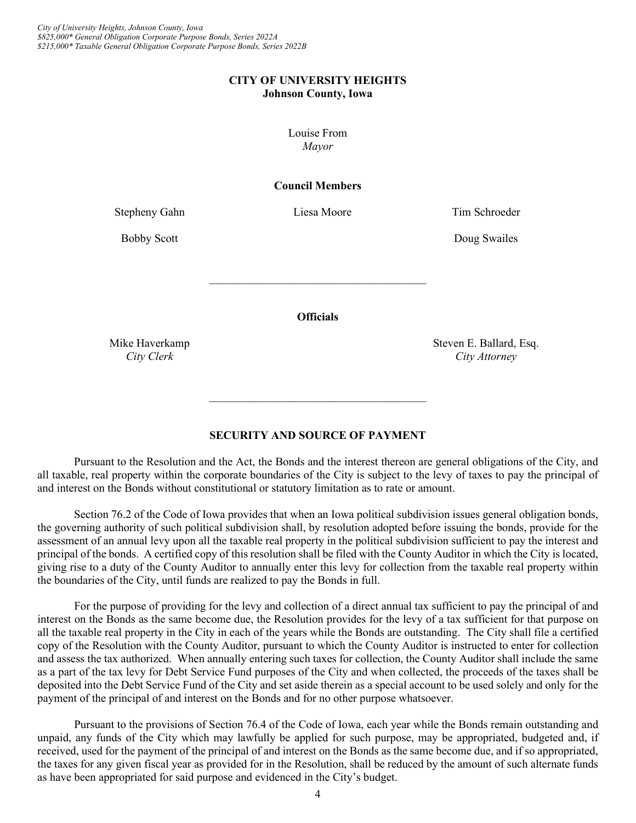#### **CITY OF UNIVERSITY HEIGHTS Johnson County, Iowa**

Louise From *Mayor*

#### **Council Members**

Stepheny Gahn Liesa Moore Tim Schroeder

Bobby Scott **Doug Swailes** 

**Officials**

\_\_\_\_\_\_\_\_\_\_\_\_\_\_\_\_\_\_\_\_\_\_\_\_\_\_\_\_\_\_\_\_\_\_\_\_\_\_

Mike Haverkamp Steven E. Ballard, Esq. *City Clerk City Attorney*

# **SECURITY AND SOURCE OF PAYMENT**

 $\mathcal{L}_\text{max}$  , where  $\mathcal{L}_\text{max}$  , we are the set of the set of the set of the set of the set of the set of the set of the set of the set of the set of the set of the set of the set of the set of the set of the set of

<span id="page-7-0"></span>Pursuant to the Resolution and the Act, the Bonds and the interest thereon are general obligations of the City, and all taxable, real property within the corporate boundaries of the City is subject to the levy of taxes to pay the principal of and interest on the Bonds without constitutional or statutory limitation as to rate or amount.

Section 76.2 of the Code of Iowa provides that when an Iowa political subdivision issues general obligation bonds, the governing authority of such political subdivision shall, by resolution adopted before issuing the bonds, provide for the assessment of an annual levy upon all the taxable real property in the political subdivision sufficient to pay the interest and principal of the bonds. A certified copy of this resolution shall be filed with the County Auditor in which the City is located, giving rise to a duty of the County Auditor to annually enter this levy for collection from the taxable real property within the boundaries of the City, until funds are realized to pay the Bonds in full.

For the purpose of providing for the levy and collection of a direct annual tax sufficient to pay the principal of and interest on the Bonds as the same become due, the Resolution provides for the levy of a tax sufficient for that purpose on all the taxable real property in the City in each of the years while the Bonds are outstanding. The City shall file a certified copy of the Resolution with the County Auditor, pursuant to which the County Auditor is instructed to enter for collection and assess the tax authorized. When annually entering such taxes for collection, the County Auditor shall include the same as a part of the tax levy for Debt Service Fund purposes of the City and when collected, the proceeds of the taxes shall be deposited into the Debt Service Fund of the City and set aside therein as a special account to be used solely and only for the payment of the principal of and interest on the Bonds and for no other purpose whatsoever.

Pursuant to the provisions of Section 76.4 of the Code of Iowa, each year while the Bonds remain outstanding and unpaid, any funds of the City which may lawfully be applied for such purpose, may be appropriated, budgeted and, if received, used for the payment of the principal of and interest on the Bonds as the same become due, and if so appropriated, the taxes for any given fiscal year as provided for in the Resolution, shall be reduced by the amount of such alternate funds as have been appropriated for said purpose and evidenced in the City's budget.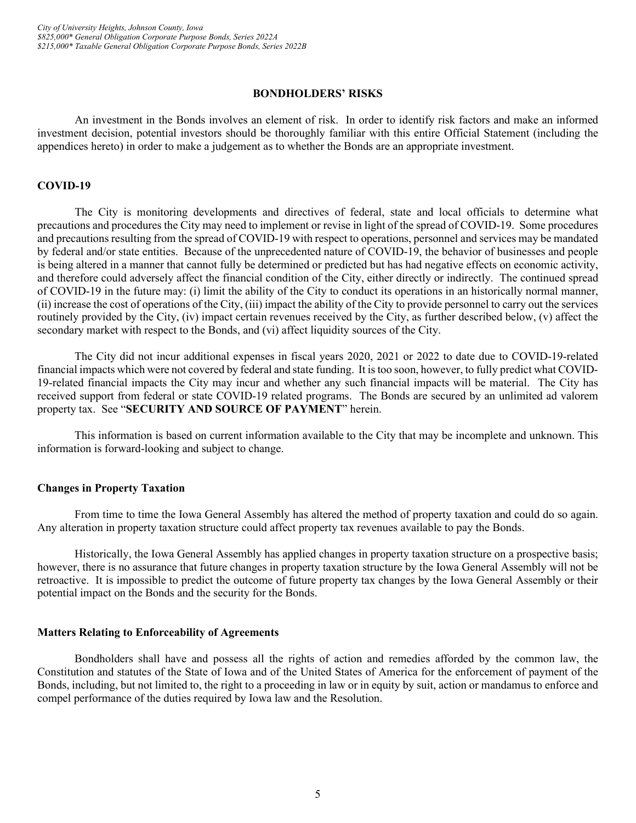#### **BONDHOLDERS' RISKS**

<span id="page-8-0"></span>An investment in the Bonds involves an element of risk. In order to identify risk factors and make an informed investment decision, potential investors should be thoroughly familiar with this entire Official Statement (including the appendices hereto) in order to make a judgement as to whether the Bonds are an appropriate investment.

#### <span id="page-8-1"></span>**COVID-19**

The City is monitoring developments and directives of federal, state and local officials to determine what precautions and procedures the City may need to implement or revise in light of the spread of COVID-19. Some procedures and precautions resulting from the spread of COVID-19 with respect to operations, personnel and services may be mandated by federal and/or state entities. Because of the unprecedented nature of COVID-19, the behavior of businesses and people is being altered in a manner that cannot fully be determined or predicted but has had negative effects on economic activity, and therefore could adversely affect the financial condition of the City, either directly or indirectly. The continued spread of COVID-19 in the future may: (i) limit the ability of the City to conduct its operations in an historically normal manner, (ii) increase the cost of operations of the City, (iii) impact the ability of the City to provide personnel to carry out the services routinely provided by the City, (iv) impact certain revenues received by the City, as further described below, (v) affect the secondary market with respect to the Bonds, and (vi) affect liquidity sources of the City.

The City did not incur additional expenses in fiscal years 2020, 2021 or 2022 to date due to COVID-19-related financial impacts which were not covered by federal and state funding. It is too soon, however, to fully predict what COVID-19-related financial impacts the City may incur and whether any such financial impacts will be material. The City has received support from federal or state COVID-19 related programs. The Bonds are secured by an unlimited ad valorem property tax. See "**SECURITY AND SOURCE OF PAYMENT**" herein.

This information is based on current information available to the City that may be incomplete and unknown. This information is forward-looking and subject to change.

#### <span id="page-8-2"></span>**Changes in Property Taxation**

From time to time the Iowa General Assembly has altered the method of property taxation and could do so again. Any alteration in property taxation structure could affect property tax revenues available to pay the Bonds.

Historically, the Iowa General Assembly has applied changes in property taxation structure on a prospective basis; however, there is no assurance that future changes in property taxation structure by the Iowa General Assembly will not be retroactive. It is impossible to predict the outcome of future property tax changes by the Iowa General Assembly or their potential impact on the Bonds and the security for the Bonds.

#### <span id="page-8-3"></span>**Matters Relating to Enforceability of Agreements**

Bondholders shall have and possess all the rights of action and remedies afforded by the common law, the Constitution and statutes of the State of Iowa and of the United States of America for the enforcement of payment of the Bonds, including, but not limited to, the right to a proceeding in law or in equity by suit, action or mandamus to enforce and compel performance of the duties required by Iowa law and the Resolution.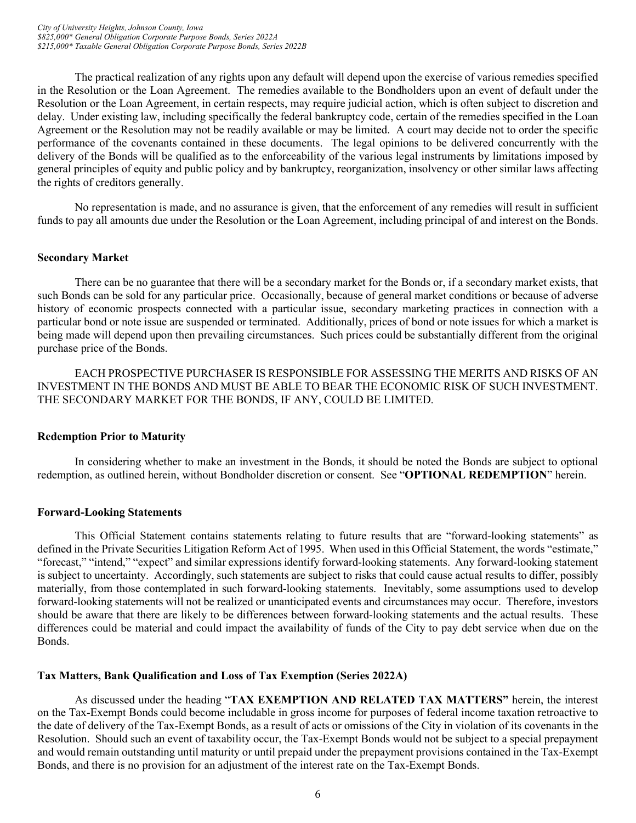The practical realization of any rights upon any default will depend upon the exercise of various remedies specified in the Resolution or the Loan Agreement. The remedies available to the Bondholders upon an event of default under the Resolution or the Loan Agreement, in certain respects, may require judicial action, which is often subject to discretion and delay. Under existing law, including specifically the federal bankruptcy code, certain of the remedies specified in the Loan Agreement or the Resolution may not be readily available or may be limited. A court may decide not to order the specific performance of the covenants contained in these documents. The legal opinions to be delivered concurrently with the delivery of the Bonds will be qualified as to the enforceability of the various legal instruments by limitations imposed by general principles of equity and public policy and by bankruptcy, reorganization, insolvency or other similar laws affecting the rights of creditors generally.

No representation is made, and no assurance is given, that the enforcement of any remedies will result in sufficient funds to pay all amounts due under the Resolution or the Loan Agreement, including principal of and interest on the Bonds.

# <span id="page-9-0"></span>**Secondary Market**

There can be no guarantee that there will be a secondary market for the Bonds or, if a secondary market exists, that such Bonds can be sold for any particular price. Occasionally, because of general market conditions or because of adverse history of economic prospects connected with a particular issue, secondary marketing practices in connection with a particular bond or note issue are suspended or terminated. Additionally, prices of bond or note issues for which a market is being made will depend upon then prevailing circumstances. Such prices could be substantially different from the original purchase price of the Bonds.

EACH PROSPECTIVE PURCHASER IS RESPONSIBLE FOR ASSESSING THE MERITS AND RISKS OF AN INVESTMENT IN THE BONDS AND MUST BE ABLE TO BEAR THE ECONOMIC RISK OF SUCH INVESTMENT. THE SECONDARY MARKET FOR THE BONDS, IF ANY, COULD BE LIMITED.

# <span id="page-9-1"></span>**Redemption Prior to Maturity**

In considering whether to make an investment in the Bonds, it should be noted the Bonds are subject to optional redemption, as outlined herein, without Bondholder discretion or consent. See "**OPTIONAL REDEMPTION**" herein.

# <span id="page-9-2"></span>**Forward-Looking Statements**

This Official Statement contains statements relating to future results that are "forward-looking statements" as defined in the Private Securities Litigation Reform Act of 1995. When used in this Official Statement, the words "estimate," "forecast," "intend," "expect" and similar expressions identify forward-looking statements. Any forward-looking statement is subject to uncertainty. Accordingly, such statements are subject to risks that could cause actual results to differ, possibly materially, from those contemplated in such forward-looking statements. Inevitably, some assumptions used to develop forward-looking statements will not be realized or unanticipated events and circumstances may occur. Therefore, investors should be aware that there are likely to be differences between forward-looking statements and the actual results. These differences could be material and could impact the availability of funds of the City to pay debt service when due on the Bonds.

# <span id="page-9-3"></span>**Tax Matters, Bank Qualification and Loss of Tax Exemption (Series 2022A)**

As discussed under the heading "**TAX EXEMPTION AND RELATED TAX MATTERS"** herein, the interest on the Tax-Exempt Bonds could become includable in gross income for purposes of federal income taxation retroactive to the date of delivery of the Tax-Exempt Bonds, as a result of acts or omissions of the City in violation of its covenants in the Resolution. Should such an event of taxability occur, the Tax-Exempt Bonds would not be subject to a special prepayment and would remain outstanding until maturity or until prepaid under the prepayment provisions contained in the Tax-Exempt Bonds, and there is no provision for an adjustment of the interest rate on the Tax-Exempt Bonds.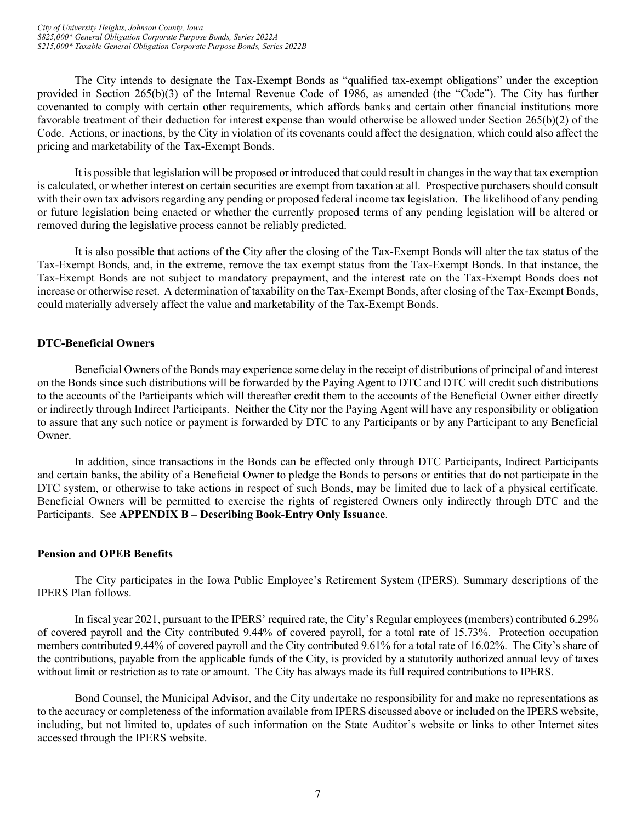The City intends to designate the Tax-Exempt Bonds as "qualified tax-exempt obligations" under the exception provided in Section 265(b)(3) of the Internal Revenue Code of 1986, as amended (the "Code"). The City has further covenanted to comply with certain other requirements, which affords banks and certain other financial institutions more favorable treatment of their deduction for interest expense than would otherwise be allowed under Section 265(b)(2) of the Code. Actions, or inactions, by the City in violation of its covenants could affect the designation, which could also affect the pricing and marketability of the Tax-Exempt Bonds.

It is possible that legislation will be proposed or introduced that could result in changes in the way that tax exemption is calculated, or whether interest on certain securities are exempt from taxation at all. Prospective purchasers should consult with their own tax advisors regarding any pending or proposed federal income tax legislation. The likelihood of any pending or future legislation being enacted or whether the currently proposed terms of any pending legislation will be altered or removed during the legislative process cannot be reliably predicted.

It is also possible that actions of the City after the closing of the Tax-Exempt Bonds will alter the tax status of the Tax-Exempt Bonds, and, in the extreme, remove the tax exempt status from the Tax-Exempt Bonds. In that instance, the Tax-Exempt Bonds are not subject to mandatory prepayment, and the interest rate on the Tax-Exempt Bonds does not increase or otherwise reset. A determination of taxability on the Tax-Exempt Bonds, after closing of the Tax-Exempt Bonds, could materially adversely affect the value and marketability of the Tax-Exempt Bonds.

# <span id="page-10-0"></span>**DTC-Beneficial Owners**

Beneficial Owners of the Bonds may experience some delay in the receipt of distributions of principal of and interest on the Bonds since such distributions will be forwarded by the Paying Agent to DTC and DTC will credit such distributions to the accounts of the Participants which will thereafter credit them to the accounts of the Beneficial Owner either directly or indirectly through Indirect Participants. Neither the City nor the Paying Agent will have any responsibility or obligation to assure that any such notice or payment is forwarded by DTC to any Participants or by any Participant to any Beneficial Owner.

In addition, since transactions in the Bonds can be effected only through DTC Participants, Indirect Participants and certain banks, the ability of a Beneficial Owner to pledge the Bonds to persons or entities that do not participate in the DTC system, or otherwise to take actions in respect of such Bonds, may be limited due to lack of a physical certificate. Beneficial Owners will be permitted to exercise the rights of registered Owners only indirectly through DTC and the Participants. See **APPENDIX B – Describing Book-Entry Only Issuance**.

# <span id="page-10-1"></span>**Pension and OPEB Benefits**

The City participates in the Iowa Public Employee's Retirement System (IPERS). Summary descriptions of the IPERS Plan follows.

In fiscal year 2021, pursuant to the IPERS' required rate, the City's Regular employees (members) contributed 6.29% of covered payroll and the City contributed 9.44% of covered payroll, for a total rate of 15.73%. Protection occupation members contributed 9.44% of covered payroll and the City contributed 9.61% for a total rate of 16.02%. The City's share of the contributions, payable from the applicable funds of the City, is provided by a statutorily authorized annual levy of taxes without limit or restriction as to rate or amount. The City has always made its full required contributions to IPERS.

Bond Counsel, the Municipal Advisor, and the City undertake no responsibility for and make no representations as to the accuracy or completeness of the information available from IPERS discussed above or included on the IPERS website, including, but not limited to, updates of such information on the State Auditor's website or links to other Internet sites accessed through the IPERS website.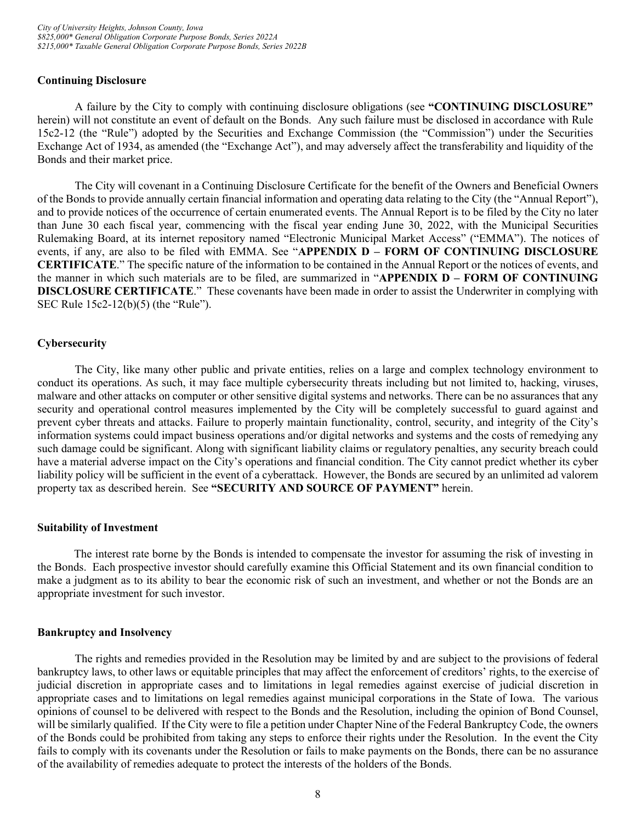#### <span id="page-11-0"></span>**Continuing Disclosure**

A failure by the City to comply with continuing disclosure obligations (see **"CONTINUING DISCLOSURE"** herein) will not constitute an event of default on the Bonds. Any such failure must be disclosed in accordance with Rule 15c2-12 (the "Rule") adopted by the Securities and Exchange Commission (the "Commission") under the Securities Exchange Act of 1934, as amended (the "Exchange Act"), and may adversely affect the transferability and liquidity of the Bonds and their market price.

The City will covenant in a Continuing Disclosure Certificate for the benefit of the Owners and Beneficial Owners of the Bonds to provide annually certain financial information and operating data relating to the City (the "Annual Report"), and to provide notices of the occurrence of certain enumerated events. The Annual Report is to be filed by the City no later than June 30 each fiscal year, commencing with the fiscal year ending June 30, 2022, with the Municipal Securities Rulemaking Board, at its internet repository named "Electronic Municipal Market Access" ("EMMA"). The notices of events, if any, are also to be filed with EMMA. See "**APPENDIX D – FORM OF CONTINUING DISCLOSURE CERTIFICATE**." The specific nature of the information to be contained in the Annual Report or the notices of events, and the manner in which such materials are to be filed, are summarized in "**APPENDIX D – FORM OF CONTINUING DISCLOSURE CERTIFICATE**." These covenants have been made in order to assist the Underwriter in complying with SEC Rule 15c2-12(b)(5) (the "Rule").

# <span id="page-11-1"></span>**Cybersecurity**

The City, like many other public and private entities, relies on a large and complex technology environment to conduct its operations. As such, it may face multiple cybersecurity threats including but not limited to, hacking, viruses, malware and other attacks on computer or other sensitive digital systems and networks. There can be no assurances that any security and operational control measures implemented by the City will be completely successful to guard against and prevent cyber threats and attacks. Failure to properly maintain functionality, control, security, and integrity of the City's information systems could impact business operations and/or digital networks and systems and the costs of remedying any such damage could be significant. Along with significant liability claims or regulatory penalties, any security breach could have a material adverse impact on the City's operations and financial condition. The City cannot predict whether its cyber liability policy will be sufficient in the event of a cyberattack. However, the Bonds are secured by an unlimited ad valorem property tax as described herein. See **"SECURITY AND SOURCE OF PAYMENT"** herein.

#### <span id="page-11-2"></span>**Suitability of Investment**

The interest rate borne by the Bonds is intended to compensate the investor for assuming the risk of investing in the Bonds. Each prospective investor should carefully examine this Official Statement and its own financial condition to make a judgment as to its ability to bear the economic risk of such an investment, and whether or not the Bonds are an appropriate investment for such investor.

#### <span id="page-11-3"></span>**Bankruptcy and Insolvency**

The rights and remedies provided in the Resolution may be limited by and are subject to the provisions of federal bankruptcy laws, to other laws or equitable principles that may affect the enforcement of creditors' rights, to the exercise of judicial discretion in appropriate cases and to limitations in legal remedies against exercise of judicial discretion in appropriate cases and to limitations on legal remedies against municipal corporations in the State of Iowa. The various opinions of counsel to be delivered with respect to the Bonds and the Resolution, including the opinion of Bond Counsel, will be similarly qualified. If the City were to file a petition under Chapter Nine of the Federal Bankruptcy Code, the owners of the Bonds could be prohibited from taking any steps to enforce their rights under the Resolution. In the event the City fails to comply with its covenants under the Resolution or fails to make payments on the Bonds, there can be no assurance of the availability of remedies adequate to protect the interests of the holders of the Bonds.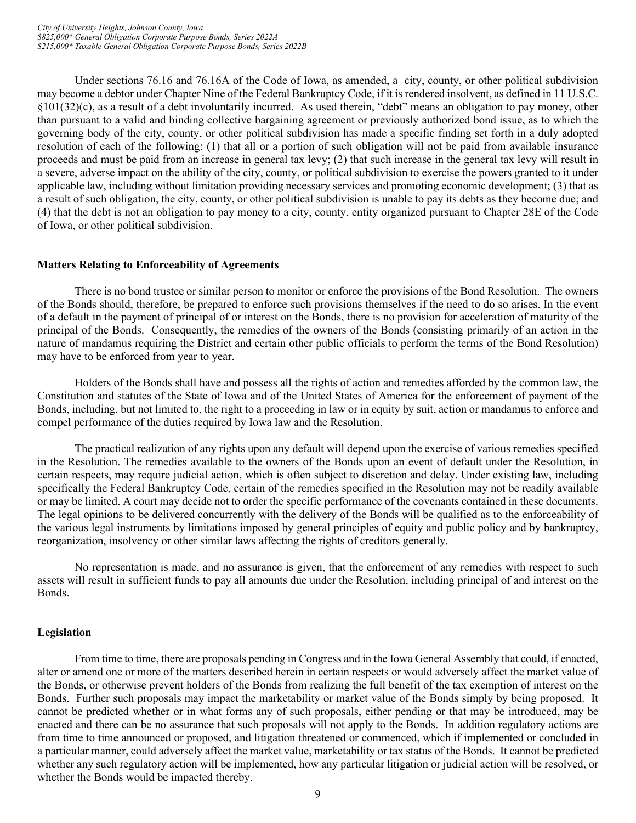Under sections 76.16 and 76.16A of the Code of Iowa, as amended, a city, county, or other political subdivision may become a debtor under Chapter Nine of the Federal Bankruptcy Code, if it is rendered insolvent, as defined in 11 U.S.C.  $\S101(32)(c)$ , as a result of a debt involuntarily incurred. As used therein, "debt" means an obligation to pay money, other than pursuant to a valid and binding collective bargaining agreement or previously authorized bond issue, as to which the governing body of the city, county, or other political subdivision has made a specific finding set forth in a duly adopted resolution of each of the following: (1) that all or a portion of such obligation will not be paid from available insurance proceeds and must be paid from an increase in general tax levy; (2) that such increase in the general tax levy will result in a severe, adverse impact on the ability of the city, county, or political subdivision to exercise the powers granted to it under applicable law, including without limitation providing necessary services and promoting economic development; (3) that as a result of such obligation, the city, county, or other political subdivision is unable to pay its debts as they become due; and (4) that the debt is not an obligation to pay money to a city, county, entity organized pursuant to Chapter 28E of the Code of Iowa, or other political subdivision.

#### <span id="page-12-0"></span>**Matters Relating to Enforceability of Agreements**

There is no bond trustee or similar person to monitor or enforce the provisions of the Bond Resolution. The owners of the Bonds should, therefore, be prepared to enforce such provisions themselves if the need to do so arises. In the event of a default in the payment of principal of or interest on the Bonds, there is no provision for acceleration of maturity of the principal of the Bonds. Consequently, the remedies of the owners of the Bonds (consisting primarily of an action in the nature of mandamus requiring the District and certain other public officials to perform the terms of the Bond Resolution) may have to be enforced from year to year.

Holders of the Bonds shall have and possess all the rights of action and remedies afforded by the common law, the Constitution and statutes of the State of Iowa and of the United States of America for the enforcement of payment of the Bonds, including, but not limited to, the right to a proceeding in law or in equity by suit, action or mandamus to enforce and compel performance of the duties required by Iowa law and the Resolution.

The practical realization of any rights upon any default will depend upon the exercise of various remedies specified in the Resolution. The remedies available to the owners of the Bonds upon an event of default under the Resolution, in certain respects, may require judicial action, which is often subject to discretion and delay. Under existing law, including specifically the Federal Bankruptcy Code, certain of the remedies specified in the Resolution may not be readily available or may be limited. A court may decide not to order the specific performance of the covenants contained in these documents. The legal opinions to be delivered concurrently with the delivery of the Bonds will be qualified as to the enforceability of the various legal instruments by limitations imposed by general principles of equity and public policy and by bankruptcy, reorganization, insolvency or other similar laws affecting the rights of creditors generally.

No representation is made, and no assurance is given, that the enforcement of any remedies with respect to such assets will result in sufficient funds to pay all amounts due under the Resolution, including principal of and interest on the Bonds.

# <span id="page-12-1"></span>**Legislation**

From time to time, there are proposals pending in Congress and in the Iowa General Assembly that could, if enacted, alter or amend one or more of the matters described herein in certain respects or would adversely affect the market value of the Bonds, or otherwise prevent holders of the Bonds from realizing the full benefit of the tax exemption of interest on the Bonds. Further such proposals may impact the marketability or market value of the Bonds simply by being proposed. It cannot be predicted whether or in what forms any of such proposals, either pending or that may be introduced, may be enacted and there can be no assurance that such proposals will not apply to the Bonds. In addition regulatory actions are from time to time announced or proposed, and litigation threatened or commenced, which if implemented or concluded in a particular manner, could adversely affect the market value, marketability or tax status of the Bonds. It cannot be predicted whether any such regulatory action will be implemented, how any particular litigation or judicial action will be resolved, or whether the Bonds would be impacted thereby.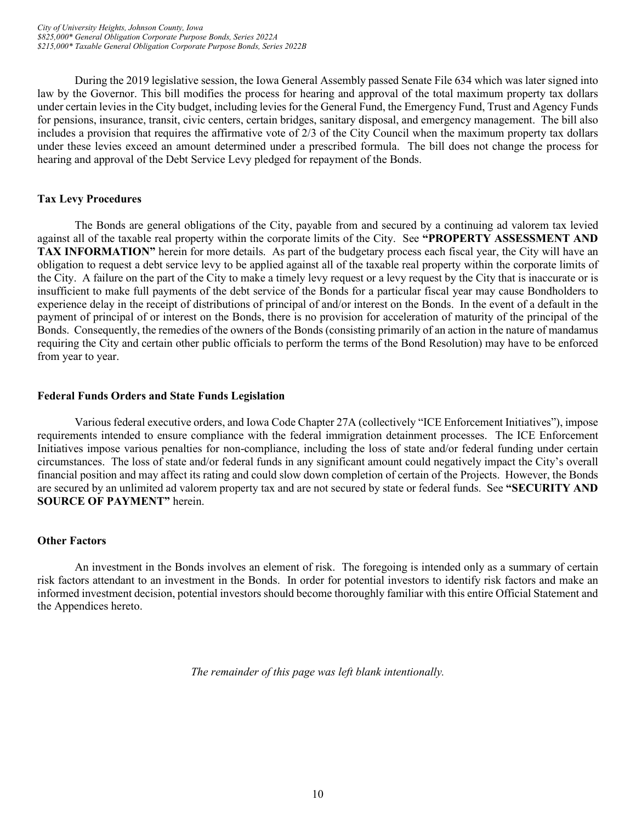During the 2019 legislative session, the Iowa General Assembly passed Senate File 634 which was later signed into law by the Governor. This bill modifies the process for hearing and approval of the total maximum property tax dollars under certain levies in the City budget, including levies for the General Fund, the Emergency Fund, Trust and Agency Funds for pensions, insurance, transit, civic centers, certain bridges, sanitary disposal, and emergency management. The bill also includes a provision that requires the affirmative vote of 2/3 of the City Council when the maximum property tax dollars under these levies exceed an amount determined under a prescribed formula. The bill does not change the process for hearing and approval of the Debt Service Levy pledged for repayment of the Bonds.

# <span id="page-13-0"></span>**Tax Levy Procedures**

The Bonds are general obligations of the City, payable from and secured by a continuing ad valorem tax levied against all of the taxable real property within the corporate limits of the City. See **"PROPERTY ASSESSMENT AND TAX INFORMATION"** herein for more details. As part of the budgetary process each fiscal year, the City will have an obligation to request a debt service levy to be applied against all of the taxable real property within the corporate limits of the City. A failure on the part of the City to make a timely levy request or a levy request by the City that is inaccurate or is insufficient to make full payments of the debt service of the Bonds for a particular fiscal year may cause Bondholders to experience delay in the receipt of distributions of principal of and/or interest on the Bonds. In the event of a default in the payment of principal of or interest on the Bonds, there is no provision for acceleration of maturity of the principal of the Bonds. Consequently, the remedies of the owners of the Bonds (consisting primarily of an action in the nature of mandamus requiring the City and certain other public officials to perform the terms of the Bond Resolution) may have to be enforced from year to year.

# <span id="page-13-1"></span>**Federal Funds Orders and State Funds Legislation**

Various federal executive orders, and Iowa Code Chapter 27A (collectively "ICE Enforcement Initiatives"), impose requirements intended to ensure compliance with the federal immigration detainment processes. The ICE Enforcement Initiatives impose various penalties for non-compliance, including the loss of state and/or federal funding under certain circumstances. The loss of state and/or federal funds in any significant amount could negatively impact the City's overall financial position and may affect its rating and could slow down completion of certain of the Projects. However, the Bonds are secured by an unlimited ad valorem property tax and are not secured by state or federal funds. See **"SECURITY AND SOURCE OF PAYMENT"** herein.

# <span id="page-13-2"></span>**Other Factors**

An investment in the Bonds involves an element of risk. The foregoing is intended only as a summary of certain risk factors attendant to an investment in the Bonds. In order for potential investors to identify risk factors and make an informed investment decision, potential investors should become thoroughly familiar with this entire Official Statement and the Appendices hereto.

*The remainder of this page was left blank intentionally.*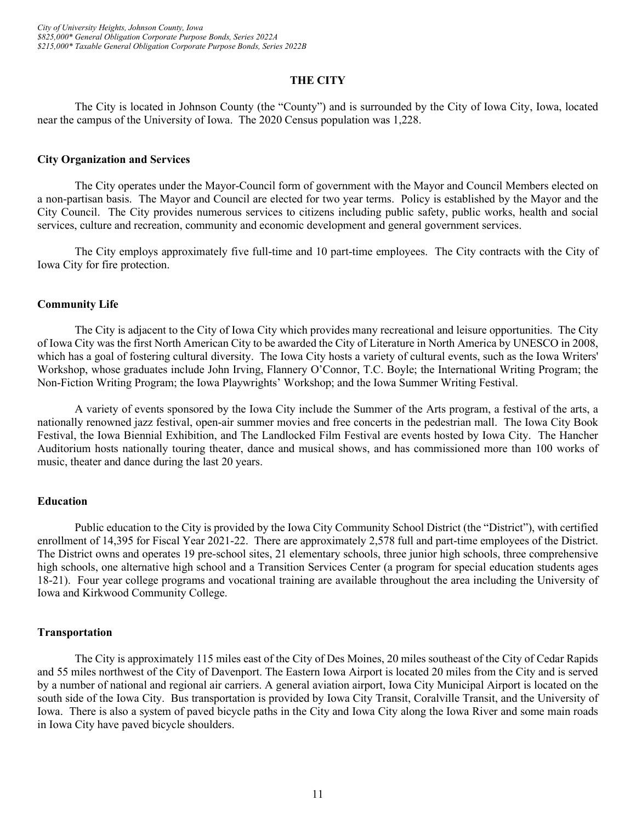# **THE CITY**

<span id="page-14-0"></span>The City is located in Johnson County (the "County") and is surrounded by the City of Iowa City, Iowa, located near the campus of the University of Iowa. The 2020 Census population was 1,228.

#### <span id="page-14-1"></span>**City Organization and Services**

The City operates under the Mayor-Council form of government with the Mayor and Council Members elected on a non-partisan basis. The Mayor and Council are elected for two year terms. Policy is established by the Mayor and the City Council. The City provides numerous services to citizens including public safety, public works, health and social services, culture and recreation, community and economic development and general government services.

The City employs approximately five full-time and 10 part-time employees. The City contracts with the City of Iowa City for fire protection.

#### <span id="page-14-2"></span>**Community Life**

The City is adjacent to the City of Iowa City which provides many recreational and leisure opportunities. The City of Iowa City was the first North American City to be awarded the City of Literature in North America by UNESCO in 2008, which has a goal of fostering cultural diversity. The Iowa City hosts a variety of cultural events, such as the Iowa Writers' Workshop, whose graduates include John Irving, Flannery O'Connor, T.C. Boyle; the International Writing Program; the Non-Fiction Writing Program; the Iowa Playwrights' Workshop; and the Iowa Summer Writing Festival.

A variety of events sponsored by the Iowa City include the Summer of the Arts program, a festival of the arts, a nationally renowned jazz festival, open-air summer movies and free concerts in the pedestrian mall. The Iowa City Book Festival, the Iowa Biennial Exhibition, and The Landlocked Film Festival are events hosted by Iowa City. The Hancher Auditorium hosts nationally touring theater, dance and musical shows, and has commissioned more than 100 works of music, theater and dance during the last 20 years.

#### <span id="page-14-3"></span>**Education**

Public education to the City is provided by the Iowa City Community School District (the "District"), with certified enrollment of 14,395 for Fiscal Year 2021-22. There are approximately 2,578 full and part-time employees of the District. The District owns and operates 19 pre-school sites, 21 elementary schools, three junior high schools, three comprehensive high schools, one alternative high school and a Transition Services Center (a program for special education students ages 18-21). Four year college programs and vocational training are available throughout the area including the University of Iowa and Kirkwood Community College.

#### <span id="page-14-4"></span>**Transportation**

The City is approximately 115 miles east of the City of Des Moines, 20 miles southeast of the City of Cedar Rapids and 55 miles northwest of the City of Davenport. The Eastern Iowa Airport is located 20 miles from the City and is served by a number of national and regional air carriers. A general aviation airport, Iowa City Municipal Airport is located on the south side of the Iowa City. Bus transportation is provided by Iowa City Transit, Coralville Transit, and the University of Iowa. There is also a system of paved bicycle paths in the City and Iowa City along the Iowa River and some main roads in Iowa City have paved bicycle shoulders.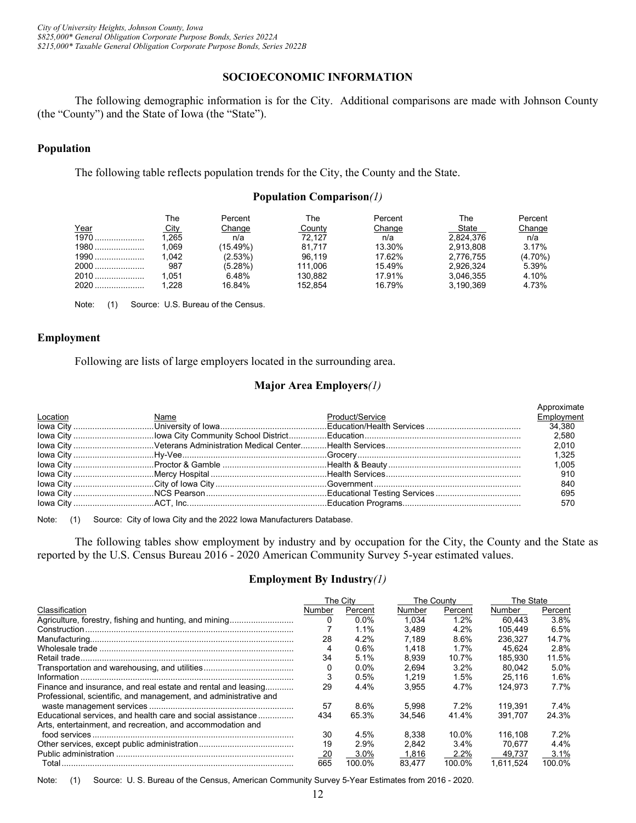*City of University Heights, Johnson County, Iowa \$825,000\* General Obligation Corporate Purpose Bonds, Series 2022A \$215,000\* Taxable General Obligation Corporate Purpose Bonds, Series 2022B*

#### **SOCIOECONOMIC INFORMATION**

<span id="page-15-0"></span>The following demographic information is for the City. Additional comparisons are made with Johnson County (the "County") and the State of Iowa (the "State").

#### <span id="page-15-1"></span>**Population**

The following table reflects population trends for the City, the County and the State.

#### **Population Comparison***(1)*

|        | ™he              | Percent    | The     | Percent | The       | Percent    |
|--------|------------------|------------|---------|---------|-----------|------------|
| Year   | City             | Change     | County  | Change  | State     | Change     |
| $1970$ | $^{\prime}$ ,265 | n/a        | 72.127  | n/a     | 2,824,376 | n/a        |
| $1980$ | 1.069            | (15.49%)   | 81.717  | 13.30%  | 2.913.808 | 3.17%      |
| $1990$ | 1.042            | $(2.53\%)$ | 96.119  | 17.62%  | 2.776.755 | $(4.70\%)$ |
| $2000$ | 987              | (5.28%)    | 111.006 | 15.49%  | 2.926.324 | 5.39%      |
| 2010   | 1.051            | 6.48%      | 130.882 | 17.91%  | 3.046.355 | 4.10%      |
| $2020$ | 1.228            | 16.84%     | 152.854 | 16.79%  | 3.190.369 | 4.73%      |

Note: (1) Source: U.S. Bureau of the Census.

#### <span id="page-15-2"></span>**Employment**

Following are lists of large employers located in the surrounding area.

#### **Major Area Employers***(1)*

|          |      |                 | Approximate |
|----------|------|-----------------|-------------|
| Location | Name | Product/Service | Employment  |
|          |      |                 |             |
|          |      |                 |             |
|          |      |                 |             |
|          |      |                 |             |
|          |      |                 |             |
|          |      |                 |             |
|          |      |                 | 840         |
|          |      |                 |             |
|          |      |                 | 570         |

Note: (1) Source: City of Iowa City and the 2022 Iowa Manufacturers Database.

The following tables show employment by industry and by occupation for the City, the County and the State as reported by the U.S. Census Bureau 2016 - 2020 American Community Survey 5-year estimated values.

#### **Employment By Industry***(1)*

|                                                                  |           | The City |        | The County | The State |         |
|------------------------------------------------------------------|-----------|----------|--------|------------|-----------|---------|
| Classification                                                   | Number    | Percent  | Number | Percent    | Number    | Percent |
| Agriculture, forestry, fishing and hunting, and mining           |           | $0.0\%$  | 1.034  | 1.2%       | 60.443    | 3.8%    |
| Construction.                                                    |           | 1.1%     | 3.489  | 4.2%       | 105.449   | 6.5%    |
|                                                                  | 28        | 4.2%     | 7.189  | 8.6%       | 236.327   | 14.7%   |
|                                                                  |           | 0.6%     | 1.418  | 1.7%       | 45.624    | 2.8%    |
|                                                                  | 34        | 5.1%     | 8.939  | 10.7%      | 185.930   | 11.5%   |
|                                                                  |           | $0.0\%$  | 2.694  | 3.2%       | 80.042    | 5.0%    |
|                                                                  |           | 0.5%     | 1.219  | 1.5%       | 25.116    | 1.6%    |
| Finance and insurance, and real estate and rental and leasing    | 29        | 4.4%     | 3.955  | 4.7%       | 124.973   | 7.7%    |
| Professional, scientific, and management, and administrative and |           |          |        |            |           |         |
|                                                                  | 57        | 8.6%     | 5.998  | 7.2%       | 119.391   | 7.4%    |
| Educational services, and health care and social assistance      | 434       | 65.3%    | 34.546 | 41.4%      | 391.707   | 24.3%   |
| Arts, entertainment, and recreation, and accommodation and       |           |          |        |            |           |         |
|                                                                  | 30        | 4.5%     | 8.338  | 10.0%      | 116.108   | 7.2%    |
|                                                                  | 19        | 2.9%     | 2.842  | $3.4\%$    | 70.677    | 4.4%    |
|                                                                  | <u>20</u> | 3.0%     | 1,816  | 2.2%       | 49.737    | 3.1%    |
|                                                                  | 665       | 100 ዐ%   | 83.477 | 100.0%     | 1.611.524 | 100.0%  |

Note: (1) Source: U. S. Bureau of the Census, American Community Survey 5-Year Estimates from 2016 - 2020.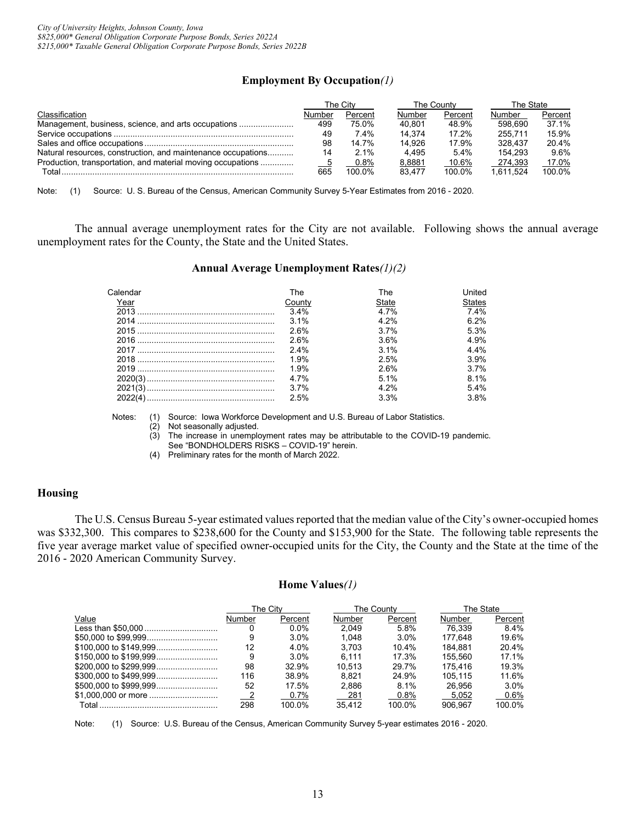# **Employment By Occupation***(1)*

|                                                              |        | The County<br>Гhe Citv |        |         | The State |         |
|--------------------------------------------------------------|--------|------------------------|--------|---------|-----------|---------|
| Classification                                               | Number | Percent                | Number | Percent | Number    | Percent |
| Management, business, science, and arts occupations          | 499    | 75.0%                  | 40.801 | 48.9%   | 598.690   | 37.1%   |
|                                                              | 49     | 7.4%                   | 14.374 | 17.2%   | 255.711   | 15.9%   |
|                                                              | 98     | 14.7%                  | 14.926 | 17.9%   | 328.437   | 20.4%   |
| Natural resources, construction, and maintenance occupations | 14     | $2.1\%$                | 4.495  | 5.4%    | 154.293   | 9.6%    |
| Production, transportation, and material moving occupations  |        | 0.8%                   | 8,8881 | 10.6%   | 274.393   | 17.0%   |
| Total                                                        | 665    | 100.0%                 | 83.477 | 100.0%  | 1.611.524 | 100.0%  |

Note: (1) Source: U. S. Bureau of the Census, American Community Survey 5-Year Estimates from 2016 - 2020.

The annual average unemployment rates for the City are not available. Following shows the annual average unemployment rates for the County, the State and the United States.

#### **Annual Average Unemployment Rates***(1)(2)*

| Calendar | The     | The          | Jnited        |
|----------|---------|--------------|---------------|
| Year     | Countv  | <b>State</b> | <b>States</b> |
|          | 3.4%    | 4 7%         | 74%           |
|          | $3.1\%$ | 4 2%         | 6.2%          |
|          | 26%     | 37%          | 5.3%          |
|          | 26%     | 3.6%         | 4.9%          |
|          | $2.4\%$ | $3.1\%$      | 4 4%          |
|          | 1.9%    | 2.5%         | 3.9%          |
|          | 1.9%    | 26%          | 3.7%          |
|          | 4.7%    | $5.1\%$      | 8.1%          |
|          | $3.7\%$ | 4 2%         | 54%           |
|          | 2.5%    | $3.3\%$      | 3.8%          |

Notes: (1) Source: Iowa Workforce Development and U.S. Bureau of Labor Statistics.

(2) Not seasonally adjusted.

(3) The increase in unemployment rates may be attributable to the COVID-19 pandemic.

See "BONDHOLDERS RISKS – COVID-19" herein.

(4) Preliminary rates for the month of March 2022.

#### <span id="page-16-0"></span>**Housing**

The U.S. Census Bureau 5-year estimated values reported that the median value of the City's owner-occupied homes was \$332,300. This compares to \$238,600 for the County and \$153,900 for the State. The following table represents the five year average market value of specified owner-occupied units for the City, the County and the State at the time of the 2016 - 2020 American Community Survey.

#### **Home Values***(1)*

|       |        | The Citv |        | The Countv | The State |         |
|-------|--------|----------|--------|------------|-----------|---------|
| Value | Number | Percent  | Number | Percent    | Number    | Percent |
|       |        | $0.0\%$  | 2.049  | 5.8%       | 76.339    | $8.4\%$ |
|       | 9      | $3.0\%$  | 1.048  | $3.0\%$    | 177.648   | 19.6%   |
|       | 12     | 4.0%     | 3.703  | 10.4%      | 184.881   | 20.4%   |
|       | 9      | $3.0\%$  | 6.111  | 17.3%      | 155.560   | 17.1%   |
|       | 98     | 32.9%    | 10.513 | 29.7%      | 175.416   | 19.3%   |
|       | 116    | 38.9%    | 8.821  | 24.9%      | 105.115   | 11.6%   |
|       | 52     | 17.5%    | 2.886  | 8.1%       | 26.956    | $3.0\%$ |
|       |        | $0.7\%$  | 281    | 0.8%       | 5.052     | $0.6\%$ |
|       | 298    | 100.0%   | 35.412 | 100.0%     | 906.967   | 100.0%  |

Note: (1) Source: U.S. Bureau of the Census, American Community Survey 5-year estimates 2016 - 2020.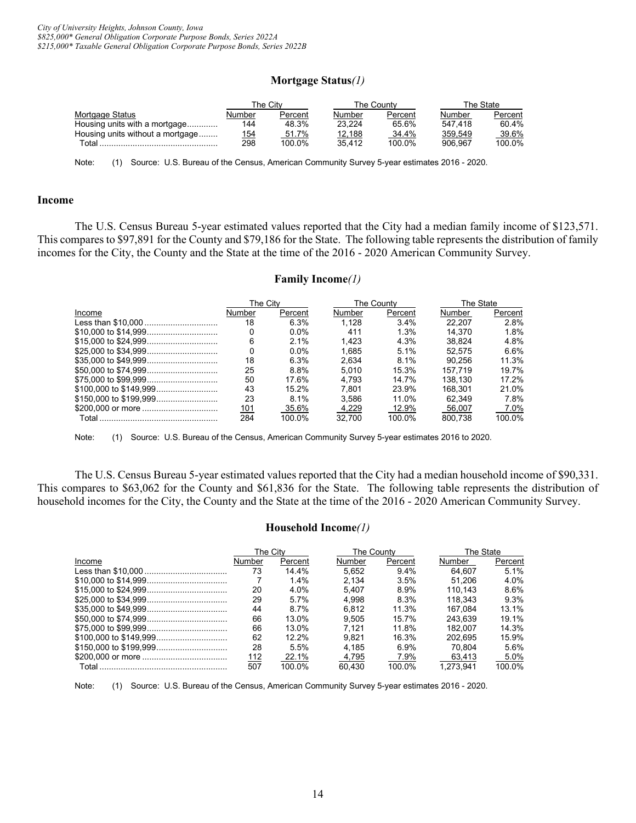#### **Mortgage Status***(1)*

|                                  |        | The Citv |        | The Countv |         | The State |
|----------------------------------|--------|----------|--------|------------|---------|-----------|
| Mortgage Status                  | Number | Percent  | Number | Percent    | Number  | Percent   |
| Housing units with a mortgage    | 144    | 48.3%    | 23.224 | 65.6%      | 547.418 | 60.4%     |
| Housing units without a mortgage | 154    | 51.7%    | 12,188 | 34.4%      | 359,549 | 39.6%     |
| Total.                           | 298    | 100.0%   | 35.412 | 100.0%     | 906.967 | 100.0%    |
|                                  |        |          |        |            |         |           |

Note: (1) Source: U.S. Bureau of the Census, American Community Survey 5-year estimates 2016 - 2020.

#### <span id="page-17-0"></span>**Income**

The U.S. Census Bureau 5-year estimated values reported that the City had a median family income of \$123,571. This compares to \$97,891 for the County and \$79,186 for the State. The following table represents the distribution of family incomes for the City, the County and the State at the time of the 2016 - 2020 American Community Survey.

# **Family Income***(1)*

|        | The Citv |         |        | The Countv | The State |         |  |
|--------|----------|---------|--------|------------|-----------|---------|--|
| Income | Number   | Percent | Number | Percent    | Number    | Percent |  |
|        | 18       | 6.3%    | 1.128  | 3.4%       | 22.207    | 2.8%    |  |
|        |          | $0.0\%$ | 411    | 1.3%       | 14.370    | 1.8%    |  |
|        | 6        | 2.1%    | 1.423  | 4.3%       | 38.824    | 4.8%    |  |
|        |          | $0.0\%$ | 1.685  | 5.1%       | 52.575    | 6.6%    |  |
|        | 18       | 6.3%    | 2.634  | 8.1%       | 90.256    | 11.3%   |  |
|        | 25       | 8.8%    | 5.010  | 15.3%      | 157.719   | 19.7%   |  |
|        | 50       | 17.6%   | 4.793  | 14.7%      | 138.130   | 17.2%   |  |
|        | 43       | 15.2%   | 7.801  | 23.9%      | 168.301   | 21.0%   |  |
|        | 23       | 8.1%    | 3.586  | 11.0%      | 62.349    | 7.8%    |  |
|        | 101      | 35.6%   | 4.229  | 12.9%      | 56.007    | 7.0%    |  |
|        | 284      | 100.0%  | 32.700 | 100.0%     | 800.738   | 100.0%  |  |

Note: (1) Source: U.S. Bureau of the Census, American Community Survey 5-year estimates 2016 to 2020.

The U.S. Census Bureau 5-year estimated values reported that the City had a median household income of \$90,331. This compares to \$63,062 for the County and \$61,836 for the State. The following table represents the distribution of household incomes for the City, the County and the State at the time of the 2016 - 2020 American Community Survey.

#### **Household Income***(1)*

|        | The City |         | The County |         | The State |         |
|--------|----------|---------|------------|---------|-----------|---------|
| Income | Number   | Percent | Number     | Percent | Number    | Percent |
|        | 73       | 14.4%   | 5.652      | 9.4%    | 64.607    | 5.1%    |
|        |          | 1.4%    | 2.134      | 3.5%    | 51.206    | 4.0%    |
|        | 20       | 4.0%    | 5.407      | 8.9%    | 110.143   | 8.6%    |
|        | 29       | 5.7%    | 4.998      | 8.3%    | 118.343   | 9.3%    |
|        | 44       | 8.7%    | 6.812      | 11.3%   | 167.084   | 13.1%   |
|        | 66       | 13.0%   | 9.505      | 15.7%   | 243.639   | 19.1%   |
|        | 66       | 13.0%   | 7.121      | 11.8%   | 182.007   | 14.3%   |
|        | 62       | 12.2%   | 9.821      | 16.3%   | 202.695   | 15.9%   |
|        | 28       | 5.5%    | 4.185      | 6.9%    | 70.804    | 5.6%    |
|        | 112      | 22.1%   | 4.795      | 7.9%    | 63.413    | 5.0%    |
|        | 507      | 100.0%  | 60.430     | 100.0%  | 1.273.941 | 100.0%  |

Note: (1) Source: U.S. Bureau of the Census, American Community Survey 5-year estimates 2016 - 2020.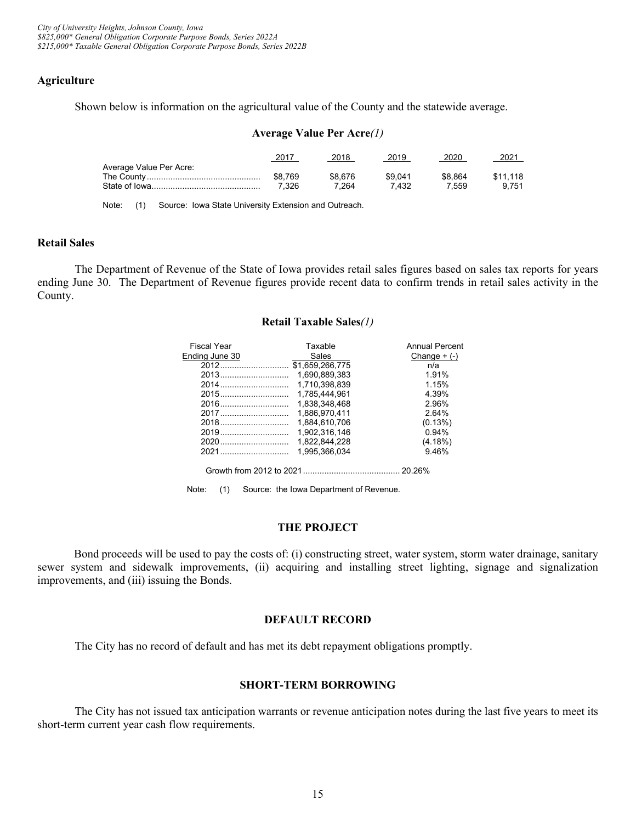# <span id="page-18-0"></span>**Agriculture**

Shown below is information on the agricultural value of the County and the statewide average.

#### **Average Value Per Acre***(1)*

| 2017    | 2018    | 2019    | 2020    | 202 <sup>.</sup> |
|---------|---------|---------|---------|------------------|
|         |         |         |         |                  |
| \$8.769 | \$8.676 | \$9 041 | \$8,864 | \$11.118         |
| 7.326   | 7.264   | 7 432   | 7.559   | 9.751            |
|         |         |         |         |                  |

Note: (1) Source: Iowa State University Extension and Outreach.

#### <span id="page-18-1"></span>**Retail Sales**

The Department of Revenue of the State of Iowa provides retail sales figures based on sales tax reports for years ending June 30. The Department of Revenue figures provide recent data to confirm trends in retail sales activity in the County.

#### **Retail Taxable Sales***(1)*

| <b>Fiscal Year</b> | Taxable         | <b>Annual Percent</b> |
|--------------------|-----------------|-----------------------|
| Ending June 30     | Sales           | Change $+$ $(-)$      |
|                    | \$1.659.266.775 | n/a                   |
|                    | 1.690.889.383   | 1.91%                 |
|                    | 1.710,398,839   | 1.15%                 |
|                    | 1.785.444.961   | 4.39%                 |
|                    | 1.838.348.468   | 2.96%                 |
| 2017               | 1.886.970.411   | 2.64%                 |
| 2018               | 1.884.610.706   | (0.13%)               |
| 2019               | 1.902.316.146   | 0.94%                 |
| 2020               | 1.822.844.228   | (4.18%)               |
| 2021               | 1.995.366.034   | 9.46%                 |
|                    |                 |                       |

Growth from 2012 to 2021......................................... 20.26%

Note: (1) Source: the Iowa Department of Revenue.

#### **THE PROJECT**

<span id="page-18-2"></span>Bond proceeds will be used to pay the costs of: (i) constructing street, water system, storm water drainage, sanitary sewer system and sidewalk improvements, (ii) acquiring and installing street lighting, signage and signalization improvements, and (iii) issuing the Bonds.

#### **DEFAULT RECORD**

<span id="page-18-3"></span>The City has no record of default and has met its debt repayment obligations promptly.

# **SHORT-TERM BORROWING**

<span id="page-18-4"></span>The City has not issued tax anticipation warrants or revenue anticipation notes during the last five years to meet its short-term current year cash flow requirements.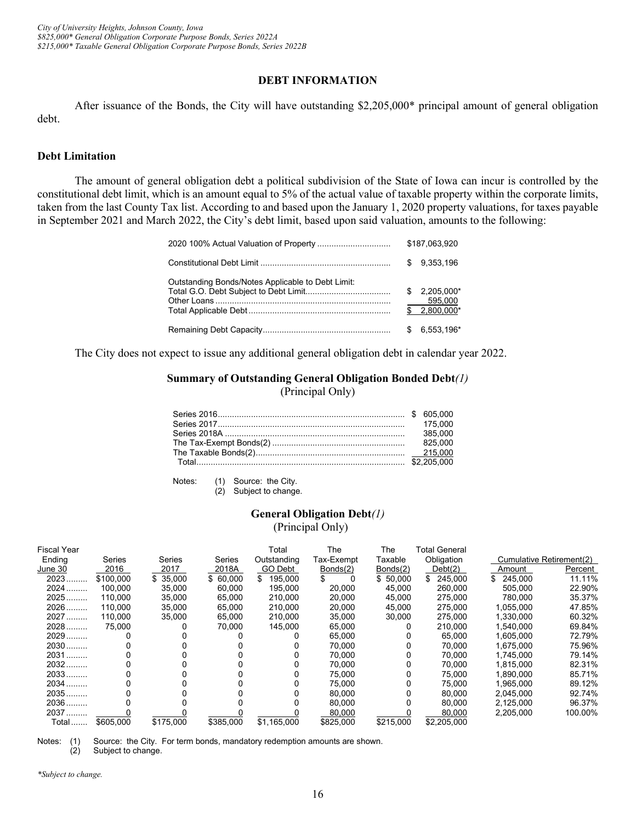#### **DEBT INFORMATION**

<span id="page-19-0"></span>After issuance of the Bonds, the City will have outstanding \$2,205,000\* principal amount of general obligation debt.

#### <span id="page-19-1"></span>**Debt Limitation**

The amount of general obligation debt a political subdivision of the State of Iowa can incur is controlled by the constitutional debt limit, which is an amount equal to 5% of the actual value of taxable property within the corporate limits, taken from the last County Tax list. According to and based upon the January 1, 2020 property valuations, for taxes payable in September 2021 and March 2022, the City's debt limit, based upon said valuation, amounts to the following:

|                                                   |   | \$187,063,920                             |
|---------------------------------------------------|---|-------------------------------------------|
|                                                   |   | \$9.353.196                               |
| Outstanding Bonds/Notes Applicable to Debt Limit: |   | $$2.205.000*$<br>595,000<br>$$2,800,000*$ |
|                                                   | S | 6.553.196*                                |

The City does not expect to issue any additional general obligation debt in calendar year 2022.

# **Summary of Outstanding General Obligation Bonded Debt***(1)* (Principal Only)

|  | 175,000 |
|--|---------|
|  | 385,000 |
|  | 825,000 |
|  |         |
|  |         |

Notes: (1) Source: the City.

(2) Subject to change.

# **General Obligation Debt***(1)*

(Principal Only)

| <b>Fiscal Year</b> |           |           |           | Total         | The        | The       | <b>Total General</b> |           |                          |
|--------------------|-----------|-----------|-----------|---------------|------------|-----------|----------------------|-----------|--------------------------|
| Ending             | Series    | Series    | Series    | Outstanding   | Tax-Exempt | Taxable   | Obligation           |           | Cumulative Retirement(2) |
| June 30            | 2016      | 2017      | 2018A     | GO Debt       | Bonds(2)   | Bonds(2)  | Debt(2)              | Amount    | Percent                  |
| 2023.              | \$100.000 | \$35,000  | \$60,000  | 195,000<br>\$ |            | \$50,000  | 245,000              | \$245,000 | 11.11%                   |
| $2024$             | 100.000   | 35,000    | 60.000    | 195,000       | 20,000     | 45.000    | 260,000              | 505.000   | 22.90%                   |
| $2025$             | 110.000   | 35.000    | 65.000    | 210.000       | 20,000     | 45.000    | 275.000              | 780.000   | 35.37%                   |
| 2026               | 110.000   | 35,000    | 65,000    | 210,000       | 20,000     | 45,000    | 275,000              | 1,055,000 | 47.85%                   |
| 2027               | 110.000   | 35,000    | 65.000    | 210,000       | 35,000     | 30.000    | 275,000              | 1.330.000 | 60.32%                   |
| 2028               | 75,000    |           | 70.000    | 145.000       | 65,000     | 0         | 210,000              | 1.540.000 | 69.84%                   |
| $2029$             |           |           |           |               | 65,000     | 0         | 65,000               | 1,605,000 | 72.79%                   |
| $2030$             |           |           |           |               | 70,000     | 0         | 70,000               | 1,675,000 | 75.96%                   |
| 2031               |           |           |           |               | 70.000     | 0         | 70.000               | 1.745.000 | 79.14%                   |
| $2032$             |           |           |           |               | 70.000     | 0         | 70,000               | 1,815,000 | 82.31%                   |
| 2033               |           |           |           |               | 75.000     | 0         | 75,000               | 1.890.000 | 85.71%                   |
| 2034               |           |           |           |               | 75,000     | 0         | 75,000               | 1,965,000 | 89.12%                   |
| 2035               |           |           |           |               | 80.000     | 0         | 80,000               | 2.045.000 | 92.74%                   |
| 2036               |           |           |           |               | 80.000     | 0         | 80.000               | 2,125,000 | 96.37%                   |
| 2037               |           |           |           |               | 80,000     |           | 80,000               | 2,205,000 | 100.00%                  |
| Total              | \$605.000 | \$175,000 | \$385,000 | \$1,165,000   | \$825,000  | \$215.000 | \$2,205,000          |           |                          |

Notes: (1) Source: the City. For term bonds, mandatory redemption amounts are shown. (2) Subject to change.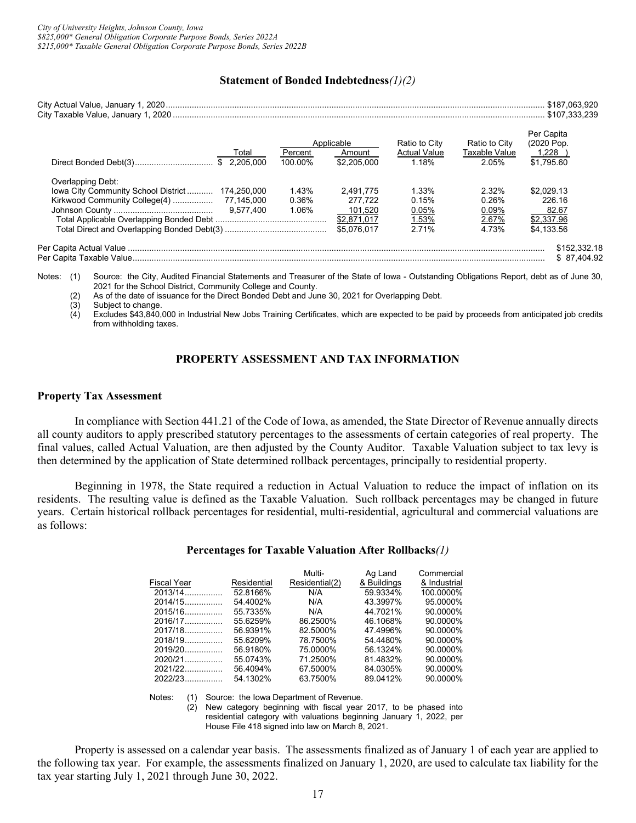#### **Statement of Bonded Indebtedness***(1)(2)*

|                                                 |         | Applicable  | Ratio to City       | Ratio to City | Per Capita<br>(2020 Pop. |
|-------------------------------------------------|---------|-------------|---------------------|---------------|--------------------------|
| Total                                           | Percent | Amount      | <b>Actual Value</b> | Taxable Value | 1,228                    |
| \$2.205.000                                     | 100.00% | \$2,205,000 | 1.18%               | 2.05%         | \$1.795.60               |
| Overlapping Debt:                               |         |             |                     |               |                          |
| lowa City Community School District 174,250,000 | 1.43%   | 2.491.775   | 1.33%               | 2.32%         | \$2.029.13               |
|                                                 | 0.36%   | 277.722     | 0.15%               | 0.26%         | 226.16                   |
|                                                 | 1.06%   | 101.520     | 0.05%               | 0.09%         | 82.67                    |
|                                                 |         | \$2,871,017 | 1.53%               | 2.67%         | \$2,337.96               |
|                                                 |         | \$5.076.017 | 2 7 1%              | 4.73%         | \$4.133.56               |

Notes: (1) Source: the City, Audited Financial Statements and Treasurer of the State of Iowa - Outstanding Obligations Report, debt as of June 30, 2021 for the School District, Community College and County.

(2) As of the date of issuance for the Direct Bonded Debt and June 30, 2021 for Overlapping Debt.

Subject to change.

 $\dot{A}$  Excludes \$43,840,000 in Industrial New Jobs Training Certificates, which are expected to be paid by proceeds from anticipated job credits from withholding taxes.

# **PROPERTY ASSESSMENT AND TAX INFORMATION**

#### <span id="page-20-1"></span><span id="page-20-0"></span>**Property Tax Assessment**

In compliance with Section 441.21 of the Code of Iowa, as amended, the State Director of Revenue annually directs all county auditors to apply prescribed statutory percentages to the assessments of certain categories of real property. The final values, called Actual Valuation, are then adjusted by the County Auditor. Taxable Valuation subject to tax levy is then determined by the application of State determined rollback percentages, principally to residential property.

Beginning in 1978, the State required a reduction in Actual Valuation to reduce the impact of inflation on its residents. The resulting value is defined as the Taxable Valuation. Such rollback percentages may be changed in future years. Certain historical rollback percentages for residential, multi-residential, agricultural and commercial valuations are as follows:

#### **Percentages for Taxable Valuation After Rollbacks***(1)*

|                    |             | Multi-         | Ag Land     | Commercial   |
|--------------------|-------------|----------------|-------------|--------------|
| <b>Fiscal Year</b> | Residential | Residential(2) | & Buildings | & Industrial |
| $2013/14$          | 52.8166%    | N/A            | 59.9334%    | 100.0000%    |
| $2014/15$          | 54.4002%    | N/A            | 43.3997%    | 95.0000%     |
| $2015/16$          | 55.7335%    | N/A            | 44.7021%    | 90.0000%     |
| $2016/17$          | 55.6259%    | 86.2500%       | 46.1068%    | 90.0000%     |
| $2017/18$          | 56.9391%    | 82.5000%       | 47.4996%    | 90.0000%     |
| $2018/19$          | 55.6209%    | 78.7500%       | 54.4480%    | 90.0000%     |
| $2019/20$          | 56.9180%    | 75.0000%       | 56.1324%    | 90.0000%     |
| $2020/21$          | 55.0743%    | 71.2500%       | 81.4832%    | 90.0000%     |
| $2021/22$          | 56.4094%    | 67.5000%       | 84.0305%    | 90.0000%     |
| $2022/23$          | 54.1302%    | 63.7500%       | 89.0412%    | 90.0000%     |

Notes: (1) Source: the Iowa Department of Revenue.<br>(2) New category beginning with fiscal year

New category beginning with fiscal year 2017, to be phased into residential category with valuations beginning January 1, 2022, per House File 418 signed into law on March 8, 2021.

Property is assessed on a calendar year basis. The assessments finalized as of January 1 of each year are applied to the following tax year. For example, the assessments finalized on January 1, 2020, are used to calculate tax liability for the tax year starting July 1, 2021 through June 30, 2022.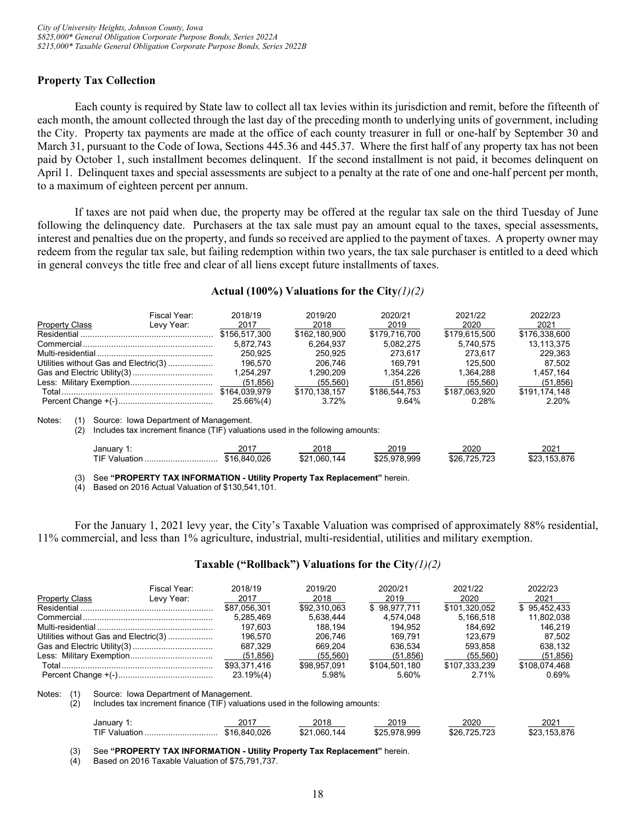# <span id="page-21-0"></span>**Property Tax Collection**

Each county is required by State law to collect all tax levies within its jurisdiction and remit, before the fifteenth of each month, the amount collected through the last day of the preceding month to underlying units of government, including the City. Property tax payments are made at the office of each county treasurer in full or one-half by September 30 and March 31, pursuant to the Code of Iowa, Sections 445.36 and 445.37. Where the first half of any property tax has not been paid by October 1, such installment becomes delinquent. If the second installment is not paid, it becomes delinquent on April 1. Delinquent taxes and special assessments are subject to a penalty at the rate of one and one-half percent per month, to a maximum of eighteen percent per annum.

If taxes are not paid when due, the property may be offered at the regular tax sale on the third Tuesday of June following the delinquency date. Purchasers at the tax sale must pay an amount equal to the taxes, special assessments, interest and penalties due on the property, and funds so received are applied to the payment of taxes. A property owner may redeem from the regular tax sale, but failing redemption within two years, the tax sale purchaser is entitled to a deed which in general conveys the title free and clear of all liens except future installments of taxes.

#### **Actual (100%) Valuations for the City***(1)(2)*

|                       | Fiscal Year:                                                                                                             | 2018/19              | 2019/20              | 2020/21              | 2021/22              | 2022/23              |
|-----------------------|--------------------------------------------------------------------------------------------------------------------------|----------------------|----------------------|----------------------|----------------------|----------------------|
| <b>Property Class</b> | Levy Year:                                                                                                               | 2017                 | 2018                 | 2019                 | 2020                 | 2021                 |
|                       |                                                                                                                          | \$156,517,300        | \$162,180,900        | \$179,716,700        | \$179,615,500        | \$176,338,600        |
|                       |                                                                                                                          | 5.872.743            | 6.264.937            | 5.082.275            | 5.740.575            | 13.113.375           |
|                       |                                                                                                                          | 250.925              | 250.925              | 273.617              | 273.617              | 229.363              |
|                       | Utilities without Gas and Electric(3)                                                                                    | 196.570              | 206.746              | 169.791              | 125.500              | 87.502               |
|                       |                                                                                                                          | 1.254.297            | 1.290.209            | 1.354.226            | 1.364.288            | 1.457.164            |
|                       |                                                                                                                          | (51, 856)            | (55, 560)            | (51, 856)            | (55, 560)            | (51, 856)            |
|                       |                                                                                                                          | \$164.039.979        | \$170.138.157        | \$186,544.753        | \$187.063.920        | \$191.174.148        |
|                       |                                                                                                                          | $25.66\%(4)$         | 3.72%                | 9.64%                | 0.28%                | 2.20%                |
| Notes:<br>(1)<br>(2)  | Source: Iowa Department of Management.<br>Includes tax increment finance (TIF) valuations used in the following amounts: |                      |                      |                      |                      |                      |
|                       | January 1:<br>TIF Valuation                                                                                              | 2017<br>\$16.840.026 | 2018<br>\$21.060.144 | 2019<br>\$25.978.999 | 2020<br>\$26.725.723 | 2021<br>\$23.153.876 |

(3) See **"PROPERTY TAX INFORMATION - Utility Property Tax Replacement"** herein.

(4) Based on 2016 Actual Valuation of \$130,541,101.

For the January 1, 2021 levy year, the City's Taxable Valuation was comprised of approximately 88% residential, 11% commercial, and less than 1% agriculture, industrial, multi-residential, utilities and military exemption.

#### **Taxable ("Rollback") Valuations for the City***(1)(2)*

|                       | Fiscal Year:                                                                                                             | 2018/19      | 2019/20      | 2020/21       | 2021/22       | 2022/23       |
|-----------------------|--------------------------------------------------------------------------------------------------------------------------|--------------|--------------|---------------|---------------|---------------|
| <b>Property Class</b> | Levy Year:                                                                                                               | 2017         | 2018         | 2019          | 2020          | 2021          |
|                       |                                                                                                                          | \$87,056,301 | \$92,310,063 | \$98,977,711  | \$101,320,052 | \$95,452,433  |
|                       |                                                                                                                          | 5,285,469    | 5.638.444    | 4.574.048     | 5.166.518     | 11,802,038    |
|                       |                                                                                                                          | 197.603      | 188.194      | 194.952       | 184.692       | 146.219       |
|                       | Utilities without Gas and Electric(3)                                                                                    | 196.570      | 206.746      | 169.791       | 123.679       | 87.502        |
|                       |                                                                                                                          | 687.329      | 669.204      | 636.534       | 593.858       | 638.132       |
|                       |                                                                                                                          | (51, 856)    | (55, 560)    | (51, 856)     | (55, 560)     | (51, 856)     |
|                       |                                                                                                                          | \$93.371.416 | \$98.957.091 | \$104.501.180 | \$107.333.239 | \$108,074,468 |
|                       |                                                                                                                          | $23.19\%(4)$ | 5.98%        | 5.60%         | 2.71%         | 0.69%         |
| Notes:<br>(1)<br>(2)  | Source: Iowa Department of Management.<br>Includes tax increment finance (TIF) valuations used in the following amounts: |              |              |               |               |               |
|                       | January 1:                                                                                                               | 2017         | 2018         | 2019          | 2020          | 2021          |
|                       | <b>TIF Valuation</b>                                                                                                     | \$16,840,026 | \$21.060.144 | \$25,978,999  | \$26,725,723  | \$23,153,876  |
| (3)                   | See "PROPERTY TAY INFORMATION - Hillity Property Tay Replacement" berein                                                 |              |              |               |               |               |

(3) See **"PROPERTY TAX INFORMATION - Utility Property Tax Replacement"** herein.

Based on 2016 Taxable Valuation of \$75,791,737.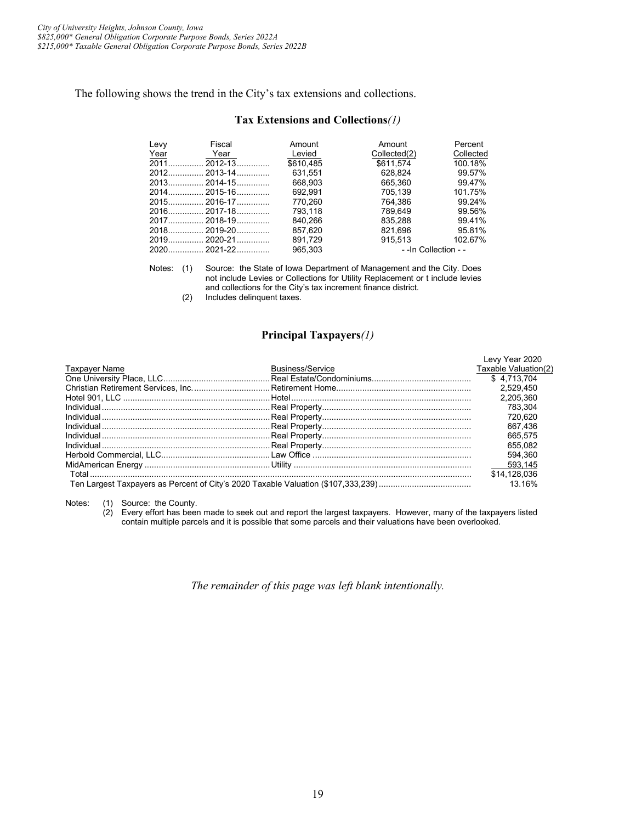The following shows the trend in the City's tax extensions and collections.

#### **Tax Extensions and Collections***(1)*

| Levy   | Fiscal       | Amount    | Amount                | Percent   |
|--------|--------------|-----------|-----------------------|-----------|
| Year   | Year         | Levied    | Collected(2)          | Collected |
| $2011$ | $2012 - 13$  | \$610.485 | \$611.574             | 100.18%   |
|        |              | 631.551   | 628.824               | 99.57%    |
|        |              | 668.903   | 665.360               | 99.47%    |
|        |              | 692.991   | 705.139               | 101.75%   |
|        |              | 770.260   | 764.386               | 99.24%    |
|        |              | 793.118   | 789.649               | 99.56%    |
|        |              | 840.266   | 835.288               | 99.41%    |
|        |              | 857.620   | 821.696               | 95.81%    |
|        | 2019 2020-21 | 891.729   | 915.513               | 102.67%   |
|        |              | 965.303   | - - In Collection - - |           |

Notes: (1) Source: the State of Iowa Department of Management and the City. Does not include Levies or Collections for Utility Replacement or t include levies and collections for the City's tax increment finance district.

(2) Includes delinquent taxes.

#### **Principal Taxpayers***(1)*

|                         | Levy Year 2020       |
|-------------------------|----------------------|
| <b>Business/Service</b> | Taxable Valuation(2) |
|                         | \$4.713.704          |
|                         | 2.529.450            |
|                         | 2.205.360            |
|                         | 783.304              |
|                         | 720.620              |
|                         | 667.436              |
|                         | 665.575              |
|                         | 655.082              |
|                         | 594.360              |
|                         | 593.145              |
|                         | \$14,128,036         |
|                         | 13 16%               |
|                         |                      |

Notes: (1) Source: the County.

(2) Every effort has been made to seek out and report the largest taxpayers. However, many of the taxpayers listed contain multiple parcels and it is possible that some parcels and their valuations have been overlooked.

*The remainder of this page was left blank intentionally.*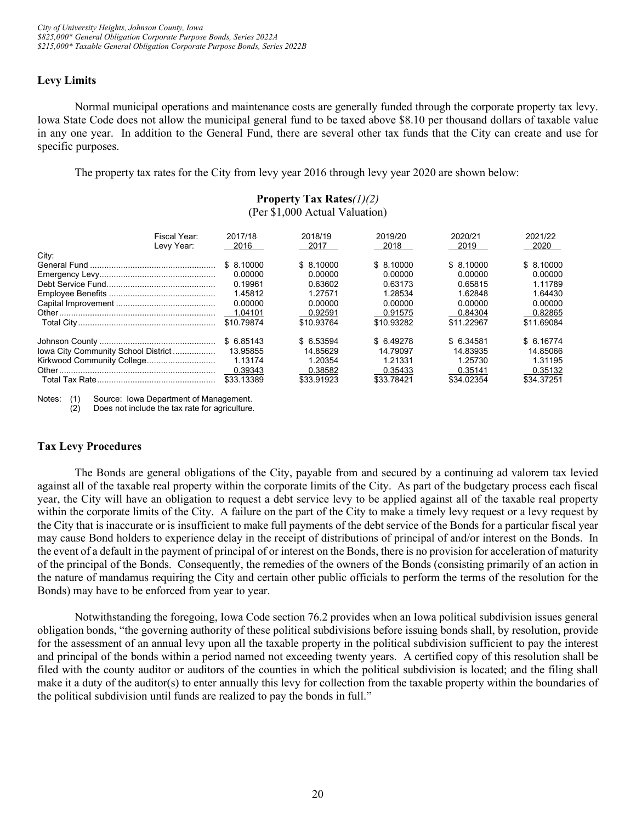# <span id="page-23-0"></span>**Levy Limits**

Normal municipal operations and maintenance costs are generally funded through the corporate property tax levy. Iowa State Code does not allow the municipal general fund to be taxed above \$8.10 per thousand dollars of taxable value in any one year. In addition to the General Fund, there are several other tax funds that the City can create and use for specific purposes.

The property tax rates for the City from levy year 2016 through levy year 2020 are shown below:

# **Property Tax Rates***(1)(2)* (Per \$1,000 Actual Valuation)

| Fiscal Year:<br>Levy Year:          | 2017/18<br>2016 | 2018/19<br>2017 | 2019/20<br>2018 | 2020/21<br>2019 | 2021/22<br>2020 |
|-------------------------------------|-----------------|-----------------|-----------------|-----------------|-----------------|
| City:                               |                 |                 |                 |                 |                 |
|                                     | \$ 8.10000      | \$ 8.10000      | \$ 8.10000      | \$ 8.10000      | \$ 8.10000      |
|                                     | 0.00000         | 0.00000         | 0.00000         | 0.00000         | 0.00000         |
|                                     | 0.19961         | 0.63602         | 0.63173         | 0.65815         | 1.11789         |
|                                     | 1.45812         | 1.27571         | 1.28534         | 1.62848         | 1.64430         |
|                                     | 0.00000         | 0.00000         | 0.00000         | 0.00000         | 0.00000         |
|                                     | 1.04101         | 0.92591         | 0.91575         | 0.84304         | 0.82865         |
|                                     | \$10.79874      | \$10.93764      | \$10.93282      | \$11.22967      | \$11.69084      |
|                                     | \$6.85143       | \$ 6.53594      | \$ 6.49278      | \$ 6.34581      | \$ 6.16774      |
| lowa City Community School District | 13.95855        | 14.85629        | 14.79097        | 14.83935        | 14.85066        |
| Kirkwood Community College          | 1.13174         | 1.20354         | 1.21331         | 1.25730         | 1.31195         |
|                                     | 0.39343         | 0.38582         | 0.35433         | 0.35141         | 0.35132         |
|                                     | \$33.13389      | \$33.91923      | \$33.78421      | \$34,02354      | \$34.37251      |

Notes: (1) Source: Iowa Department of Management.

(2) Does not include the tax rate for agriculture.

# <span id="page-23-1"></span>**Tax Levy Procedures**

The Bonds are general obligations of the City, payable from and secured by a continuing ad valorem tax levied against all of the taxable real property within the corporate limits of the City. As part of the budgetary process each fiscal year, the City will have an obligation to request a debt service levy to be applied against all of the taxable real property within the corporate limits of the City. A failure on the part of the City to make a timely levy request or a levy request by the City that is inaccurate or is insufficient to make full payments of the debt service of the Bonds for a particular fiscal year may cause Bond holders to experience delay in the receipt of distributions of principal of and/or interest on the Bonds. In the event of a default in the payment of principal of or interest on the Bonds, there is no provision for acceleration of maturity of the principal of the Bonds. Consequently, the remedies of the owners of the Bonds (consisting primarily of an action in the nature of mandamus requiring the City and certain other public officials to perform the terms of the resolution for the Bonds) may have to be enforced from year to year.

Notwithstanding the foregoing, Iowa Code section 76.2 provides when an Iowa political subdivision issues general obligation bonds, "the governing authority of these political subdivisions before issuing bonds shall, by resolution, provide for the assessment of an annual levy upon all the taxable property in the political subdivision sufficient to pay the interest and principal of the bonds within a period named not exceeding twenty years. A certified copy of this resolution shall be filed with the county auditor or auditors of the counties in which the political subdivision is located; and the filing shall make it a duty of the auditor(s) to enter annually this levy for collection from the taxable property within the boundaries of the political subdivision until funds are realized to pay the bonds in full."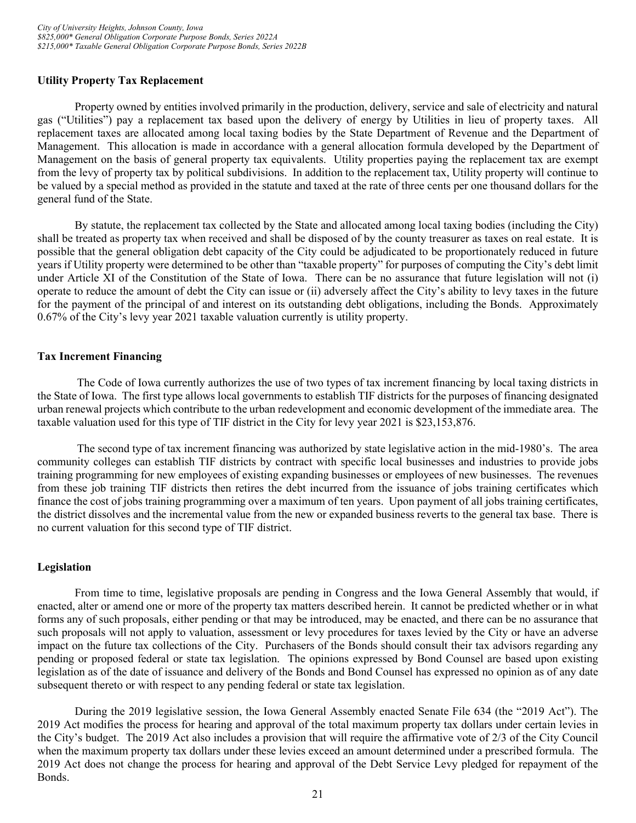# <span id="page-24-0"></span>**Utility Property Tax Replacement**

Property owned by entities involved primarily in the production, delivery, service and sale of electricity and natural gas ("Utilities") pay a replacement tax based upon the delivery of energy by Utilities in lieu of property taxes. All replacement taxes are allocated among local taxing bodies by the State Department of Revenue and the Department of Management. This allocation is made in accordance with a general allocation formula developed by the Department of Management on the basis of general property tax equivalents. Utility properties paying the replacement tax are exempt from the levy of property tax by political subdivisions. In addition to the replacement tax, Utility property will continue to be valued by a special method as provided in the statute and taxed at the rate of three cents per one thousand dollars for the general fund of the State.

By statute, the replacement tax collected by the State and allocated among local taxing bodies (including the City) shall be treated as property tax when received and shall be disposed of by the county treasurer as taxes on real estate. It is possible that the general obligation debt capacity of the City could be adjudicated to be proportionately reduced in future years if Utility property were determined to be other than "taxable property" for purposes of computing the City's debt limit under Article XI of the Constitution of the State of Iowa. There can be no assurance that future legislation will not (i) operate to reduce the amount of debt the City can issue or (ii) adversely affect the City's ability to levy taxes in the future for the payment of the principal of and interest on its outstanding debt obligations, including the Bonds. Approximately 0.67% of the City's levy year 2021 taxable valuation currently is utility property.

# <span id="page-24-1"></span>**Tax Increment Financing**

The Code of Iowa currently authorizes the use of two types of tax increment financing by local taxing districts in the State of Iowa. The first type allows local governments to establish TIF districts for the purposes of financing designated urban renewal projects which contribute to the urban redevelopment and economic development of the immediate area. The taxable valuation used for this type of TIF district in the City for levy year 2021 is \$23,153,876.

The second type of tax increment financing was authorized by state legislative action in the mid-1980's. The area community colleges can establish TIF districts by contract with specific local businesses and industries to provide jobs training programming for new employees of existing expanding businesses or employees of new businesses. The revenues from these job training TIF districts then retires the debt incurred from the issuance of jobs training certificates which finance the cost of jobs training programming over a maximum of ten years. Upon payment of all jobs training certificates, the district dissolves and the incremental value from the new or expanded business reverts to the general tax base. There is no current valuation for this second type of TIF district.

# <span id="page-24-2"></span>**Legislation**

From time to time, legislative proposals are pending in Congress and the Iowa General Assembly that would, if enacted, alter or amend one or more of the property tax matters described herein. It cannot be predicted whether or in what forms any of such proposals, either pending or that may be introduced, may be enacted, and there can be no assurance that such proposals will not apply to valuation, assessment or levy procedures for taxes levied by the City or have an adverse impact on the future tax collections of the City. Purchasers of the Bonds should consult their tax advisors regarding any pending or proposed federal or state tax legislation. The opinions expressed by Bond Counsel are based upon existing legislation as of the date of issuance and delivery of the Bonds and Bond Counsel has expressed no opinion as of any date subsequent thereto or with respect to any pending federal or state tax legislation.

During the 2019 legislative session, the Iowa General Assembly enacted Senate File 634 (the "2019 Act"). The 2019 Act modifies the process for hearing and approval of the total maximum property tax dollars under certain levies in the City's budget. The 2019 Act also includes a provision that will require the affirmative vote of 2/3 of the City Council when the maximum property tax dollars under these levies exceed an amount determined under a prescribed formula. The 2019 Act does not change the process for hearing and approval of the Debt Service Levy pledged for repayment of the Bonds.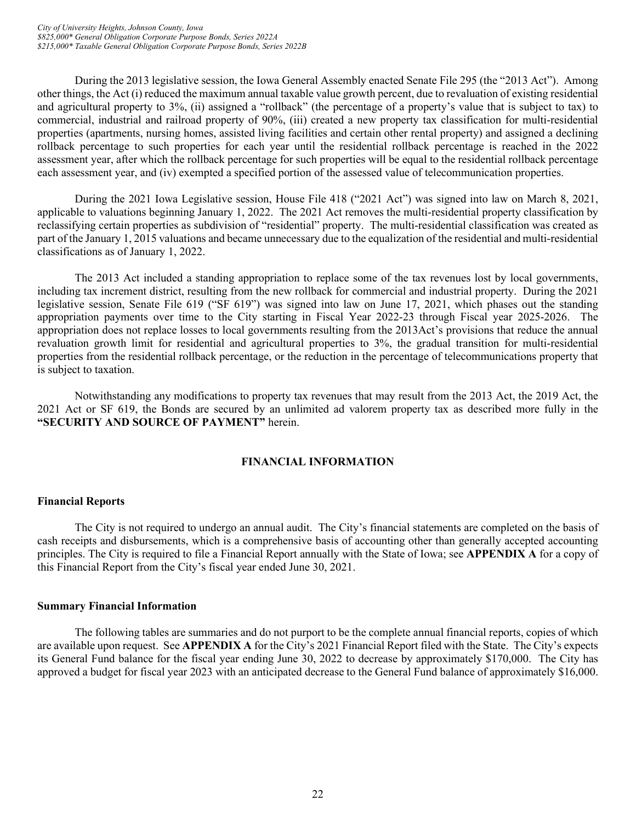During the 2013 legislative session, the Iowa General Assembly enacted Senate File 295 (the "2013 Act"). Among other things, the Act (i) reduced the maximum annual taxable value growth percent, due to revaluation of existing residential and agricultural property to 3%, (ii) assigned a "rollback" (the percentage of a property's value that is subject to tax) to commercial, industrial and railroad property of 90%, (iii) created a new property tax classification for multi-residential properties (apartments, nursing homes, assisted living facilities and certain other rental property) and assigned a declining rollback percentage to such properties for each year until the residential rollback percentage is reached in the 2022 assessment year, after which the rollback percentage for such properties will be equal to the residential rollback percentage each assessment year, and (iv) exempted a specified portion of the assessed value of telecommunication properties.

During the 2021 Iowa Legislative session, House File 418 ("2021 Act") was signed into law on March 8, 2021, applicable to valuations beginning January 1, 2022. The 2021 Act removes the multi-residential property classification by reclassifying certain properties as subdivision of "residential" property. The multi-residential classification was created as part of the January 1, 2015 valuations and became unnecessary due to the equalization of the residential and multi-residential classifications as of January 1, 2022.

The 2013 Act included a standing appropriation to replace some of the tax revenues lost by local governments, including tax increment district, resulting from the new rollback for commercial and industrial property. During the 2021 legislative session, Senate File 619 ("SF 619") was signed into law on June 17, 2021, which phases out the standing appropriation payments over time to the City starting in Fiscal Year 2022-23 through Fiscal year 2025-2026. The appropriation does not replace losses to local governments resulting from the 2013Act's provisions that reduce the annual revaluation growth limit for residential and agricultural properties to 3%, the gradual transition for multi-residential properties from the residential rollback percentage, or the reduction in the percentage of telecommunications property that is subject to taxation.

Notwithstanding any modifications to property tax revenues that may result from the 2013 Act, the 2019 Act, the 2021 Act or SF 619, the Bonds are secured by an unlimited ad valorem property tax as described more fully in the **"SECURITY AND SOURCE OF PAYMENT"** herein.

# **FINANCIAL INFORMATION**

# <span id="page-25-1"></span><span id="page-25-0"></span>**Financial Reports**

The City is not required to undergo an annual audit. The City's financial statements are completed on the basis of cash receipts and disbursements, which is a comprehensive basis of accounting other than generally accepted accounting principles. The City is required to file a Financial Report annually with the State of Iowa; see **APPENDIX A** for a copy of this Financial Report from the City's fiscal year ended June 30, 2021.

# <span id="page-25-2"></span>**Summary Financial Information**

The following tables are summaries and do not purport to be the complete annual financial reports, copies of which are available upon request. See **APPENDIX A** for the City's 2021 Financial Report filed with the State. The City's expects its General Fund balance for the fiscal year ending June 30, 2022 to decrease by approximately \$170,000. The City has approved a budget for fiscal year 2023 with an anticipated decrease to the General Fund balance of approximately \$16,000.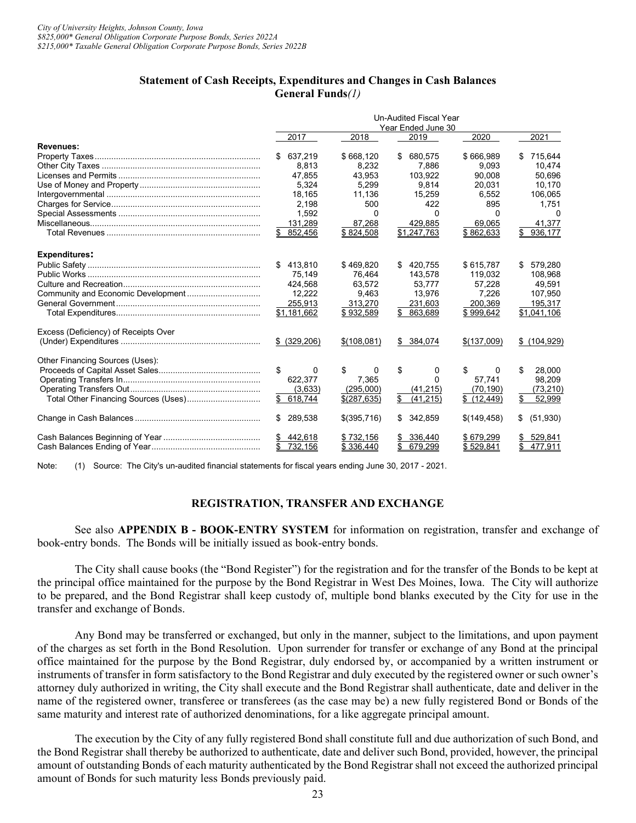#### **Statement of Cash Receipts, Expenditures and Changes in Cash Balances General Funds***(1)*

|                                      | <b>Un-Audited Fiscal Year</b><br>Year Ended June 30 |             |                 |             |                 |
|--------------------------------------|-----------------------------------------------------|-------------|-----------------|-------------|-----------------|
|                                      | 2017                                                | 2018        | 2019            | 2020        | 2021            |
| <b>Revenues:</b>                     |                                                     |             |                 |             |                 |
|                                      | \$637,219                                           | \$668,120   | 680,575<br>\$   | \$666,989   | 715,644<br>\$   |
|                                      | 8.813                                               | 8.232       | 7.886           | 9.093       | 10,474          |
|                                      | 47.855                                              | 43.953      | 103,922         | 90.008      | 50,696          |
|                                      | 5.324                                               | 5.299       | 9.814           | 20.031      | 10.170          |
|                                      | 18,165                                              | 11,136      | 15,259          | 6,552       | 106,065         |
|                                      | 2.198                                               | 500         | 422             | 895         | 1,751           |
|                                      | 1,592                                               | 0           | 0               | 0           | 0               |
|                                      | 131,289                                             | 87,268      | 429,885         | 69,065      | 41,377          |
|                                      | 852,456<br>\$                                       | \$824,508   | \$1,247,763     | \$862,633   | 936,177<br>\$   |
| <b>Expenditures:</b>                 |                                                     |             |                 |             |                 |
|                                      | 413.810<br>\$                                       | \$469,820   | \$420.755       | \$615,787   | 579.280<br>\$   |
|                                      | 75,149                                              | 76.464      | 143,578         | 119.032     | 108,968         |
|                                      | 424.568                                             | 63.572      | 53.777          | 57.228      | 49,591          |
| Community and Economic Development   | 12.222                                              | 9.463       | 13,976          | 7.226       | 107,950         |
|                                      | 255,913                                             | 313,270     | 231,603         | 200,369     | 195,317         |
|                                      | \$1,181,662                                         | \$932,589   | 863,689         | \$999,642   | \$1,041,106     |
| Excess (Deficiency) of Receipts Over |                                                     |             |                 |             |                 |
|                                      | \$ (329, 206)                                       | \$(108,081) | \$ 384,074      | \$(137,009) | \$(104, 929)    |
| Other Financing Sources (Uses):      |                                                     |             |                 |             |                 |
|                                      | \$<br>0                                             | \$<br>0     | \$<br>0         | \$<br>0     | \$<br>28.000    |
|                                      | 622.377                                             | 7.365       | <sup>0</sup>    | 57.741      | 98.209          |
|                                      | (3,633)                                             | (295.000)   | (41, 215)       | (70, 190)   | (73, 210)       |
|                                      | \$618,744                                           | \$(287,635) | \$<br>(41, 215) | \$(12, 449) | \$<br>52,999    |
|                                      | 289,538<br>\$                                       | \$(395,716) | \$<br>342,859   | \$(149,458) | \$<br>(51, 930) |
|                                      | \$442,618                                           | \$732,156   | 336,440<br>S    | \$679,299   | 529,841<br>\$   |
|                                      | 732,156                                             | \$336.440   | 679,299         | \$529,841   | \$<br>477.911   |

Note: (1) Source: The City's un-audited financial statements for fiscal years ending June 30, 2017 - 2021.

# **REGISTRATION, TRANSFER AND EXCHANGE**

<span id="page-26-0"></span>See also **APPENDIX B - BOOK-ENTRY SYSTEM** for information on registration, transfer and exchange of book-entry bonds. The Bonds will be initially issued as book-entry bonds.

The City shall cause books (the "Bond Register") for the registration and for the transfer of the Bonds to be kept at the principal office maintained for the purpose by the Bond Registrar in West Des Moines, Iowa. The City will authorize to be prepared, and the Bond Registrar shall keep custody of, multiple bond blanks executed by the City for use in the transfer and exchange of Bonds.

Any Bond may be transferred or exchanged, but only in the manner, subject to the limitations, and upon payment of the charges as set forth in the Bond Resolution. Upon surrender for transfer or exchange of any Bond at the principal office maintained for the purpose by the Bond Registrar, duly endorsed by, or accompanied by a written instrument or instruments of transfer in form satisfactory to the Bond Registrar and duly executed by the registered owner or such owner's attorney duly authorized in writing, the City shall execute and the Bond Registrar shall authenticate, date and deliver in the name of the registered owner, transferee or transferees (as the case may be) a new fully registered Bond or Bonds of the same maturity and interest rate of authorized denominations, for a like aggregate principal amount.

The execution by the City of any fully registered Bond shall constitute full and due authorization of such Bond, and the Bond Registrar shall thereby be authorized to authenticate, date and deliver such Bond, provided, however, the principal amount of outstanding Bonds of each maturity authenticated by the Bond Registrar shall not exceed the authorized principal amount of Bonds for such maturity less Bonds previously paid.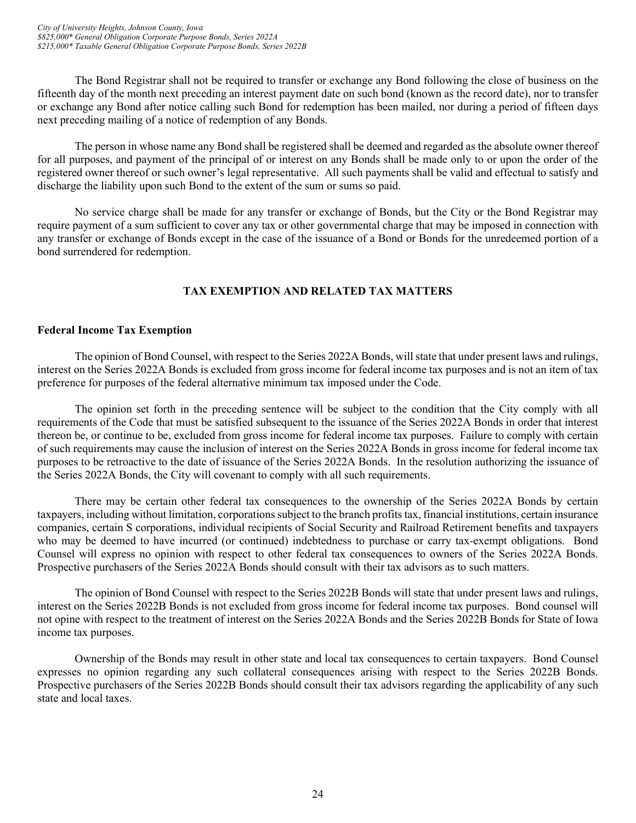The Bond Registrar shall not be required to transfer or exchange any Bond following the close of business on the fifteenth day of the month next preceding an interest payment date on such bond (known as the record date), nor to transfer or exchange any Bond after notice calling such Bond for redemption has been mailed, nor during a period of fifteen days next preceding mailing of a notice of redemption of any Bonds.

The person in whose name any Bond shall be registered shall be deemed and regarded as the absolute owner thereof for all purposes, and payment of the principal of or interest on any Bonds shall be made only to or upon the order of the registered owner thereof or such owner's legal representative. All such payments shall be valid and effectual to satisfy and discharge the liability upon such Bond to the extent of the sum or sums so paid.

No service charge shall be made for any transfer or exchange of Bonds, but the City or the Bond Registrar may require payment of a sum sufficient to cover any tax or other governmental charge that may be imposed in connection with any transfer or exchange of Bonds except in the case of the issuance of a Bond or Bonds for the unredeemed portion of a bond surrendered for redemption.

# **TAX EXEMPTION AND RELATED TAX MATTERS**

# <span id="page-27-1"></span><span id="page-27-0"></span>**Federal Income Tax Exemption**

The opinion of Bond Counsel, with respect to the Series 2022A Bonds, will state that under present laws and rulings, interest on the Series 2022A Bonds is excluded from gross income for federal income tax purposes and is not an item of tax preference for purposes of the federal alternative minimum tax imposed under the Code.

The opinion set forth in the preceding sentence will be subject to the condition that the City comply with all requirements of the Code that must be satisfied subsequent to the issuance of the Series 2022A Bonds in order that interest thereon be, or continue to be, excluded from gross income for federal income tax purposes. Failure to comply with certain of such requirements may cause the inclusion of interest on the Series 2022A Bonds in gross income for federal income tax purposes to be retroactive to the date of issuance of the Series 2022A Bonds. In the resolution authorizing the issuance of the Series 2022A Bonds, the City will covenant to comply with all such requirements.

There may be certain other federal tax consequences to the ownership of the Series 2022A Bonds by certain taxpayers, including without limitation, corporations subject to the branch profits tax, financial institutions, certain insurance companies, certain S corporations, individual recipients of Social Security and Railroad Retirement benefits and taxpayers who may be deemed to have incurred (or continued) indebtedness to purchase or carry tax-exempt obligations. Bond Counsel will express no opinion with respect to other federal tax consequences to owners of the Series 2022A Bonds. Prospective purchasers of the Series 2022A Bonds should consult with their tax advisors as to such matters.

The opinion of Bond Counsel with respect to the Series 2022B Bonds will state that under present laws and rulings, interest on the Series 2022B Bonds is not excluded from gross income for federal income tax purposes. Bond counsel will not opine with respect to the treatment of interest on the Series 2022A Bonds and the Series 2022B Bonds for State of Iowa income tax purposes.

Ownership of the Bonds may result in other state and local tax consequences to certain taxpayers. Bond Counsel expresses no opinion regarding any such collateral consequences arising with respect to the Series 2022B Bonds. Prospective purchasers of the Series 2022B Bonds should consult their tax advisors regarding the applicability of any such state and local taxes.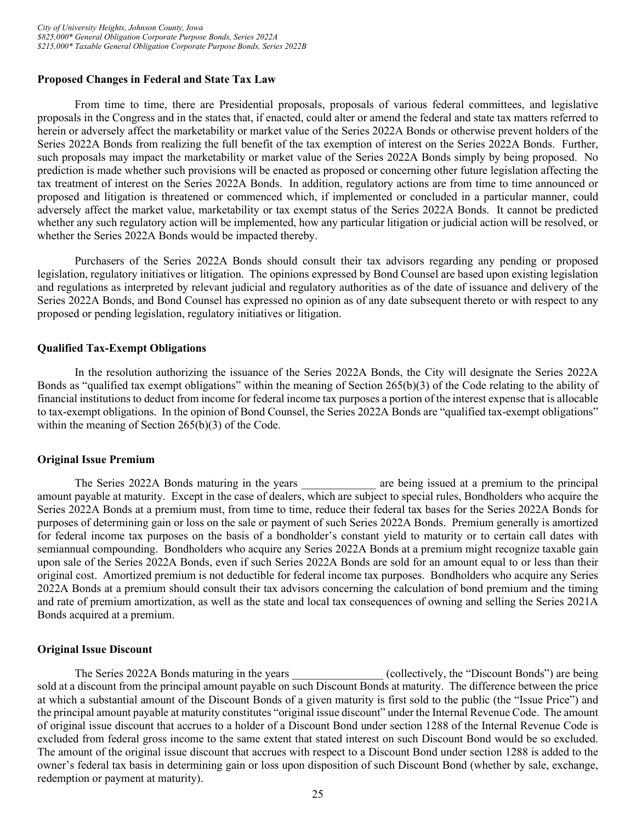#### <span id="page-28-0"></span>**Proposed Changes in Federal and State Tax Law**

From time to time, there are Presidential proposals, proposals of various federal committees, and legislative proposals in the Congress and in the states that, if enacted, could alter or amend the federal and state tax matters referred to herein or adversely affect the marketability or market value of the Series 2022A Bonds or otherwise prevent holders of the Series 2022A Bonds from realizing the full benefit of the tax exemption of interest on the Series 2022A Bonds. Further, such proposals may impact the marketability or market value of the Series 2022A Bonds simply by being proposed. No prediction is made whether such provisions will be enacted as proposed or concerning other future legislation affecting the tax treatment of interest on the Series 2022A Bonds. In addition, regulatory actions are from time to time announced or proposed and litigation is threatened or commenced which, if implemented or concluded in a particular manner, could adversely affect the market value, marketability or tax exempt status of the Series 2022A Bonds. It cannot be predicted whether any such regulatory action will be implemented, how any particular litigation or judicial action will be resolved, or whether the Series 2022A Bonds would be impacted thereby.

Purchasers of the Series 2022A Bonds should consult their tax advisors regarding any pending or proposed legislation, regulatory initiatives or litigation. The opinions expressed by Bond Counsel are based upon existing legislation and regulations as interpreted by relevant judicial and regulatory authorities as of the date of issuance and delivery of the Series 2022A Bonds, and Bond Counsel has expressed no opinion as of any date subsequent thereto or with respect to any proposed or pending legislation, regulatory initiatives or litigation.

#### <span id="page-28-1"></span>**Qualified Tax-Exempt Obligations**

In the resolution authorizing the issuance of the Series 2022A Bonds, the City will designate the Series 2022A Bonds as "qualified tax exempt obligations" within the meaning of Section 265(b)(3) of the Code relating to the ability of financial institutions to deduct from income for federal income tax purposes a portion of the interest expense that is allocable to tax-exempt obligations. In the opinion of Bond Counsel, the Series 2022A Bonds are "qualified tax-exempt obligations" within the meaning of Section 265(b)(3) of the Code.

#### <span id="page-28-2"></span>**Original Issue Premium**

The Series 2022A Bonds maturing in the years entity are being issued at a premium to the principal amount payable at maturity. Except in the case of dealers, which are subject to special rules, Bondholders who acquire the Series 2022A Bonds at a premium must, from time to time, reduce their federal tax bases for the Series 2022A Bonds for purposes of determining gain or loss on the sale or payment of such Series 2022A Bonds. Premium generally is amortized for federal income tax purposes on the basis of a bondholder's constant yield to maturity or to certain call dates with semiannual compounding. Bondholders who acquire any Series 2022A Bonds at a premium might recognize taxable gain upon sale of the Series 2022A Bonds, even if such Series 2022A Bonds are sold for an amount equal to or less than their original cost. Amortized premium is not deductible for federal income tax purposes. Bondholders who acquire any Series 2022A Bonds at a premium should consult their tax advisors concerning the calculation of bond premium and the timing and rate of premium amortization, as well as the state and local tax consequences of owning and selling the Series 2021A Bonds acquired at a premium.

#### <span id="page-28-3"></span>**Original Issue Discount**

The Series 2022A Bonds maturing in the years (collectively, the "Discount Bonds") are being sold at a discount from the principal amount payable on such Discount Bonds at maturity. The difference between the price at which a substantial amount of the Discount Bonds of a given maturity is first sold to the public (the "Issue Price") and the principal amount payable at maturity constitutes "original issue discount" under the Internal Revenue Code. The amount of original issue discount that accrues to a holder of a Discount Bond under section 1288 of the Internal Revenue Code is excluded from federal gross income to the same extent that stated interest on such Discount Bond would be so excluded. The amount of the original issue discount that accrues with respect to a Discount Bond under section 1288 is added to the owner's federal tax basis in determining gain or loss upon disposition of such Discount Bond (whether by sale, exchange, redemption or payment at maturity).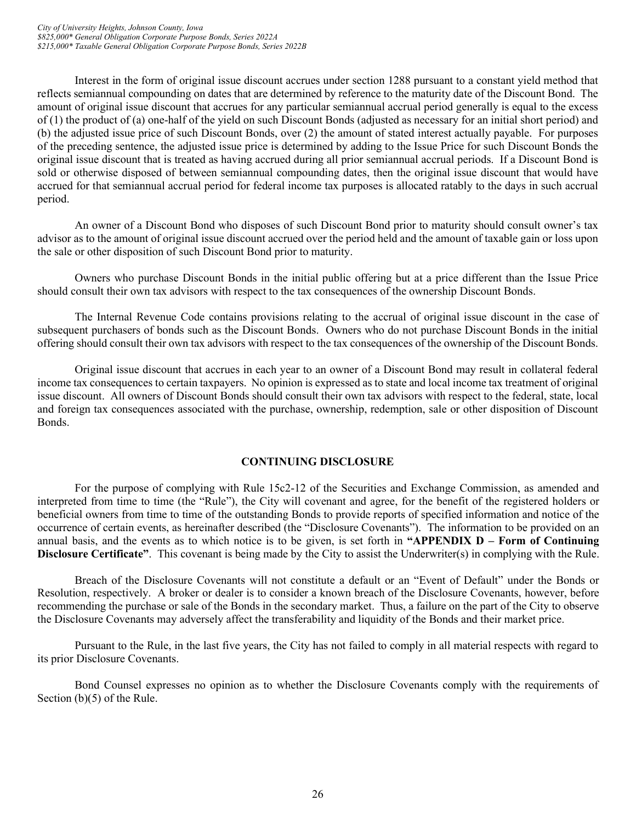Interest in the form of original issue discount accrues under section 1288 pursuant to a constant yield method that reflects semiannual compounding on dates that are determined by reference to the maturity date of the Discount Bond. The amount of original issue discount that accrues for any particular semiannual accrual period generally is equal to the excess of (1) the product of (a) one-half of the yield on such Discount Bonds (adjusted as necessary for an initial short period) and (b) the adjusted issue price of such Discount Bonds, over (2) the amount of stated interest actually payable. For purposes of the preceding sentence, the adjusted issue price is determined by adding to the Issue Price for such Discount Bonds the original issue discount that is treated as having accrued during all prior semiannual accrual periods. If a Discount Bond is sold or otherwise disposed of between semiannual compounding dates, then the original issue discount that would have accrued for that semiannual accrual period for federal income tax purposes is allocated ratably to the days in such accrual period.

An owner of a Discount Bond who disposes of such Discount Bond prior to maturity should consult owner's tax advisor as to the amount of original issue discount accrued over the period held and the amount of taxable gain or loss upon the sale or other disposition of such Discount Bond prior to maturity.

Owners who purchase Discount Bonds in the initial public offering but at a price different than the Issue Price should consult their own tax advisors with respect to the tax consequences of the ownership Discount Bonds.

The Internal Revenue Code contains provisions relating to the accrual of original issue discount in the case of subsequent purchasers of bonds such as the Discount Bonds. Owners who do not purchase Discount Bonds in the initial offering should consult their own tax advisors with respect to the tax consequences of the ownership of the Discount Bonds.

Original issue discount that accrues in each year to an owner of a Discount Bond may result in collateral federal income tax consequences to certain taxpayers. No opinion is expressed as to state and local income tax treatment of original issue discount. All owners of Discount Bonds should consult their own tax advisors with respect to the federal, state, local and foreign tax consequences associated with the purchase, ownership, redemption, sale or other disposition of Discount Bonds.

# **CONTINUING DISCLOSURE**

<span id="page-29-0"></span>For the purpose of complying with Rule 15c2-12 of the Securities and Exchange Commission, as amended and interpreted from time to time (the "Rule"), the City will covenant and agree, for the benefit of the registered holders or beneficial owners from time to time of the outstanding Bonds to provide reports of specified information and notice of the occurrence of certain events, as hereinafter described (the "Disclosure Covenants"). The information to be provided on an annual basis, and the events as to which notice is to be given, is set forth in **"APPENDIX D – Form of Continuing Disclosure Certificate"**. This covenant is being made by the City to assist the Underwriter(s) in complying with the Rule.

Breach of the Disclosure Covenants will not constitute a default or an "Event of Default" under the Bonds or Resolution, respectively. A broker or dealer is to consider a known breach of the Disclosure Covenants, however, before recommending the purchase or sale of the Bonds in the secondary market. Thus, a failure on the part of the City to observe the Disclosure Covenants may adversely affect the transferability and liquidity of the Bonds and their market price.

Pursuant to the Rule, in the last five years, the City has not failed to comply in all material respects with regard to its prior Disclosure Covenants.

Bond Counsel expresses no opinion as to whether the Disclosure Covenants comply with the requirements of Section (b)(5) of the Rule.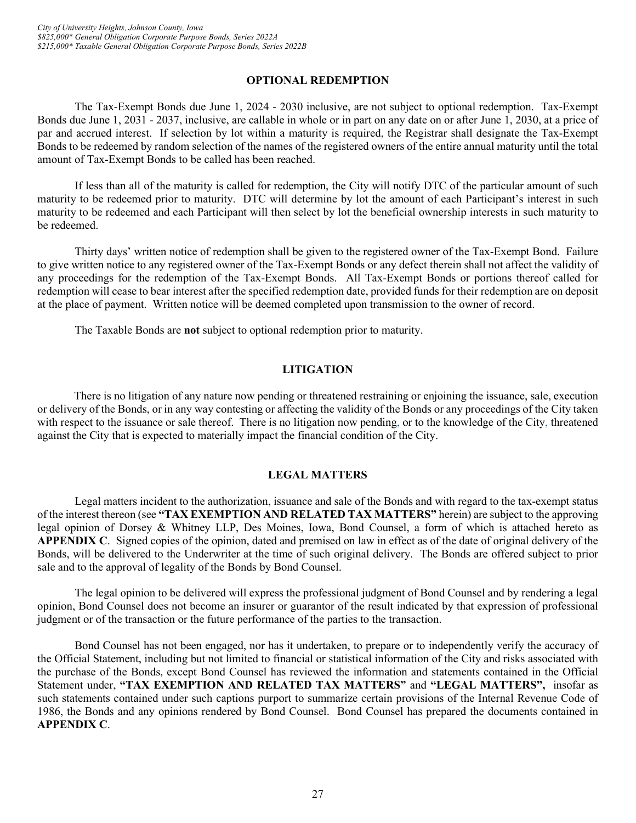# **OPTIONAL REDEMPTION**

<span id="page-30-0"></span>The Tax-Exempt Bonds due June 1, 2024 - 2030 inclusive, are not subject to optional redemption. Tax-Exempt Bonds due June 1, 2031 - 2037, inclusive, are callable in whole or in part on any date on or after June 1, 2030, at a price of par and accrued interest. If selection by lot within a maturity is required, the Registrar shall designate the Tax-Exempt Bonds to be redeemed by random selection of the names of the registered owners of the entire annual maturity until the total amount of Tax-Exempt Bonds to be called has been reached.

If less than all of the maturity is called for redemption, the City will notify DTC of the particular amount of such maturity to be redeemed prior to maturity. DTC will determine by lot the amount of each Participant's interest in such maturity to be redeemed and each Participant will then select by lot the beneficial ownership interests in such maturity to be redeemed.

Thirty days' written notice of redemption shall be given to the registered owner of the Tax-Exempt Bond. Failure to give written notice to any registered owner of the Tax-Exempt Bonds or any defect therein shall not affect the validity of any proceedings for the redemption of the Tax-Exempt Bonds. All Tax-Exempt Bonds or portions thereof called for redemption will cease to bear interest after the specified redemption date, provided funds for their redemption are on deposit at the place of payment. Written notice will be deemed completed upon transmission to the owner of record.

The Taxable Bonds are **not** subject to optional redemption prior to maturity.

# **LITIGATION**

<span id="page-30-1"></span>There is no litigation of any nature now pending or threatened restraining or enjoining the issuance, sale, execution or delivery of the Bonds, or in any way contesting or affecting the validity of the Bonds or any proceedings of the City taken with respect to the issuance or sale thereof. There is no litigation now pending, or to the knowledge of the City, threatened against the City that is expected to materially impact the financial condition of the City.

# **LEGAL MATTERS**

<span id="page-30-2"></span>Legal matters incident to the authorization, issuance and sale of the Bonds and with regard to the tax-exempt status of the interest thereon (see **"TAX EXEMPTION AND RELATED TAX MATTERS"** herein) are subject to the approving legal opinion of Dorsey & Whitney LLP, Des Moines, Iowa, Bond Counsel, a form of which is attached hereto as **APPENDIX C**. Signed copies of the opinion, dated and premised on law in effect as of the date of original delivery of the Bonds, will be delivered to the Underwriter at the time of such original delivery. The Bonds are offered subject to prior sale and to the approval of legality of the Bonds by Bond Counsel.

The legal opinion to be delivered will express the professional judgment of Bond Counsel and by rendering a legal opinion, Bond Counsel does not become an insurer or guarantor of the result indicated by that expression of professional judgment or of the transaction or the future performance of the parties to the transaction.

Bond Counsel has not been engaged, nor has it undertaken, to prepare or to independently verify the accuracy of the Official Statement, including but not limited to financial or statistical information of the City and risks associated with the purchase of the Bonds, except Bond Counsel has reviewed the information and statements contained in the Official Statement under, **"TAX EXEMPTION AND RELATED TAX MATTERS"** and **"LEGAL MATTERS",** insofar as such statements contained under such captions purport to summarize certain provisions of the Internal Revenue Code of 1986, the Bonds and any opinions rendered by Bond Counsel. Bond Counsel has prepared the documents contained in **APPENDIX C**.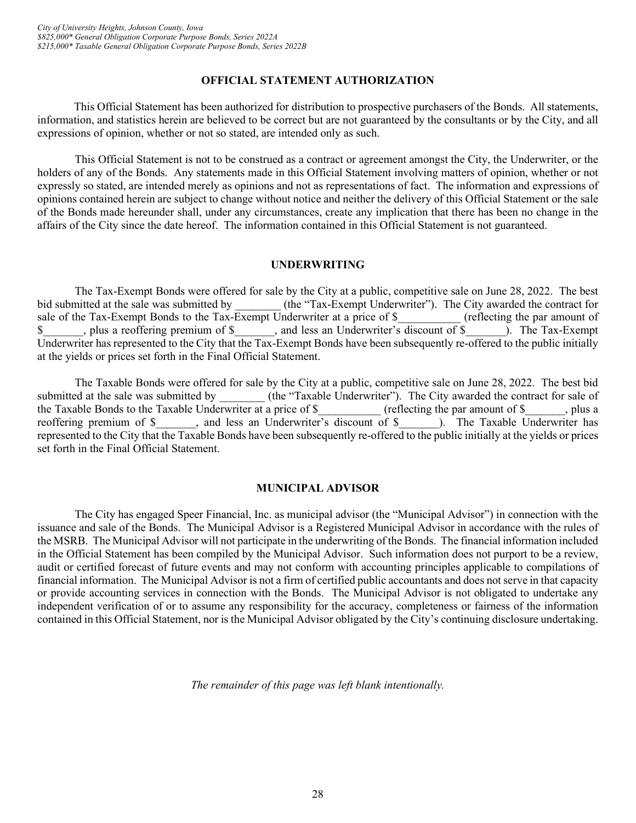# **OFFICIAL STATEMENT AUTHORIZATION**

<span id="page-31-0"></span>This Official Statement has been authorized for distribution to prospective purchasers of the Bonds. All statements, information, and statistics herein are believed to be correct but are not guaranteed by the consultants or by the City, and all expressions of opinion, whether or not so stated, are intended only as such.

This Official Statement is not to be construed as a contract or agreement amongst the City, the Underwriter, or the holders of any of the Bonds. Any statements made in this Official Statement involving matters of opinion, whether or not expressly so stated, are intended merely as opinions and not as representations of fact. The information and expressions of opinions contained herein are subject to change without notice and neither the delivery of this Official Statement or the sale of the Bonds made hereunder shall, under any circumstances, create any implication that there has been no change in the affairs of the City since the date hereof. The information contained in this Official Statement is not guaranteed.

#### **UNDERWRITING**

<span id="page-31-1"></span>The Tax-Exempt Bonds were offered for sale by the City at a public, competitive sale on June 28, 2022. The best<br>bid submitted at the sale was submitted by (the "Tax-Exempt Underwriter"). The City awarded the contract for (the "Tax-Exempt Underwriter"). The City awarded the contract for sale of the Tax-Exempt Bonds to the Tax-Exempt Underwriter at a price of \$ (reflecting the par amount of \$\_\_\_\_\_\_\_, plus a reoffering premium of \$\_\_\_\_\_\_\_, and less an Underwriter's discount of \$\_\_\_\_\_\_\_). The Tax-Exempt Underwriter has represented to the City that the Tax-Exempt Bonds have been subsequently re-offered to the public initially at the yields or prices set forth in the Final Official Statement.

The Taxable Bonds were offered for sale by the City at a public, competitive sale on June 28, 2022. The best bid submitted at the sale was submitted by  $(the "Taxable Underwriter").$  The City awarded the contract for sale of the Taxable Bonds to the Taxable Underwriter at a price of \$\_\_\_\_\_\_\_\_\_ (reflecting the par amount of \$\_\_\_\_\_, plus a reoffering premium of \$ \_\_\_\_, and less an Underwriter's discount of \$ \_\_\_\_, The Taxable Underwriter has reoffering premium of \$\_\_\_\_\_\_, and less an Underwriter's discount of \$ represented to the City that the Taxable Bonds have been subsequently re-offered to the public initially at the yields or prices set forth in the Final Official Statement.

# **MUNICIPAL ADVISOR**

<span id="page-31-2"></span>The City has engaged Speer Financial, Inc. as municipal advisor (the "Municipal Advisor") in connection with the issuance and sale of the Bonds. The Municipal Advisor is a Registered Municipal Advisor in accordance with the rules of the MSRB. The Municipal Advisor will not participate in the underwriting of the Bonds.The financial information included in the Official Statement has been compiled by the Municipal Advisor. Such information does not purport to be a review, audit or certified forecast of future events and may not conform with accounting principles applicable to compilations of financial information. The Municipal Advisor is not a firm of certified public accountants and does not serve in that capacity or provide accounting services in connection with the Bonds. The Municipal Advisor is not obligated to undertake any independent verification of or to assume any responsibility for the accuracy, completeness or fairness of the information contained in this Official Statement, nor is the Municipal Advisor obligated by the City's continuing disclosure undertaking.

*The remainder of this page was left blank intentionally.*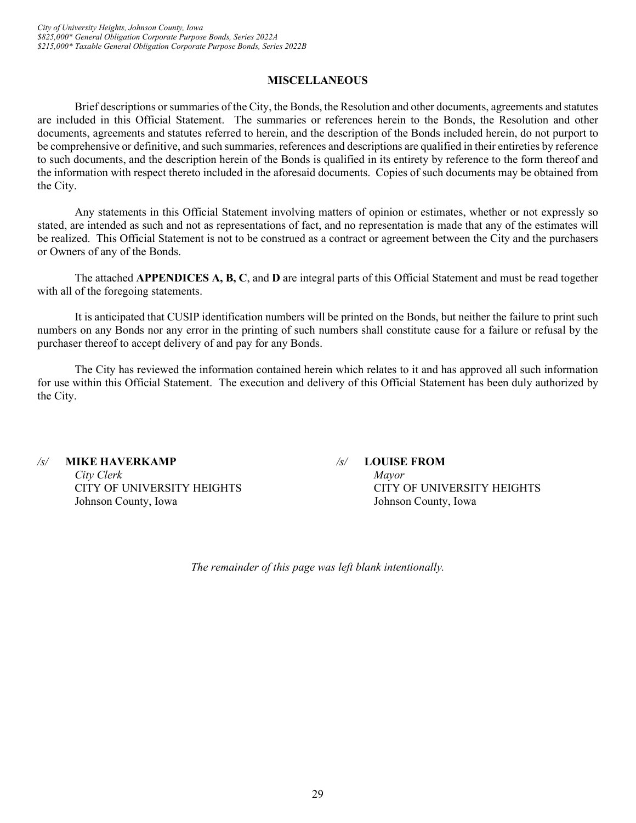# **MISCELLANEOUS**

<span id="page-32-0"></span>Brief descriptions or summaries of the City, the Bonds, the Resolution and other documents, agreements and statutes are included in this Official Statement. The summaries or references herein to the Bonds, the Resolution and other documents, agreements and statutes referred to herein, and the description of the Bonds included herein, do not purport to be comprehensive or definitive, and such summaries, references and descriptions are qualified in their entireties by reference to such documents, and the description herein of the Bonds is qualified in its entirety by reference to the form thereof and the information with respect thereto included in the aforesaid documents. Copies of such documents may be obtained from the City.

Any statements in this Official Statement involving matters of opinion or estimates, whether or not expressly so stated, are intended as such and not as representations of fact, and no representation is made that any of the estimates will be realized. This Official Statement is not to be construed as a contract or agreement between the City and the purchasers or Owners of any of the Bonds.

The attached **APPENDICES A, B, C**, and **D** are integral parts of this Official Statement and must be read together with all of the foregoing statements.

It is anticipated that CUSIP identification numbers will be printed on the Bonds, but neither the failure to print such numbers on any Bonds nor any error in the printing of such numbers shall constitute cause for a failure or refusal by the purchaser thereof to accept delivery of and pay for any Bonds.

The City has reviewed the information contained herein which relates to it and has approved all such information for use within this Official Statement. The execution and delivery of this Official Statement has been duly authorized by the City.

*/s/* **MIKE HAVERKAMP** */s/* **LOUISE FROM** *City Clerk Mayor* Johnson County, Iowa Johnson County, Iowa

CITY OF UNIVERSITY HEIGHTS CITY OF UNIVERSITY HEIGHTS

*The remainder of this page was left blank intentionally.*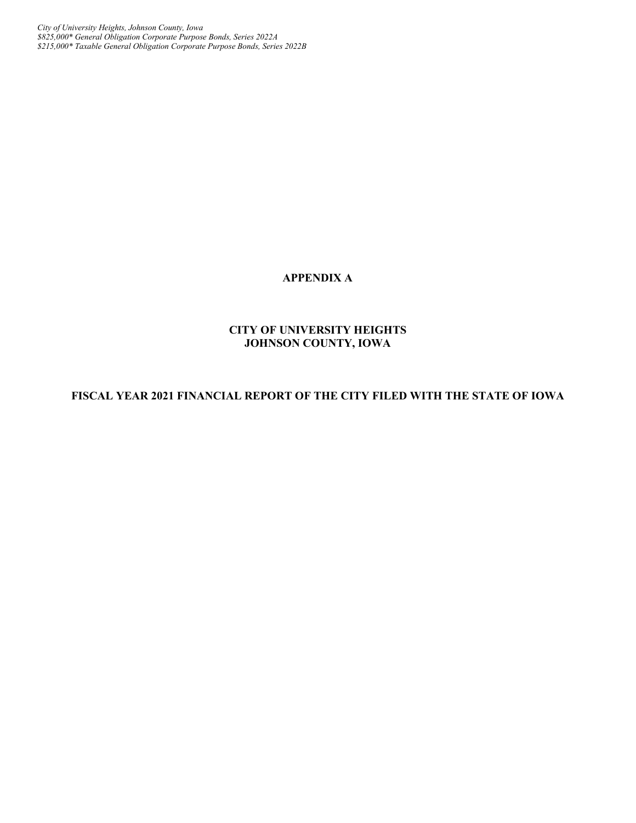*City of University Heights, Johnson County, Iowa \$825,000\* General Obligation Corporate Purpose Bonds, Series 2022A \$215,000\* Taxable General Obligation Corporate Purpose Bonds, Series 2022B*

# **APPENDIX A**

# **CITY OF UNIVERSITY HEIGHTS JOHNSON COUNTY, IOWA**

# **FISCAL YEAR 2021 FINANCIAL REPORT OF THE CITY FILED WITH THE STATE OF IOWA**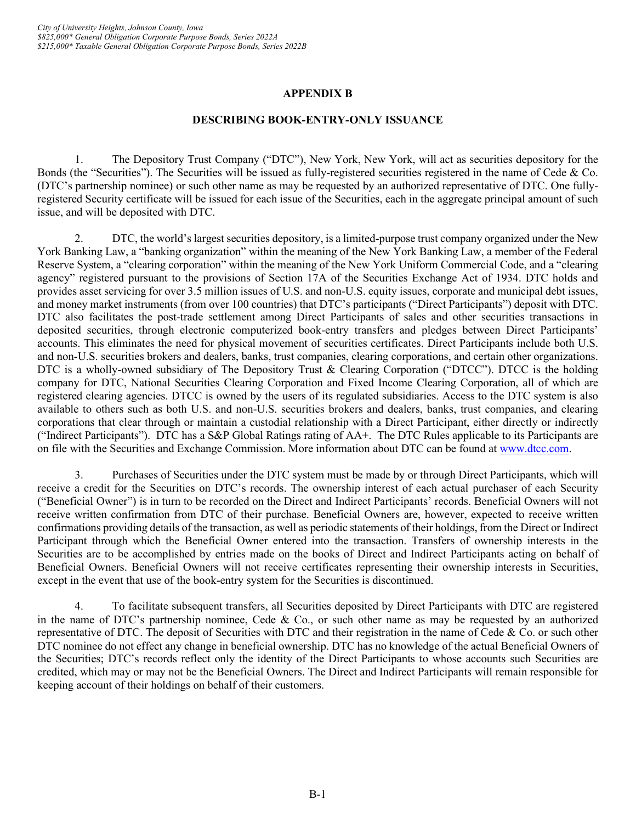# **APPENDIX B**

# **DESCRIBING BOOK-ENTRY-ONLY ISSUANCE**

1. The Depository Trust Company ("DTC"), New York, New York, will act as securities depository for the Bonds (the "Securities"). The Securities will be issued as fully-registered securities registered in the name of Cede & Co. (DTC's partnership nominee) or such other name as may be requested by an authorized representative of DTC. One fullyregistered Security certificate will be issued for each issue of the Securities, each in the aggregate principal amount of such issue, and will be deposited with DTC.

2. DTC, the world's largest securities depository, is a limited-purpose trust company organized under the New York Banking Law, a "banking organization" within the meaning of the New York Banking Law, a member of the Federal Reserve System, a "clearing corporation" within the meaning of the New York Uniform Commercial Code, and a "clearing agency" registered pursuant to the provisions of Section 17A of the Securities Exchange Act of 1934. DTC holds and provides asset servicing for over 3.5 million issues of U.S. and non-U.S. equity issues, corporate and municipal debt issues, and money market instruments (from over 100 countries) that DTC's participants ("Direct Participants") deposit with DTC. DTC also facilitates the post-trade settlement among Direct Participants of sales and other securities transactions in deposited securities, through electronic computerized book-entry transfers and pledges between Direct Participants' accounts. This eliminates the need for physical movement of securities certificates. Direct Participants include both U.S. and non-U.S. securities brokers and dealers, banks, trust companies, clearing corporations, and certain other organizations. DTC is a wholly-owned subsidiary of The Depository Trust & Clearing Corporation ("DTCC"). DTCC is the holding company for DTC, National Securities Clearing Corporation and Fixed Income Clearing Corporation, all of which are registered clearing agencies. DTCC is owned by the users of its regulated subsidiaries. Access to the DTC system is also available to others such as both U.S. and non-U.S. securities brokers and dealers, banks, trust companies, and clearing corporations that clear through or maintain a custodial relationship with a Direct Participant, either directly or indirectly ("Indirect Participants"). DTC has a S&P Global Ratings rating of AA+. The DTC Rules applicable to its Participants are on file with the Securities and Exchange Commission. More information about DTC can be found at [www.dtcc.com.](http://www.dtcc.com/)

3. Purchases of Securities under the DTC system must be made by or through Direct Participants, which will receive a credit for the Securities on DTC's records. The ownership interest of each actual purchaser of each Security ("Beneficial Owner") is in turn to be recorded on the Direct and Indirect Participants' records. Beneficial Owners will not receive written confirmation from DTC of their purchase. Beneficial Owners are, however, expected to receive written confirmations providing details of the transaction, as well as periodic statements of their holdings, from the Direct or Indirect Participant through which the Beneficial Owner entered into the transaction. Transfers of ownership interests in the Securities are to be accomplished by entries made on the books of Direct and Indirect Participants acting on behalf of Beneficial Owners. Beneficial Owners will not receive certificates representing their ownership interests in Securities, except in the event that use of the book-entry system for the Securities is discontinued.

4. To facilitate subsequent transfers, all Securities deposited by Direct Participants with DTC are registered in the name of DTC's partnership nominee, Cede & Co., or such other name as may be requested by an authorized representative of DTC. The deposit of Securities with DTC and their registration in the name of Cede  $\&$  Co. or such other DTC nominee do not effect any change in beneficial ownership. DTC has no knowledge of the actual Beneficial Owners of the Securities; DTC's records reflect only the identity of the Direct Participants to whose accounts such Securities are credited, which may or may not be the Beneficial Owners. The Direct and Indirect Participants will remain responsible for keeping account of their holdings on behalf of their customers.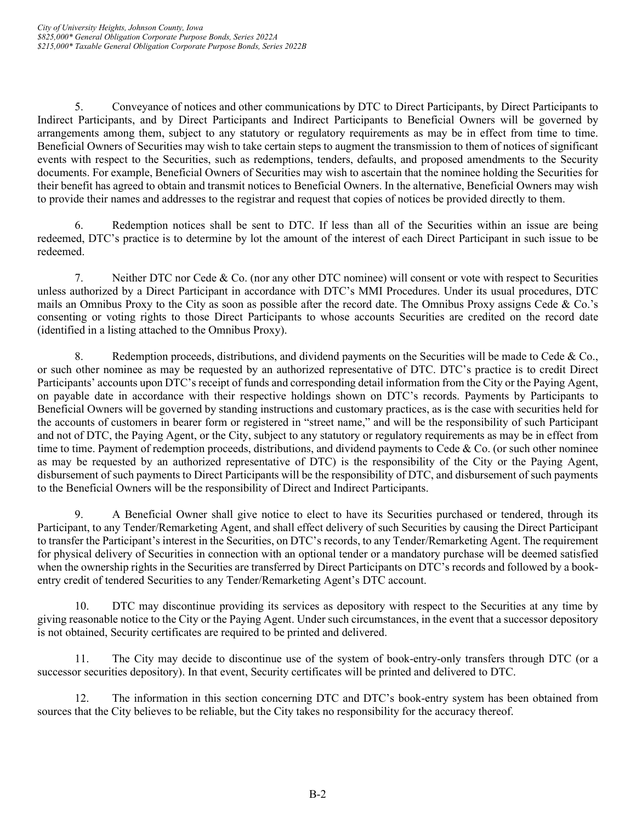5. Conveyance of notices and other communications by DTC to Direct Participants, by Direct Participants to Indirect Participants, and by Direct Participants and Indirect Participants to Beneficial Owners will be governed by arrangements among them, subject to any statutory or regulatory requirements as may be in effect from time to time. Beneficial Owners of Securities may wish to take certain steps to augment the transmission to them of notices of significant events with respect to the Securities, such as redemptions, tenders, defaults, and proposed amendments to the Security documents. For example, Beneficial Owners of Securities may wish to ascertain that the nominee holding the Securities for their benefit has agreed to obtain and transmit notices to Beneficial Owners. In the alternative, Beneficial Owners may wish to provide their names and addresses to the registrar and request that copies of notices be provided directly to them.

6. Redemption notices shall be sent to DTC. If less than all of the Securities within an issue are being redeemed, DTC's practice is to determine by lot the amount of the interest of each Direct Participant in such issue to be redeemed.

7. Neither DTC nor Cede & Co. (nor any other DTC nominee) will consent or vote with respect to Securities unless authorized by a Direct Participant in accordance with DTC's MMI Procedures. Under its usual procedures, DTC mails an Omnibus Proxy to the City as soon as possible after the record date. The Omnibus Proxy assigns Cede & Co.'s consenting or voting rights to those Direct Participants to whose accounts Securities are credited on the record date (identified in a listing attached to the Omnibus Proxy).

8. Redemption proceeds, distributions, and dividend payments on the Securities will be made to Cede & Co. or such other nominee as may be requested by an authorized representative of DTC. DTC's practice is to credit Direct Participants' accounts upon DTC's receipt of funds and corresponding detail information from the City or the Paying Agent, on payable date in accordance with their respective holdings shown on DTC's records. Payments by Participants to Beneficial Owners will be governed by standing instructions and customary practices, as is the case with securities held for the accounts of customers in bearer form or registered in "street name," and will be the responsibility of such Participant and not of DTC, the Paying Agent, or the City, subject to any statutory or regulatory requirements as may be in effect from time to time. Payment of redemption proceeds, distributions, and dividend payments to Cede & Co. (or such other nominee as may be requested by an authorized representative of DTC) is the responsibility of the City or the Paying Agent, disbursement of such payments to Direct Participants will be the responsibility of DTC, and disbursement of such payments to the Beneficial Owners will be the responsibility of Direct and Indirect Participants.

9. A Beneficial Owner shall give notice to elect to have its Securities purchased or tendered, through its Participant, to any Tender/Remarketing Agent, and shall effect delivery of such Securities by causing the Direct Participant to transfer the Participant's interest in the Securities, on DTC's records, to any Tender/Remarketing Agent. The requirement for physical delivery of Securities in connection with an optional tender or a mandatory purchase will be deemed satisfied when the ownership rights in the Securities are transferred by Direct Participants on DTC's records and followed by a bookentry credit of tendered Securities to any Tender/Remarketing Agent's DTC account.

10. DTC may discontinue providing its services as depository with respect to the Securities at any time by giving reasonable notice to the City or the Paying Agent. Under such circumstances, in the event that a successor depository is not obtained, Security certificates are required to be printed and delivered.

11. The City may decide to discontinue use of the system of book-entry-only transfers through DTC (or a successor securities depository). In that event, Security certificates will be printed and delivered to DTC.

12. The information in this section concerning DTC and DTC's book-entry system has been obtained from sources that the City believes to be reliable, but the City takes no responsibility for the accuracy thereof.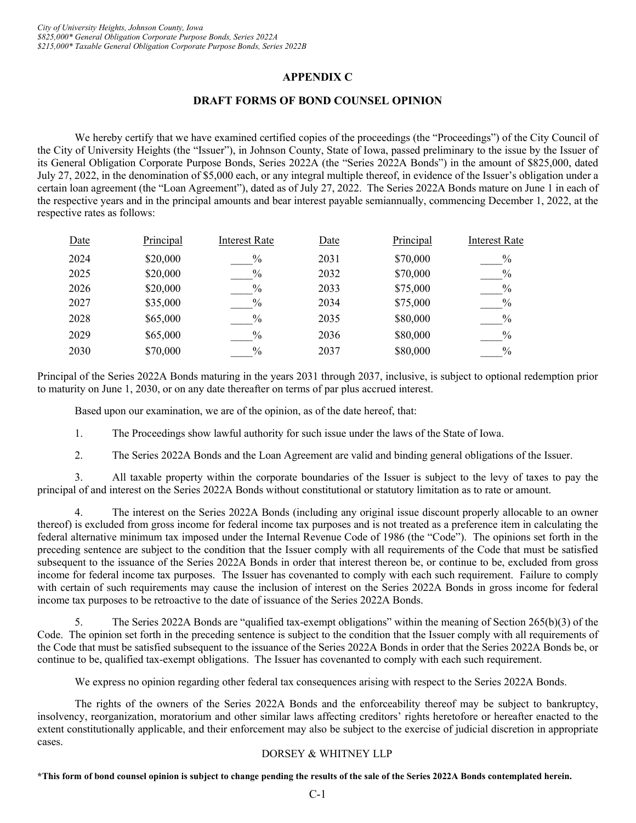# **APPENDIX C**

#### **DRAFT FORMS OF BOND COUNSEL OPINION**

We hereby certify that we have examined certified copies of the proceedings (the "Proceedings") of the City Council of the City of University Heights (the "Issuer"), in Johnson County, State of Iowa, passed preliminary to the issue by the Issuer of its General Obligation Corporate Purpose Bonds, Series 2022A (the "Series 2022A Bonds") in the amount of \$825,000, dated July 27, 2022, in the denomination of \$5,000 each, or any integral multiple thereof, in evidence of the Issuer's obligation under a certain loan agreement (the "Loan Agreement"), dated as of July 27, 2022. The Series 2022A Bonds mature on June 1 in each of the respective years and in the principal amounts and bear interest payable semiannually, commencing December 1, 2022, at the respective rates as follows:

| Date | Principal | <b>Interest Rate</b> | Date | Principal | <b>Interest Rate</b> |
|------|-----------|----------------------|------|-----------|----------------------|
| 2024 | \$20,000  | $\%$                 | 2031 | \$70,000  | $\%$                 |
| 2025 | \$20,000  | $\%$                 | 2032 | \$70,000  | $\%$                 |
| 2026 | \$20,000  | $\%$                 | 2033 | \$75,000  | $\%$                 |
| 2027 | \$35,000  | $\%$                 | 2034 | \$75,000  | $\%$                 |
| 2028 | \$65,000  | $\frac{0}{0}$        | 2035 | \$80,000  | $\%$                 |
| 2029 | \$65,000  | $\%$                 | 2036 | \$80,000  | $\%$                 |
| 2030 | \$70,000  | $\frac{0}{0}$        | 2037 | \$80,000  | $\frac{0}{0}$        |

Principal of the Series 2022A Bonds maturing in the years 2031 through 2037, inclusive, is subject to optional redemption prior to maturity on June 1, 2030, or on any date thereafter on terms of par plus accrued interest.

Based upon our examination, we are of the opinion, as of the date hereof, that:

1. The Proceedings show lawful authority for such issue under the laws of the State of Iowa.

2. The Series 2022A Bonds and the Loan Agreement are valid and binding general obligations of the Issuer.

3. All taxable property within the corporate boundaries of the Issuer is subject to the levy of taxes to pay the principal of and interest on the Series 2022A Bonds without constitutional or statutory limitation as to rate or amount.

4. The interest on the Series 2022A Bonds (including any original issue discount properly allocable to an owner thereof) is excluded from gross income for federal income tax purposes and is not treated as a preference item in calculating the federal alternative minimum tax imposed under the Internal Revenue Code of 1986 (the "Code"). The opinions set forth in the preceding sentence are subject to the condition that the Issuer comply with all requirements of the Code that must be satisfied subsequent to the issuance of the Series 2022A Bonds in order that interest thereon be, or continue to be, excluded from gross income for federal income tax purposes. The Issuer has covenanted to comply with each such requirement. Failure to comply with certain of such requirements may cause the inclusion of interest on the Series 2022A Bonds in gross income for federal income tax purposes to be retroactive to the date of issuance of the Series 2022A Bonds.

5. The Series 2022A Bonds are "qualified tax-exempt obligations" within the meaning of Section 265(b)(3) of the Code. The opinion set forth in the preceding sentence is subject to the condition that the Issuer comply with all requirements of the Code that must be satisfied subsequent to the issuance of the Series 2022A Bonds in order that the Series 2022A Bonds be, or continue to be, qualified tax-exempt obligations. The Issuer has covenanted to comply with each such requirement.

We express no opinion regarding other federal tax consequences arising with respect to the Series 2022A Bonds.

The rights of the owners of the Series 2022A Bonds and the enforceability thereof may be subject to bankruptcy, insolvency, reorganization, moratorium and other similar laws affecting creditors' rights heretofore or hereafter enacted to the extent constitutionally applicable, and their enforcement may also be subject to the exercise of judicial discretion in appropriate cases.

#### DORSEY & WHITNEY LLP

**\*This form of bond counsel opinion is subject to change pending the results of the sale of the Series 2022A Bonds contemplated herein.**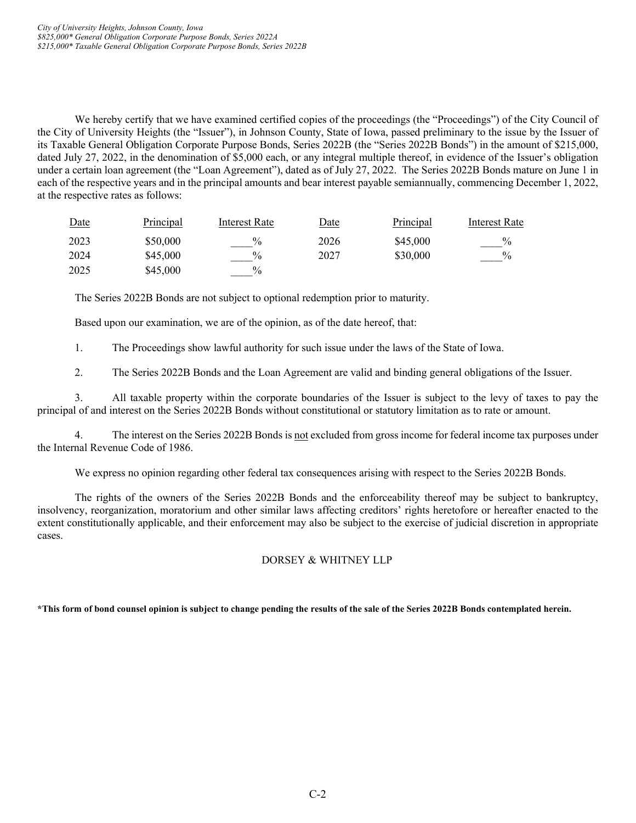We hereby certify that we have examined certified copies of the proceedings (the "Proceedings") of the City Council of the City of University Heights (the "Issuer"), in Johnson County, State of Iowa, passed preliminary to the issue by the Issuer of its Taxable General Obligation Corporate Purpose Bonds, Series 2022B (the "Series 2022B Bonds") in the amount of \$215,000, dated July 27, 2022, in the denomination of \$5,000 each, or any integral multiple thereof, in evidence of the Issuer's obligation under a certain loan agreement (the "Loan Agreement"), dated as of July 27, 2022. The Series 2022B Bonds mature on June 1 in each of the respective years and in the principal amounts and bear interest payable semiannually, commencing December 1, 2022, at the respective rates as follows:

| Date | Principal | Interest Rate | <u>Date</u> | <b>Principal</b> | Interest Rate |
|------|-----------|---------------|-------------|------------------|---------------|
| 2023 | \$50,000  | $\frac{0}{0}$ | 2026        | \$45,000         | $\frac{0}{0}$ |
| 2024 | \$45,000  | $\frac{0}{0}$ | 2027        | \$30,000         | $\%$          |
| 2025 | \$45,000  | $\frac{0}{0}$ |             |                  |               |

The Series 2022B Bonds are not subject to optional redemption prior to maturity.

Based upon our examination, we are of the opinion, as of the date hereof, that:

1. The Proceedings show lawful authority for such issue under the laws of the State of Iowa.

2. The Series 2022B Bonds and the Loan Agreement are valid and binding general obligations of the Issuer.

3. All taxable property within the corporate boundaries of the Issuer is subject to the levy of taxes to pay the principal of and interest on the Series 2022B Bonds without constitutional or statutory limitation as to rate or amount.

4. The interest on the Series 2022B Bonds is not excluded from gross income for federal income tax purposes under the Internal Revenue Code of 1986.

We express no opinion regarding other federal tax consequences arising with respect to the Series 2022B Bonds.

The rights of the owners of the Series 2022B Bonds and the enforceability thereof may be subject to bankruptcy, insolvency, reorganization, moratorium and other similar laws affecting creditors' rights heretofore or hereafter enacted to the extent constitutionally applicable, and their enforcement may also be subject to the exercise of judicial discretion in appropriate cases.

# DORSEY & WHITNEY LLP

#### **\*This form of bond counsel opinion is subject to change pending the results of the sale of the Series 2022B Bonds contemplated herein.**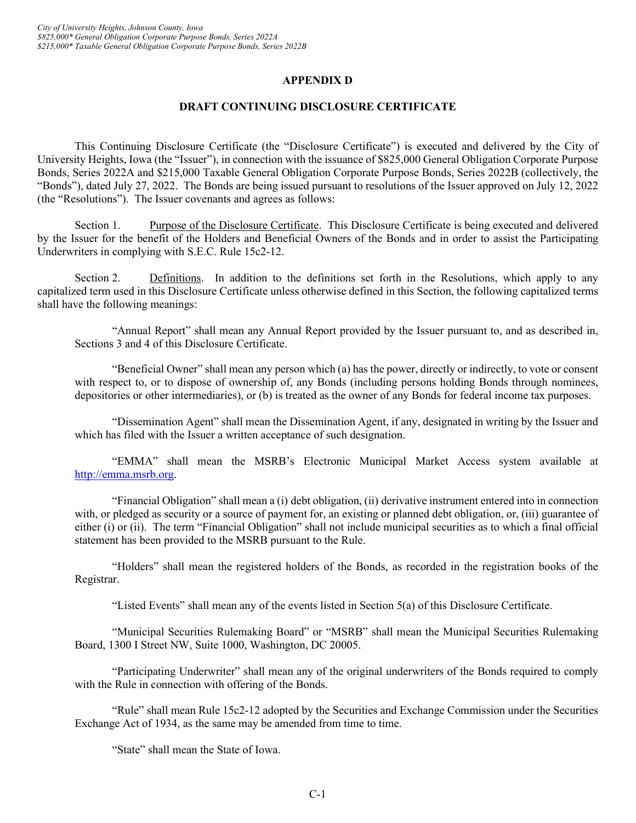# **APPENDIX D**

#### **DRAFT CONTINUING DISCLOSURE CERTIFICATE**

This Continuing Disclosure Certificate (the "Disclosure Certificate") is executed and delivered by the City of University Heights, Iowa (the "Issuer"), in connection with the issuance of \$825,000 General Obligation Corporate Purpose Bonds, Series 2022A and \$215,000 Taxable General Obligation Corporate Purpose Bonds, Series 2022B (collectively, the "Bonds"), dated July 27, 2022. The Bonds are being issued pursuant to resolutions of the Issuer approved on July 12, 2022 (the "Resolutions"). The Issuer covenants and agrees as follows:

Section 1. Purpose of the Disclosure Certificate. This Disclosure Certificate is being executed and delivered by the Issuer for the benefit of the Holders and Beneficial Owners of the Bonds and in order to assist the Participating Underwriters in complying with S.E.C. Rule 15c2-12.

Section 2. Definitions. In addition to the definitions set forth in the Resolutions, which apply to any capitalized term used in this Disclosure Certificate unless otherwise defined in this Section, the following capitalized terms shall have the following meanings:

"Annual Report" shall mean any Annual Report provided by the Issuer pursuant to, and as described in, Sections 3 and 4 of this Disclosure Certificate.

"Beneficial Owner" shall mean any person which (a) has the power, directly or indirectly, to vote or consent with respect to, or to dispose of ownership of, any Bonds (including persons holding Bonds through nominees, depositories or other intermediaries), or (b) is treated as the owner of any Bonds for federal income tax purposes.

"Dissemination Agent" shall mean the Dissemination Agent, if any, designated in writing by the Issuer and which has filed with the Issuer a written acceptance of such designation.

"EMMA" shall mean the MSRB's Electronic Municipal Market Access system available at [http://emma.msrb.org.](http://emma.msrb.org/)

"Financial Obligation" shall mean a (i) debt obligation, (ii) derivative instrument entered into in connection with, or pledged as security or a source of payment for, an existing or planned debt obligation, or, (iii) guarantee of either (i) or (ii). The term "Financial Obligation" shall not include municipal securities as to which a final official statement has been provided to the MSRB pursuant to the Rule.

"Holders" shall mean the registered holders of the Bonds, as recorded in the registration books of the Registrar.

"Listed Events" shall mean any of the events listed in Section 5(a) of this Disclosure Certificate.

"Municipal Securities Rulemaking Board" or "MSRB" shall mean the Municipal Securities Rulemaking Board, 1300 I Street NW, Suite 1000, Washington, DC 20005.

"Participating Underwriter" shall mean any of the original underwriters of the Bonds required to comply with the Rule in connection with offering of the Bonds.

"Rule" shall mean Rule 15c2-12 adopted by the Securities and Exchange Commission under the Securities Exchange Act of 1934, as the same may be amended from time to time.

"State" shall mean the State of Iowa.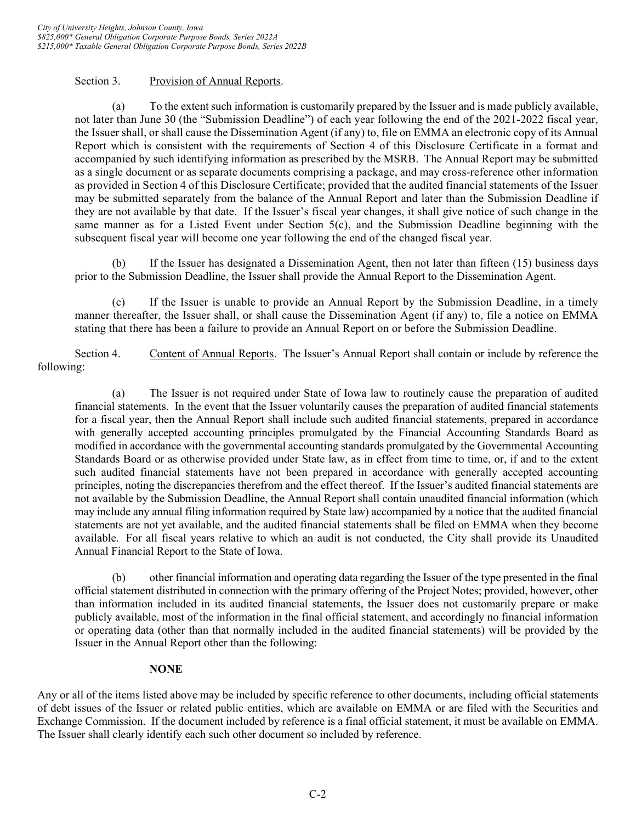# Section 3. Provision of Annual Reports.

(a) To the extent such information is customarily prepared by the Issuer and is made publicly available, not later than June 30 (the "Submission Deadline") of each year following the end of the 2021-2022 fiscal year, the Issuer shall, or shall cause the Dissemination Agent (if any) to, file on EMMA an electronic copy of its Annual Report which is consistent with the requirements of Section 4 of this Disclosure Certificate in a format and accompanied by such identifying information as prescribed by the MSRB. The Annual Report may be submitted as a single document or as separate documents comprising a package, and may cross-reference other information as provided in Section 4 of this Disclosure Certificate; provided that the audited financial statements of the Issuer may be submitted separately from the balance of the Annual Report and later than the Submission Deadline if they are not available by that date. If the Issuer's fiscal year changes, it shall give notice of such change in the same manner as for a Listed Event under Section  $5(c)$ , and the Submission Deadline beginning with the subsequent fiscal year will become one year following the end of the changed fiscal year.

(b) If the Issuer has designated a Dissemination Agent, then not later than fifteen (15) business days prior to the Submission Deadline, the Issuer shall provide the Annual Report to the Dissemination Agent.

(c) If the Issuer is unable to provide an Annual Report by the Submission Deadline, in a timely manner thereafter, the Issuer shall, or shall cause the Dissemination Agent (if any) to, file a notice on EMMA stating that there has been a failure to provide an Annual Report on or before the Submission Deadline.

Section 4. Content of Annual Reports. The Issuer's Annual Report shall contain or include by reference the following:

(a) The Issuer is not required under State of Iowa law to routinely cause the preparation of audited financial statements. In the event that the Issuer voluntarily causes the preparation of audited financial statements for a fiscal year, then the Annual Report shall include such audited financial statements, prepared in accordance with generally accepted accounting principles promulgated by the Financial Accounting Standards Board as modified in accordance with the governmental accounting standards promulgated by the Governmental Accounting Standards Board or as otherwise provided under State law, as in effect from time to time, or, if and to the extent such audited financial statements have not been prepared in accordance with generally accepted accounting principles, noting the discrepancies therefrom and the effect thereof. If the Issuer's audited financial statements are not available by the Submission Deadline, the Annual Report shall contain unaudited financial information (which may include any annual filing information required by State law) accompanied by a notice that the audited financial statements are not yet available, and the audited financial statements shall be filed on EMMA when they become available. For all fiscal years relative to which an audit is not conducted, the City shall provide its Unaudited Annual Financial Report to the State of Iowa.

(b) other financial information and operating data regarding the Issuer of the type presented in the final official statement distributed in connection with the primary offering of the Project Notes; provided, however, other than information included in its audited financial statements, the Issuer does not customarily prepare or make publicly available, most of the information in the final official statement, and accordingly no financial information or operating data (other than that normally included in the audited financial statements) will be provided by the Issuer in the Annual Report other than the following:

# **NONE**

Any or all of the items listed above may be included by specific reference to other documents, including official statements of debt issues of the Issuer or related public entities, which are available on EMMA or are filed with the Securities and Exchange Commission. If the document included by reference is a final official statement, it must be available on EMMA. The Issuer shall clearly identify each such other document so included by reference.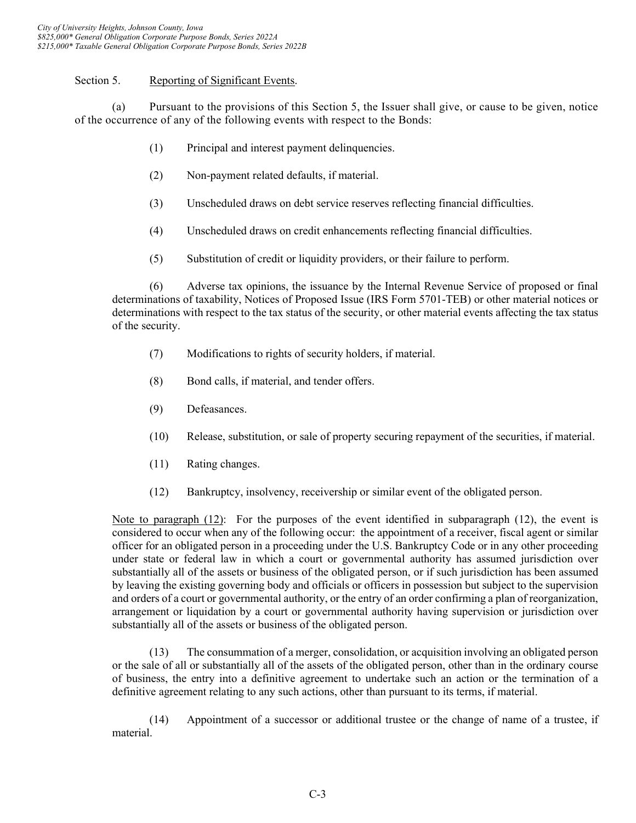# Section 5. Reporting of Significant Events.

(a) Pursuant to the provisions of this Section 5, the Issuer shall give, or cause to be given, notice of the occurrence of any of the following events with respect to the Bonds:

- (1) Principal and interest payment delinquencies.
- (2) Non-payment related defaults, if material.
- (3) Unscheduled draws on debt service reserves reflecting financial difficulties.
- (4) Unscheduled draws on credit enhancements reflecting financial difficulties.
- (5) Substitution of credit or liquidity providers, or their failure to perform.

(6) Adverse tax opinions, the issuance by the Internal Revenue Service of proposed or final determinations of taxability, Notices of Proposed Issue (IRS Form 5701-TEB) or other material notices or determinations with respect to the tax status of the security, or other material events affecting the tax status of the security.

- (7) Modifications to rights of security holders, if material.
- (8) Bond calls, if material, and tender offers.
- (9) Defeasances.
- (10) Release, substitution, or sale of property securing repayment of the securities, if material.
- (11) Rating changes.
- (12) Bankruptcy, insolvency, receivership or similar event of the obligated person.

Note to paragraph (12): For the purposes of the event identified in subparagraph (12), the event is considered to occur when any of the following occur: the appointment of a receiver, fiscal agent or similar officer for an obligated person in a proceeding under the U.S. Bankruptcy Code or in any other proceeding under state or federal law in which a court or governmental authority has assumed jurisdiction over substantially all of the assets or business of the obligated person, or if such jurisdiction has been assumed by leaving the existing governing body and officials or officers in possession but subject to the supervision and orders of a court or governmental authority, or the entry of an order confirming a plan of reorganization, arrangement or liquidation by a court or governmental authority having supervision or jurisdiction over substantially all of the assets or business of the obligated person.

(13) The consummation of a merger, consolidation, or acquisition involving an obligated person or the sale of all or substantially all of the assets of the obligated person, other than in the ordinary course of business, the entry into a definitive agreement to undertake such an action or the termination of a definitive agreement relating to any such actions, other than pursuant to its terms, if material.

(14) Appointment of a successor or additional trustee or the change of name of a trustee, if material.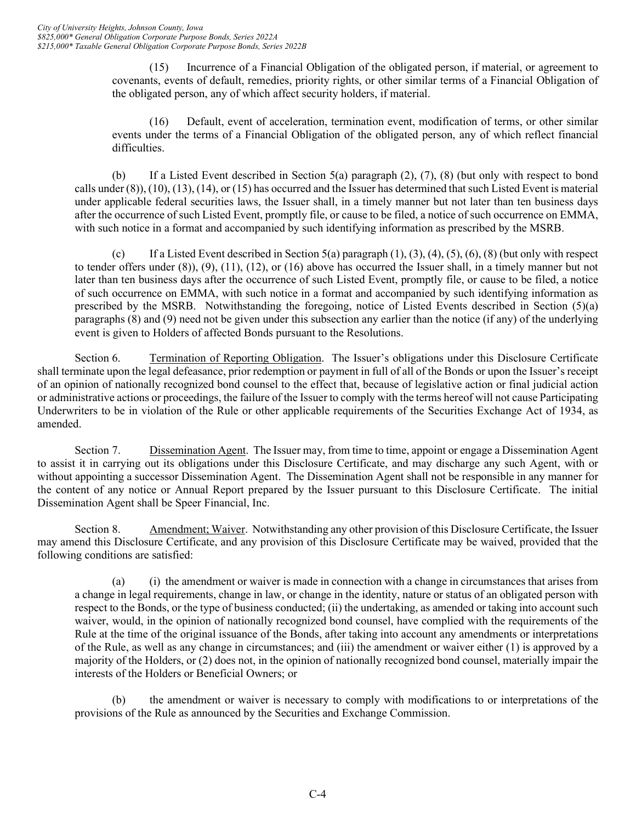(15) Incurrence of a Financial Obligation of the obligated person, if material, or agreement to covenants, events of default, remedies, priority rights, or other similar terms of a Financial Obligation of the obligated person, any of which affect security holders, if material.

(16) Default, event of acceleration, termination event, modification of terms, or other similar events under the terms of a Financial Obligation of the obligated person, any of which reflect financial difficulties.

(b) If a Listed Event described in Section 5(a) paragraph (2), (7), (8) (but only with respect to bond calls under (8)), (10), (13), (14), or (15) has occurred and the Issuer has determined that such Listed Event is material under applicable federal securities laws, the Issuer shall, in a timely manner but not later than ten business days after the occurrence of such Listed Event, promptly file, or cause to be filed, a notice of such occurrence on EMMA, with such notice in a format and accompanied by such identifying information as prescribed by the MSRB.

(c) If a Listed Event described in Section 5(a) paragraph  $(1)$ ,  $(3)$ ,  $(4)$ ,  $(5)$ ,  $(6)$ ,  $(8)$  (but only with respect to tender offers under (8)), (9), (11), (12), or (16) above has occurred the Issuer shall, in a timely manner but not later than ten business days after the occurrence of such Listed Event, promptly file, or cause to be filed, a notice of such occurrence on EMMA, with such notice in a format and accompanied by such identifying information as prescribed by the MSRB. Notwithstanding the foregoing, notice of Listed Events described in Section (5)(a) paragraphs (8) and (9) need not be given under this subsection any earlier than the notice (if any) of the underlying event is given to Holders of affected Bonds pursuant to the Resolutions.

Section 6. Termination of Reporting Obligation. The Issuer's obligations under this Disclosure Certificate shall terminate upon the legal defeasance, prior redemption or payment in full of all of the Bonds or upon the Issuer's receipt of an opinion of nationally recognized bond counsel to the effect that, because of legislative action or final judicial action or administrative actions or proceedings, the failure of the Issuer to comply with the terms hereof will not cause Participating Underwriters to be in violation of the Rule or other applicable requirements of the Securities Exchange Act of 1934, as amended.

Section 7. Dissemination Agent. The Issuer may, from time to time, appoint or engage a Dissemination Agent to assist it in carrying out its obligations under this Disclosure Certificate, and may discharge any such Agent, with or without appointing a successor Dissemination Agent. The Dissemination Agent shall not be responsible in any manner for the content of any notice or Annual Report prepared by the Issuer pursuant to this Disclosure Certificate. The initial Dissemination Agent shall be Speer Financial, Inc.

Section 8. Amendment; Waiver. Notwithstanding any other provision of this Disclosure Certificate, the Issuer may amend this Disclosure Certificate, and any provision of this Disclosure Certificate may be waived, provided that the following conditions are satisfied:

(a) (i) the amendment or waiver is made in connection with a change in circumstances that arises from a change in legal requirements, change in law, or change in the identity, nature or status of an obligated person with respect to the Bonds, or the type of business conducted; (ii) the undertaking, as amended or taking into account such waiver, would, in the opinion of nationally recognized bond counsel, have complied with the requirements of the Rule at the time of the original issuance of the Bonds, after taking into account any amendments or interpretations of the Rule, as well as any change in circumstances; and (iii) the amendment or waiver either (1) is approved by a majority of the Holders, or (2) does not, in the opinion of nationally recognized bond counsel, materially impair the interests of the Holders or Beneficial Owners; or

(b) the amendment or waiver is necessary to comply with modifications to or interpretations of the provisions of the Rule as announced by the Securities and Exchange Commission.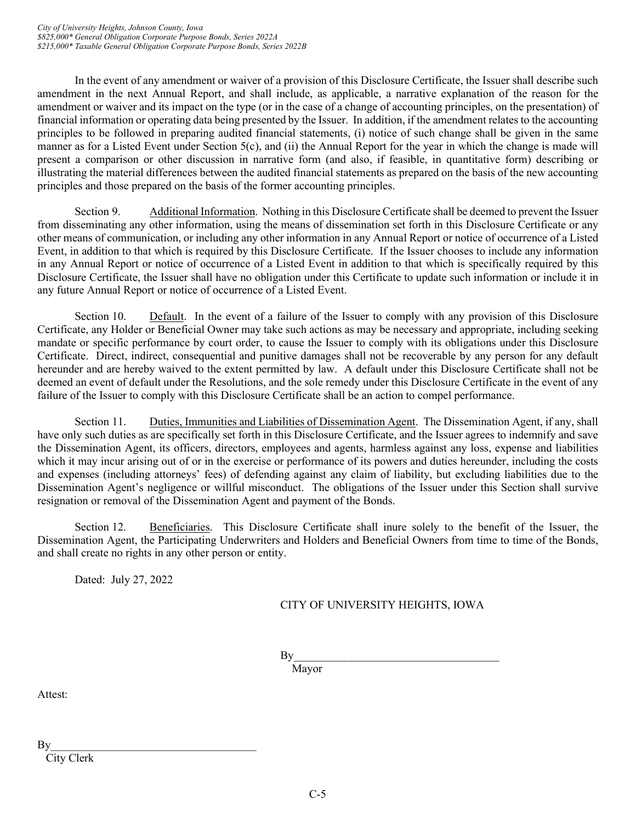In the event of any amendment or waiver of a provision of this Disclosure Certificate, the Issuer shall describe such amendment in the next Annual Report, and shall include, as applicable, a narrative explanation of the reason for the amendment or waiver and its impact on the type (or in the case of a change of accounting principles, on the presentation) of financial information or operating data being presented by the Issuer. In addition, if the amendment relates to the accounting principles to be followed in preparing audited financial statements, (i) notice of such change shall be given in the same manner as for a Listed Event under Section 5(c), and (ii) the Annual Report for the year in which the change is made will present a comparison or other discussion in narrative form (and also, if feasible, in quantitative form) describing or illustrating the material differences between the audited financial statements as prepared on the basis of the new accounting principles and those prepared on the basis of the former accounting principles.

Section 9. Additional Information. Nothing in this Disclosure Certificate shall be deemed to prevent the Issuer from disseminating any other information, using the means of dissemination set forth in this Disclosure Certificate or any other means of communication, or including any other information in any Annual Report or notice of occurrence of a Listed Event, in addition to that which is required by this Disclosure Certificate. If the Issuer chooses to include any information in any Annual Report or notice of occurrence of a Listed Event in addition to that which is specifically required by this Disclosure Certificate, the Issuer shall have no obligation under this Certificate to update such information or include it in any future Annual Report or notice of occurrence of a Listed Event.

Section 10. Default. In the event of a failure of the Issuer to comply with any provision of this Disclosure Certificate, any Holder or Beneficial Owner may take such actions as may be necessary and appropriate, including seeking mandate or specific performance by court order, to cause the Issuer to comply with its obligations under this Disclosure Certificate. Direct, indirect, consequential and punitive damages shall not be recoverable by any person for any default hereunder and are hereby waived to the extent permitted by law. A default under this Disclosure Certificate shall not be deemed an event of default under the Resolutions, and the sole remedy under this Disclosure Certificate in the event of any failure of the Issuer to comply with this Disclosure Certificate shall be an action to compel performance.

Section 11. Duties, Immunities and Liabilities of Dissemination Agent. The Dissemination Agent, if any, shall have only such duties as are specifically set forth in this Disclosure Certificate, and the Issuer agrees to indemnify and save the Dissemination Agent, its officers, directors, employees and agents, harmless against any loss, expense and liabilities which it may incur arising out of or in the exercise or performance of its powers and duties hereunder, including the costs and expenses (including attorneys' fees) of defending against any claim of liability, but excluding liabilities due to the Dissemination Agent's negligence or willful misconduct. The obligations of the Issuer under this Section shall survive resignation or removal of the Dissemination Agent and payment of the Bonds.

Section 12. Beneficiaries. This Disclosure Certificate shall inure solely to the benefit of the Issuer, the Dissemination Agent, the Participating Underwriters and Holders and Beneficial Owners from time to time of the Bonds, and shall create no rights in any other person or entity.

Dated: July 27, 2022

# CITY OF UNIVERSITY HEIGHTS, IOWA

 $\mathbf{By}$ 

Mayor

Attest:

 $\mathbf{By}$ 

City Clerk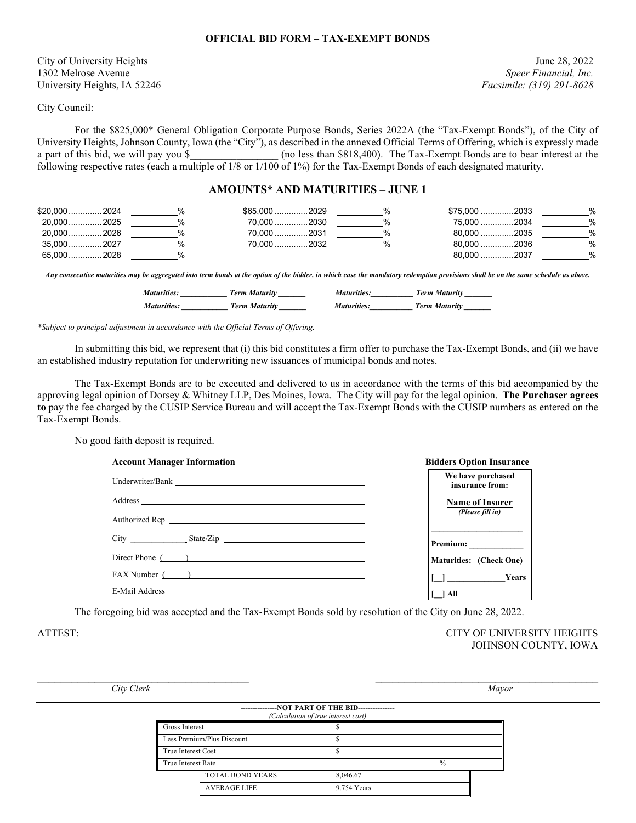#### **OFFICIAL BID FORM – TAX-EXEMPT BONDS**

City of University Heights June 28, 2022 1302 Melrose Avenue *Speer Financial, Inc.* University Heights, IA 52246 *Facsimile: (319) 291-8628*

City Council:

For the \$825,000\* General Obligation Corporate Purpose Bonds, Series 2022A (the "Tax-Exempt Bonds"), of the City of University Heights, Johnson County, Iowa (the "City"), as described in the annexed Official Terms of Offering, which is expressly made<br>a part of this bid, we will pay you \$ (no less than \$818,400). The Tax-Exempt Bonds are (no less than \$818,400). The Tax-Exempt Bonds are to bear interest at the following respective rates (each a multiple of 1/8 or 1/100 of 1%) for the Tax-Exempt Bonds of each designated maturity.

#### **AMOUNTS\* AND MATURITIES – JUNE 1**

| \$20,000  2024 |  | \$65,000 2029 | \$75,000 2033 | % |
|----------------|--|---------------|---------------|---|
| 20,000  2025   |  | 70.000 2030   | 75,000 2034   | % |
| 20.000 2026    |  | 70.000 2031   | 80.000 2035   | % |
| 35,000  2027   |  | 70.000 2032   | 80,000 2036   | % |
| 65,000  2028   |  |               | 80.000 2037   | % |

*Any consecutive maturities may be aggregated into term bonds at the option of the bidder, in which case the mandatory redemption provisions shall be on the same schedule as above.*

| <b>Maturities:</b> | Term Maturity | <i>Maturities:</i> | <b>Term Maturity</b> |
|--------------------|---------------|--------------------|----------------------|
| <i>Maturities:</i> | Term Maturity | <i>Maturities:</i> | <b>Term Maturity</b> |

*\*Subject to principal adjustment in accordance with the Official Terms of Offering.*

In submitting this bid, we represent that (i) this bid constitutes a firm offer to purchase the Tax-Exempt Bonds, and (ii) we have an established industry reputation for underwriting new issuances of municipal bonds and notes.

The Tax-Exempt Bonds are to be executed and delivered to us in accordance with the terms of this bid accompanied by the approving legal opinion of Dorsey & Whitney LLP, Des Moines, Iowa. The City will pay for the legal opinion. **The Purchaser agrees to** pay the fee charged by the CUSIP Service Bureau and will accept the Tax-Exempt Bonds with the CUSIP numbers as entered on the Tax-Exempt Bonds.

No good faith deposit is required.

| <b>Account Manager Information</b>                               | <b>Bidders Option Insurance</b>      |
|------------------------------------------------------------------|--------------------------------------|
| Underwriter/Bank                                                 | We have purchased<br>insurance from: |
|                                                                  | <b>Name of Insurer</b>               |
|                                                                  | (Please fill in)                     |
| City State/Zip                                                   |                                      |
| Direct Phone ( )                                                 | <b>Maturities:</b> (Check One)       |
| FAX Number ( )                                                   | [ ] Years                            |
| E-Mail Address<br><u> 1989 - Jan Sterling Sterling (d. 1989)</u> | 1 All                                |

The foregoing bid was accepted and the Tax-Exempt Bonds sold by resolution of the City on June 28, 2022.

ATTEST: CITY OF UNIVERSITY HEIGHTS JOHNSON COUNTY, IOWA

*City Clerk Mayor*

| Clerk<br>$\sim$<br>πw | Mayor<br>__ |
|-----------------------|-------------|

| --NOT PART OF THE BID-------------- |                     |             |               |  |  |
|-------------------------------------|---------------------|-------------|---------------|--|--|
| (Calculation of true interest cost) |                     |             |               |  |  |
| Gross Interest                      |                     |             |               |  |  |
| Less Premium/Plus Discount          |                     |             |               |  |  |
| True Interest Cost                  |                     |             |               |  |  |
| True Interest Rate                  |                     |             | $\frac{0}{0}$ |  |  |
|                                     | TOTAL BOND YEARS    | 8,046.67    |               |  |  |
|                                     | <b>AVERAGE LIFE</b> | 9.754 Years |               |  |  |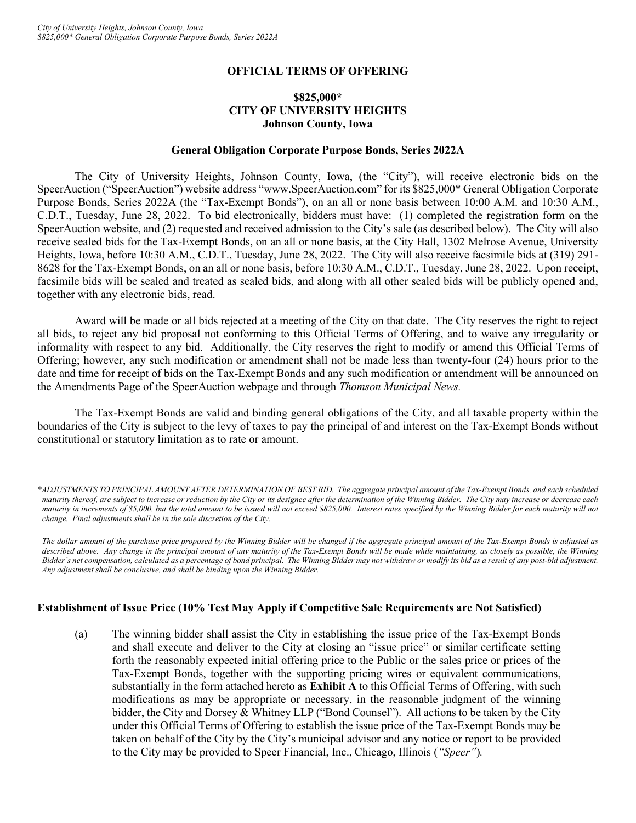# **OFFICIAL TERMS OF OFFERING**

# **\$825,000\* CITY OF UNIVERSITY HEIGHTS Johnson County, Iowa**

#### **General Obligation Corporate Purpose Bonds, Series 2022A**

The City of University Heights, Johnson County, Iowa, (the "City"), will receive electronic bids on the SpeerAuction ("SpeerAuction") website address "www.SpeerAuction.com" for its \$825,000\* General Obligation Corporate Purpose Bonds, Series 2022A (the "Tax-Exempt Bonds"), on an all or none basis between 10:00 A.M. and 10:30 A.M., C.D.T., Tuesday, June 28, 2022. To bid electronically, bidders must have: (1) completed the registration form on the SpeerAuction website, and (2) requested and received admission to the City's sale (as described below). The City will also receive sealed bids for the Tax-Exempt Bonds, on an all or none basis, at the City Hall, 1302 Melrose Avenue, University Heights, Iowa, before 10:30 A.M., C.D.T., Tuesday, June 28, 2022. The City will also receive facsimile bids at (319) 291- 8628 for the Tax-Exempt Bonds, on an all or none basis, before 10:30 A.M., C.D.T., Tuesday, June 28, 2022. Upon receipt, facsimile bids will be sealed and treated as sealed bids, and along with all other sealed bids will be publicly opened and, together with any electronic bids, read.

Award will be made or all bids rejected at a meeting of the City on that date. The City reserves the right to reject all bids, to reject any bid proposal not conforming to this Official Terms of Offering, and to waive any irregularity or informality with respect to any bid. Additionally, the City reserves the right to modify or amend this Official Terms of Offering; however, any such modification or amendment shall not be made less than twenty-four (24) hours prior to the date and time for receipt of bids on the Tax-Exempt Bonds and any such modification or amendment will be announced on the Amendments Page of the SpeerAuction webpage and through *Thomson Municipal News.*

The Tax-Exempt Bonds are valid and binding general obligations of the City, and all taxable property within the boundaries of the City is subject to the levy of taxes to pay the principal of and interest on the Tax-Exempt Bonds without constitutional or statutory limitation as to rate or amount.

*\*ADJUSTMENTS TO PRINCIPAL AMOUNT AFTER DETERMINATION OF BEST BID. The aggregate principal amount of the Tax-Exempt Bonds, and each scheduled maturity thereof, are subject to increase or reduction by the City or its designee after the determination of the Winning Bidder. The City may increase or decrease each maturity in increments of \$5,000, but the total amount to be issued will not exceed \$825,000. Interest rates specified by the Winning Bidder for each maturity will not change. Final adjustments shall be in the sole discretion of the City.*

*The dollar amount of the purchase price proposed by the Winning Bidder will be changed if the aggregate principal amount of the Tax-Exempt Bonds is adjusted as described above. Any change in the principal amount of any maturity of the Tax-Exempt Bonds will be made while maintaining, as closely as possible, the Winning Bidder's net compensation, calculated as a percentage of bond principal. The Winning Bidder may not withdraw or modify its bid as a result of any post-bid adjustment. Any adjustment shall be conclusive, and shall be binding upon the Winning Bidder.*

#### **Establishment of Issue Price (10% Test May Apply if Competitive Sale Requirements are Not Satisfied)**

(a) The winning bidder shall assist the City in establishing the issue price of the Tax-Exempt Bonds and shall execute and deliver to the City at closing an "issue price" or similar certificate setting forth the reasonably expected initial offering price to the Public or the sales price or prices of the Tax-Exempt Bonds, together with the supporting pricing wires or equivalent communications, substantially in the form attached hereto as **Exhibit A** to this Official Terms of Offering, with such modifications as may be appropriate or necessary, in the reasonable judgment of the winning bidder, the City and Dorsey & Whitney LLP ("Bond Counsel"). All actions to be taken by the City under this Official Terms of Offering to establish the issue price of the Tax-Exempt Bonds may be taken on behalf of the City by the City's municipal advisor and any notice or report to be provided to the City may be provided to Speer Financial, Inc., Chicago, Illinois (*"Speer"*)*.*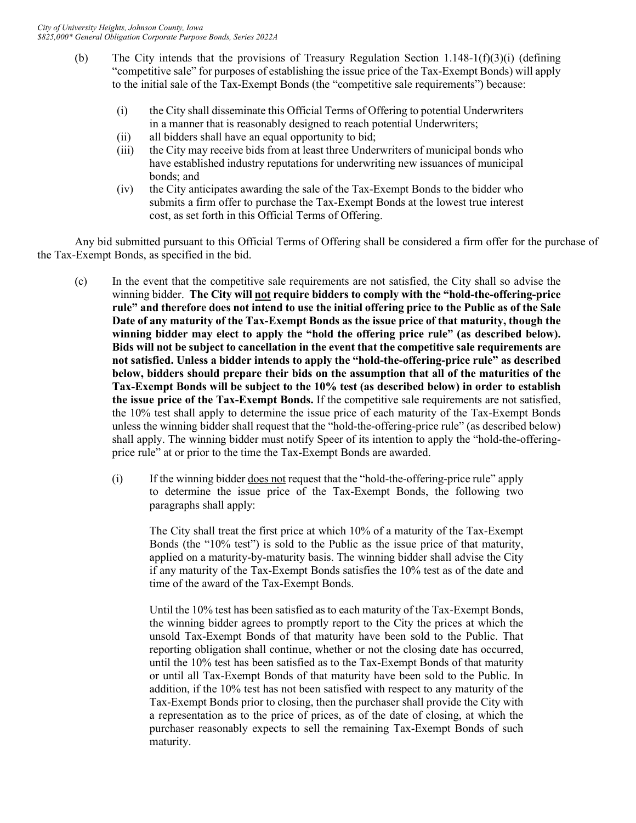- (b) The City intends that the provisions of Treasury Regulation Section 1.148-1(f)(3)(i) (defining "competitive sale" for purposes of establishing the issue price of the Tax-Exempt Bonds) will apply to the initial sale of the Tax-Exempt Bonds (the "competitive sale requirements") because:
	- (i) the City shall disseminate this Official Terms of Offering to potential Underwriters in a manner that is reasonably designed to reach potential Underwriters;
	- (ii) all bidders shall have an equal opportunity to bid;
	- (iii) the City may receive bids from at least three Underwriters of municipal bonds who have established industry reputations for underwriting new issuances of municipal bonds; and
	- (iv) the City anticipates awarding the sale of the Tax-Exempt Bonds to the bidder who submits a firm offer to purchase the Tax-Exempt Bonds at the lowest true interest cost, as set forth in this Official Terms of Offering.

Any bid submitted pursuant to this Official Terms of Offering shall be considered a firm offer for the purchase of the Tax-Exempt Bonds, as specified in the bid.

- (c) In the event that the competitive sale requirements are not satisfied, the City shall so advise the winning bidder. **The City will not require bidders to comply with the "hold-the-offering-price rule" and therefore does not intend to use the initial offering price to the Public as of the Sale Date of any maturity of the Tax-Exempt Bonds as the issue price of that maturity, though the winning bidder may elect to apply the "hold the offering price rule" (as described below). Bids will not be subject to cancellation in the event that the competitive sale requirements are not satisfied. Unless a bidder intends to apply the "hold-the-offering-price rule" as described below, bidders should prepare their bids on the assumption that all of the maturities of the Tax-Exempt Bonds will be subject to the 10% test (as described below) in order to establish the issue price of the Tax-Exempt Bonds.** If the competitive sale requirements are not satisfied, the 10% test shall apply to determine the issue price of each maturity of the Tax-Exempt Bonds unless the winning bidder shall request that the "hold-the-offering-price rule" (as described below) shall apply. The winning bidder must notify Speer of its intention to apply the "hold-the-offeringprice rule" at or prior to the time the Tax-Exempt Bonds are awarded.
	- (i) If the winning bidder does not request that the "hold-the-offering-price rule" apply to determine the issue price of the Tax-Exempt Bonds, the following two paragraphs shall apply:

The City shall treat the first price at which 10% of a maturity of the Tax-Exempt Bonds (the "10% test") is sold to the Public as the issue price of that maturity, applied on a maturity-by-maturity basis. The winning bidder shall advise the City if any maturity of the Tax-Exempt Bonds satisfies the 10% test as of the date and time of the award of the Tax-Exempt Bonds.

Until the 10% test has been satisfied as to each maturity of the Tax-Exempt Bonds, the winning bidder agrees to promptly report to the City the prices at which the unsold Tax-Exempt Bonds of that maturity have been sold to the Public. That reporting obligation shall continue, whether or not the closing date has occurred, until the 10% test has been satisfied as to the Tax-Exempt Bonds of that maturity or until all Tax-Exempt Bonds of that maturity have been sold to the Public. In addition, if the 10% test has not been satisfied with respect to any maturity of the Tax-Exempt Bonds prior to closing, then the purchaser shall provide the City with a representation as to the price of prices, as of the date of closing, at which the purchaser reasonably expects to sell the remaining Tax-Exempt Bonds of such maturity.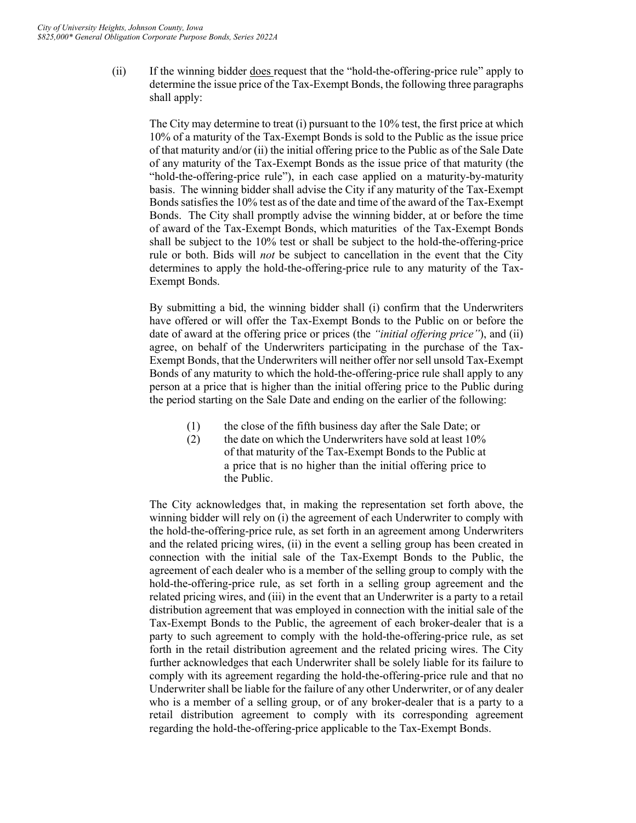(ii) If the winning bidder does request that the "hold-the-offering-price rule" apply to determine the issue price of the Tax-Exempt Bonds, the following three paragraphs shall apply:

The City may determine to treat (i) pursuant to the 10% test, the first price at which 10% of a maturity of the Tax-Exempt Bonds is sold to the Public as the issue price of that maturity and/or (ii) the initial offering price to the Public as of the Sale Date of any maturity of the Tax-Exempt Bonds as the issue price of that maturity (the "hold-the-offering-price rule"), in each case applied on a maturity-by-maturity basis. The winning bidder shall advise the City if any maturity of the Tax-Exempt Bonds satisfies the 10% test as of the date and time of the award of the Tax-Exempt Bonds. The City shall promptly advise the winning bidder, at or before the time of award of the Tax-Exempt Bonds, which maturities of the Tax-Exempt Bonds shall be subject to the 10% test or shall be subject to the hold-the-offering-price rule or both. Bids will *not* be subject to cancellation in the event that the City determines to apply the hold-the-offering-price rule to any maturity of the Tax-Exempt Bonds.

By submitting a bid, the winning bidder shall (i) confirm that the Underwriters have offered or will offer the Tax-Exempt Bonds to the Public on or before the date of award at the offering price or prices (the *"initial offering price"*), and (ii) agree, on behalf of the Underwriters participating in the purchase of the Tax-Exempt Bonds, that the Underwriters will neither offer nor sell unsold Tax-Exempt Bonds of any maturity to which the hold-the-offering-price rule shall apply to any person at a price that is higher than the initial offering price to the Public during the period starting on the Sale Date and ending on the earlier of the following:

- (1) the close of the fifth business day after the Sale Date; or
- (2) the date on which the Underwriters have sold at least  $10\%$ of that maturity of the Tax-Exempt Bonds to the Public at a price that is no higher than the initial offering price to the Public.

The City acknowledges that, in making the representation set forth above, the winning bidder will rely on (i) the agreement of each Underwriter to comply with the hold-the-offering-price rule, as set forth in an agreement among Underwriters and the related pricing wires, (ii) in the event a selling group has been created in connection with the initial sale of the Tax-Exempt Bonds to the Public, the agreement of each dealer who is a member of the selling group to comply with the hold-the-offering-price rule, as set forth in a selling group agreement and the related pricing wires, and (iii) in the event that an Underwriter is a party to a retail distribution agreement that was employed in connection with the initial sale of the Tax-Exempt Bonds to the Public, the agreement of each broker-dealer that is a party to such agreement to comply with the hold-the-offering-price rule, as set forth in the retail distribution agreement and the related pricing wires. The City further acknowledges that each Underwriter shall be solely liable for its failure to comply with its agreement regarding the hold-the-offering-price rule and that no Underwriter shall be liable for the failure of any other Underwriter, or of any dealer who is a member of a selling group, or of any broker-dealer that is a party to a retail distribution agreement to comply with its corresponding agreement regarding the hold-the-offering-price applicable to the Tax-Exempt Bonds.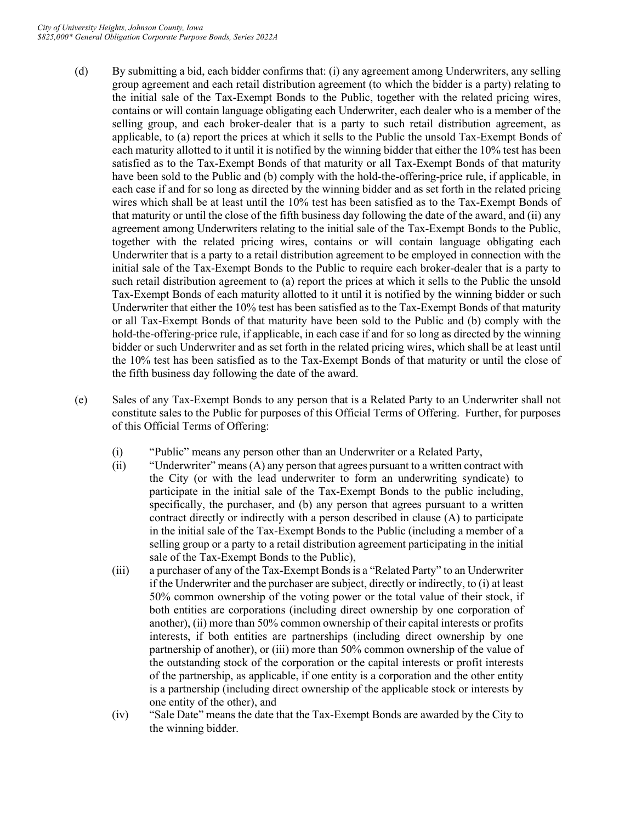- (d) By submitting a bid, each bidder confirms that: (i) any agreement among Underwriters, any selling group agreement and each retail distribution agreement (to which the bidder is a party) relating to the initial sale of the Tax-Exempt Bonds to the Public, together with the related pricing wires, contains or will contain language obligating each Underwriter, each dealer who is a member of the selling group, and each broker-dealer that is a party to such retail distribution agreement, as applicable, to (a) report the prices at which it sells to the Public the unsold Tax-Exempt Bonds of each maturity allotted to it until it is notified by the winning bidder that either the 10% test has been satisfied as to the Tax-Exempt Bonds of that maturity or all Tax-Exempt Bonds of that maturity have been sold to the Public and (b) comply with the hold-the-offering-price rule, if applicable, in each case if and for so long as directed by the winning bidder and as set forth in the related pricing wires which shall be at least until the 10% test has been satisfied as to the Tax-Exempt Bonds of that maturity or until the close of the fifth business day following the date of the award, and (ii) any agreement among Underwriters relating to the initial sale of the Tax-Exempt Bonds to the Public, together with the related pricing wires, contains or will contain language obligating each Underwriter that is a party to a retail distribution agreement to be employed in connection with the initial sale of the Tax-Exempt Bonds to the Public to require each broker-dealer that is a party to such retail distribution agreement to (a) report the prices at which it sells to the Public the unsold Tax-Exempt Bonds of each maturity allotted to it until it is notified by the winning bidder or such Underwriter that either the 10% test has been satisfied as to the Tax-Exempt Bonds of that maturity or all Tax-Exempt Bonds of that maturity have been sold to the Public and (b) comply with the hold-the-offering-price rule, if applicable, in each case if and for so long as directed by the winning bidder or such Underwriter and as set forth in the related pricing wires, which shall be at least until the 10% test has been satisfied as to the Tax-Exempt Bonds of that maturity or until the close of the fifth business day following the date of the award.
- (e) Sales of any Tax-Exempt Bonds to any person that is a Related Party to an Underwriter shall not constitute sales to the Public for purposes of this Official Terms of Offering. Further, for purposes of this Official Terms of Offering:
	- (i) "Public" means any person other than an Underwriter or a Related Party,
	- (ii) "Underwriter" means (A) any person that agrees pursuant to a written contract with the City (or with the lead underwriter to form an underwriting syndicate) to participate in the initial sale of the Tax-Exempt Bonds to the public including, specifically, the purchaser, and (b) any person that agrees pursuant to a written contract directly or indirectly with a person described in clause (A) to participate in the initial sale of the Tax-Exempt Bonds to the Public (including a member of a selling group or a party to a retail distribution agreement participating in the initial sale of the Tax-Exempt Bonds to the Public),
	- (iii) a purchaser of any of the Tax-Exempt Bonds is a "Related Party" to an Underwriter if the Underwriter and the purchaser are subject, directly or indirectly, to (i) at least 50% common ownership of the voting power or the total value of their stock, if both entities are corporations (including direct ownership by one corporation of another), (ii) more than 50% common ownership of their capital interests or profits interests, if both entities are partnerships (including direct ownership by one partnership of another), or (iii) more than 50% common ownership of the value of the outstanding stock of the corporation or the capital interests or profit interests of the partnership, as applicable, if one entity is a corporation and the other entity is a partnership (including direct ownership of the applicable stock or interests by one entity of the other), and
	- (iv) "Sale Date" means the date that the Tax-Exempt Bonds are awarded by the City to the winning bidder.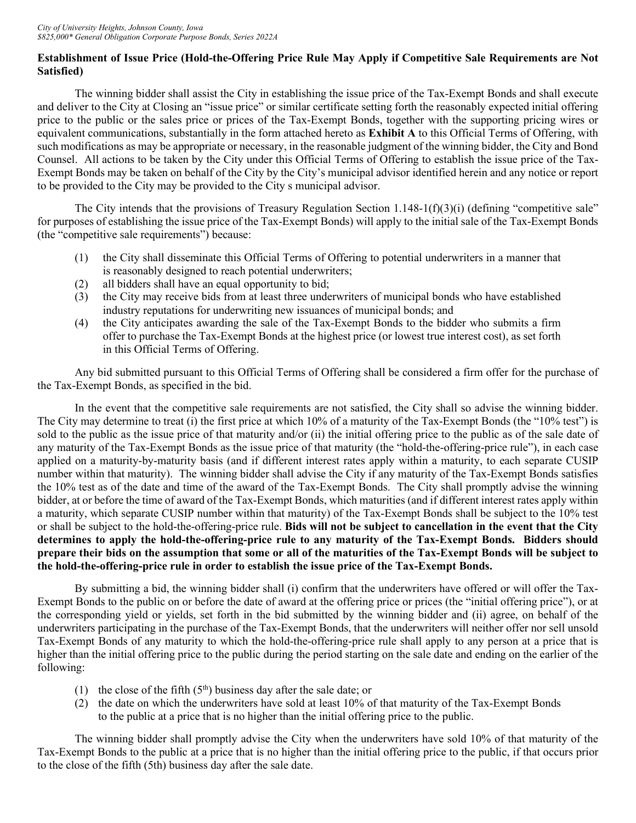# **Establishment of Issue Price (Hold-the-Offering Price Rule May Apply if Competitive Sale Requirements are Not Satisfied)**

The winning bidder shall assist the City in establishing the issue price of the Tax-Exempt Bonds and shall execute and deliver to the City at Closing an "issue price" or similar certificate setting forth the reasonably expected initial offering price to the public or the sales price or prices of the Tax-Exempt Bonds, together with the supporting pricing wires or equivalent communications, substantially in the form attached hereto as **Exhibit A** to this Official Terms of Offering, with such modifications as may be appropriate or necessary, in the reasonable judgment of the winning bidder, the City and Bond Counsel.All actions to be taken by the City under this Official Terms of Offering to establish the issue price of the Tax-Exempt Bonds may be taken on behalf of the City by the City's municipal advisor identified herein and any notice or report to be provided to the City may be provided to the City s municipal advisor.

The City intends that the provisions of Treasury Regulation Section  $1.148-1(f)(3)(i)$  (defining "competitive sale" for purposes of establishing the issue price of the Tax-Exempt Bonds) will apply to the initial sale of the Tax-Exempt Bonds (the "competitive sale requirements") because:

- (1) the City shall disseminate this Official Terms of Offering to potential underwriters in a manner that is reasonably designed to reach potential underwriters;
- (2) all bidders shall have an equal opportunity to bid;
- (3) the City may receive bids from at least three underwriters of municipal bonds who have established industry reputations for underwriting new issuances of municipal bonds; and
- (4) the City anticipates awarding the sale of the Tax-Exempt Bonds to the bidder who submits a firm offer to purchase the Tax-Exempt Bonds at the highest price (or lowest true interest cost), as set forth in this Official Terms of Offering.

Any bid submitted pursuant to this Official Terms of Offering shall be considered a firm offer for the purchase of the Tax-Exempt Bonds, as specified in the bid.

In the event that the competitive sale requirements are not satisfied, the City shall so advise the winning bidder. The City may determine to treat (i) the first price at which 10% of a maturity of the Tax-Exempt Bonds (the "10% test") is sold to the public as the issue price of that maturity and/or (ii) the initial offering price to the public as of the sale date of any maturity of the Tax-Exempt Bonds as the issue price of that maturity (the "hold-the-offering-price rule"), in each case applied on a maturity-by-maturity basis (and if different interest rates apply within a maturity, to each separate CUSIP number within that maturity). The winning bidder shall advise the City if any maturity of the Tax-Exempt Bonds satisfies the 10% test as of the date and time of the award of the Tax-Exempt Bonds. The City shall promptly advise the winning bidder, at or before the time of award of the Tax-Exempt Bonds, which maturities (and if different interest rates apply within a maturity, which separate CUSIP number within that maturity) of the Tax-Exempt Bonds shall be subject to the 10% test or shall be subject to the hold-the-offering-price rule. **Bids will not be subject to cancellation in the event that the City determines to apply the hold-the-offering-price rule to any maturity of the Tax-Exempt Bonds. Bidders should prepare their bids on the assumption that some or all of the maturities of the Tax-Exempt Bonds will be subject to the hold-the-offering-price rule in order to establish the issue price of the Tax-Exempt Bonds.**

By submitting a bid, the winning bidder shall (i) confirm that the underwriters have offered or will offer the Tax-Exempt Bonds to the public on or before the date of award at the offering price or prices (the "initial offering price"), or at the corresponding yield or yields, set forth in the bid submitted by the winning bidder and (ii) agree, on behalf of the underwriters participating in the purchase of the Tax-Exempt Bonds, that the underwriters will neither offer nor sell unsold Tax-Exempt Bonds of any maturity to which the hold-the-offering-price rule shall apply to any person at a price that is higher than the initial offering price to the public during the period starting on the sale date and ending on the earlier of the following:

- (1) the close of the fifth  $(5<sup>th</sup>)$  business day after the sale date; or
- (2) the date on which the underwriters have sold at least 10% of that maturity of the Tax-Exempt Bonds to the public at a price that is no higher than the initial offering price to the public.

The winning bidder shall promptly advise the City when the underwriters have sold 10% of that maturity of the Tax-Exempt Bonds to the public at a price that is no higher than the initial offering price to the public, if that occurs prior to the close of the fifth (5th) business day after the sale date.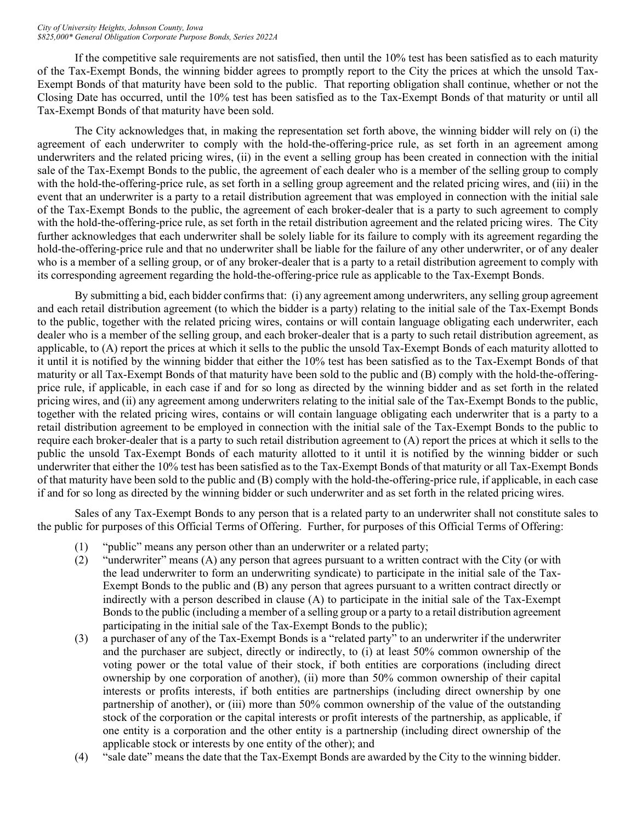#### *City of University Heights, Johnson County, Iowa \$825,000\* General Obligation Corporate Purpose Bonds, Series 2022A*

If the competitive sale requirements are not satisfied, then until the 10% test has been satisfied as to each maturity of the Tax-Exempt Bonds, the winning bidder agrees to promptly report to the City the prices at which the unsold Tax-Exempt Bonds of that maturity have been sold to the public. That reporting obligation shall continue, whether or not the Closing Date has occurred, until the 10% test has been satisfied as to the Tax-Exempt Bonds of that maturity or until all Tax-Exempt Bonds of that maturity have been sold.

The City acknowledges that, in making the representation set forth above, the winning bidder will rely on (i) the agreement of each underwriter to comply with the hold-the-offering-price rule, as set forth in an agreement among underwriters and the related pricing wires, (ii) in the event a selling group has been created in connection with the initial sale of the Tax-Exempt Bonds to the public, the agreement of each dealer who is a member of the selling group to comply with the hold-the-offering-price rule, as set forth in a selling group agreement and the related pricing wires, and (iii) in the event that an underwriter is a party to a retail distribution agreement that was employed in connection with the initial sale of the Tax-Exempt Bonds to the public, the agreement of each broker-dealer that is a party to such agreement to comply with the hold-the-offering-price rule, as set forth in the retail distribution agreement and the related pricing wires. The City further acknowledges that each underwriter shall be solely liable for its failure to comply with its agreement regarding the hold-the-offering-price rule and that no underwriter shall be liable for the failure of any other underwriter, or of any dealer who is a member of a selling group, or of any broker-dealer that is a party to a retail distribution agreement to comply with its corresponding agreement regarding the hold-the-offering-price rule as applicable to the Tax-Exempt Bonds.

By submitting a bid, each bidder confirms that: (i) any agreement among underwriters, any selling group agreement and each retail distribution agreement (to which the bidder is a party) relating to the initial sale of the Tax-Exempt Bonds to the public, together with the related pricing wires, contains or will contain language obligating each underwriter, each dealer who is a member of the selling group, and each broker-dealer that is a party to such retail distribution agreement, as applicable, to (A) report the prices at which it sells to the public the unsold Tax-Exempt Bonds of each maturity allotted to it until it is notified by the winning bidder that either the 10% test has been satisfied as to the Tax-Exempt Bonds of that maturity or all Tax-Exempt Bonds of that maturity have been sold to the public and (B) comply with the hold-the-offeringprice rule, if applicable, in each case if and for so long as directed by the winning bidder and as set forth in the related pricing wires, and (ii) any agreement among underwriters relating to the initial sale of the Tax-Exempt Bonds to the public, together with the related pricing wires, contains or will contain language obligating each underwriter that is a party to a retail distribution agreement to be employed in connection with the initial sale of the Tax-Exempt Bonds to the public to require each broker-dealer that is a party to such retail distribution agreement to (A) report the prices at which it sells to the public the unsold Tax-Exempt Bonds of each maturity allotted to it until it is notified by the winning bidder or such underwriter that either the 10% test has been satisfied as to the Tax-Exempt Bonds of that maturity or all Tax-Exempt Bonds of that maturity have been sold to the public and (B) comply with the hold-the-offering-price rule, if applicable, in each case if and for so long as directed by the winning bidder or such underwriter and as set forth in the related pricing wires.

Sales of any Tax-Exempt Bonds to any person that is a related party to an underwriter shall not constitute sales to the public for purposes of this Official Terms of Offering. Further, for purposes of this Official Terms of Offering:

- (1) "public" means any person other than an underwriter or a related party;
- (2) "underwriter" means (A) any person that agrees pursuant to a written contract with the City (or with the lead underwriter to form an underwriting syndicate) to participate in the initial sale of the Tax-Exempt Bonds to the public and (B) any person that agrees pursuant to a written contract directly or indirectly with a person described in clause (A) to participate in the initial sale of the Tax-Exempt Bonds to the public (including a member of a selling group or a party to a retail distribution agreement participating in the initial sale of the Tax-Exempt Bonds to the public);
- (3) a purchaser of any of the Tax-Exempt Bonds is a "related party" to an underwriter if the underwriter and the purchaser are subject, directly or indirectly, to (i) at least 50% common ownership of the voting power or the total value of their stock, if both entities are corporations (including direct ownership by one corporation of another), (ii) more than 50% common ownership of their capital interests or profits interests, if both entities are partnerships (including direct ownership by one partnership of another), or (iii) more than 50% common ownership of the value of the outstanding stock of the corporation or the capital interests or profit interests of the partnership, as applicable, if one entity is a corporation and the other entity is a partnership (including direct ownership of the applicable stock or interests by one entity of the other); and
- (4) "sale date" means the date that the Tax-Exempt Bonds are awarded by the City to the winning bidder.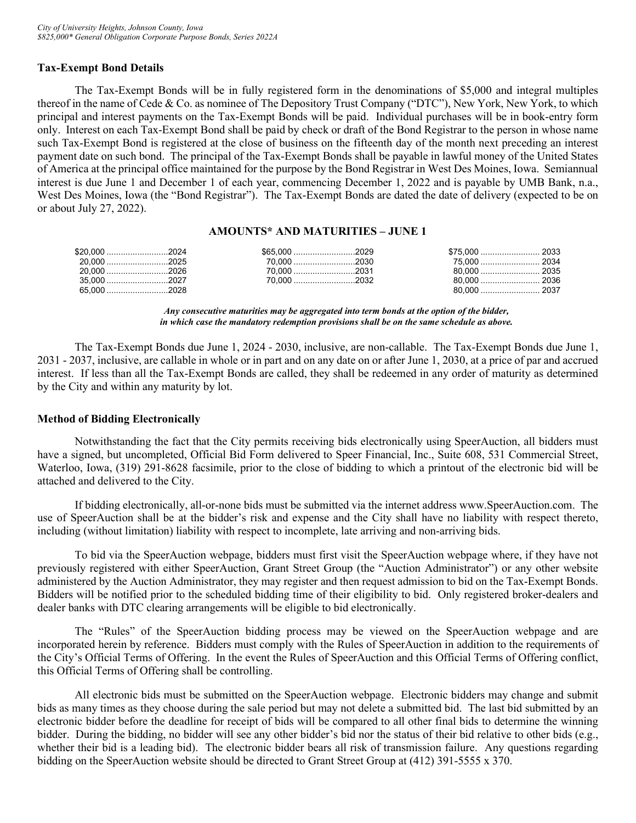# **Tax-Exempt Bond Details**

The Tax-Exempt Bonds will be in fully registered form in the denominations of \$5,000 and integral multiples thereof in the name of Cede & Co. as nominee of The Depository Trust Company ("DTC"), New York, New York, to which principal and interest payments on the Tax-Exempt Bonds will be paid. Individual purchases will be in book-entry form only. Interest on each Tax-Exempt Bond shall be paid by check or draft of the Bond Registrar to the person in whose name such Tax-Exempt Bond is registered at the close of business on the fifteenth day of the month next preceding an interest payment date on such bond. The principal of the Tax-Exempt Bonds shall be payable in lawful money of the United States of America at the principal office maintained for the purpose by the Bond Registrar in West Des Moines, Iowa. Semiannual interest is due June 1 and December 1 of each year, commencing December 1, 2022 and is payable by UMB Bank, n.a., West Des Moines, Iowa (the "Bond Registrar"). The Tax-Exempt Bonds are dated the date of delivery (expected to be on or about July 27, 2022).

#### **AMOUNTS\* AND MATURITIES – JUNE 1**

| \$20.000 2024 | \$65.000 2029 |  |  |
|---------------|---------------|--|--|
| 20.000 2025   |               |  |  |
| 20.000 2026   | 70.000 2031   |  |  |
| $35.000$ 2027 | 70.000 2032   |  |  |
| 65.000 2028   |               |  |  |

*Any consecutive maturities may be aggregated into term bonds at the option of the bidder, in which case the mandatory redemption provisions shall be on the same schedule as above.*

The Tax-Exempt Bonds due June 1, 2024 - 2030, inclusive, are non-callable. The Tax-Exempt Bonds due June 1, 2031 - 2037, inclusive, are callable in whole or in part and on any date on or after June 1, 2030, at a price of par and accrued interest. If less than all the Tax-Exempt Bonds are called, they shall be redeemed in any order of maturity as determined by the City and within any maturity by lot.

#### **Method of Bidding Electronically**

Notwithstanding the fact that the City permits receiving bids electronically using SpeerAuction, all bidders must have a signed, but uncompleted, Official Bid Form delivered to Speer Financial, Inc., Suite 608, 531 Commercial Street, Waterloo, Iowa, (319) 291-8628 facsimile, prior to the close of bidding to which a printout of the electronic bid will be attached and delivered to the City.

If bidding electronically, all-or-none bids must be submitted via the internet address www.SpeerAuction.com. The use of SpeerAuction shall be at the bidder's risk and expense and the City shall have no liability with respect thereto, including (without limitation) liability with respect to incomplete, late arriving and non-arriving bids.

To bid via the SpeerAuction webpage, bidders must first visit the SpeerAuction webpage where, if they have not previously registered with either SpeerAuction, Grant Street Group (the "Auction Administrator") or any other website administered by the Auction Administrator, they may register and then request admission to bid on the Tax-Exempt Bonds. Bidders will be notified prior to the scheduled bidding time of their eligibility to bid. Only registered broker-dealers and dealer banks with DTC clearing arrangements will be eligible to bid electronically.

The "Rules" of the SpeerAuction bidding process may be viewed on the SpeerAuction webpage and are incorporated herein by reference. Bidders must comply with the Rules of SpeerAuction in addition to the requirements of the City's Official Terms of Offering. In the event the Rules of SpeerAuction and this Official Terms of Offering conflict, this Official Terms of Offering shall be controlling.

All electronic bids must be submitted on the SpeerAuction webpage. Electronic bidders may change and submit bids as many times as they choose during the sale period but may not delete a submitted bid. The last bid submitted by an electronic bidder before the deadline for receipt of bids will be compared to all other final bids to determine the winning bidder. During the bidding, no bidder will see any other bidder's bid nor the status of their bid relative to other bids (e.g., whether their bid is a leading bid). The electronic bidder bears all risk of transmission failure. Any questions regarding bidding on the SpeerAuction website should be directed to Grant Street Group at (412) 391-5555 x 370.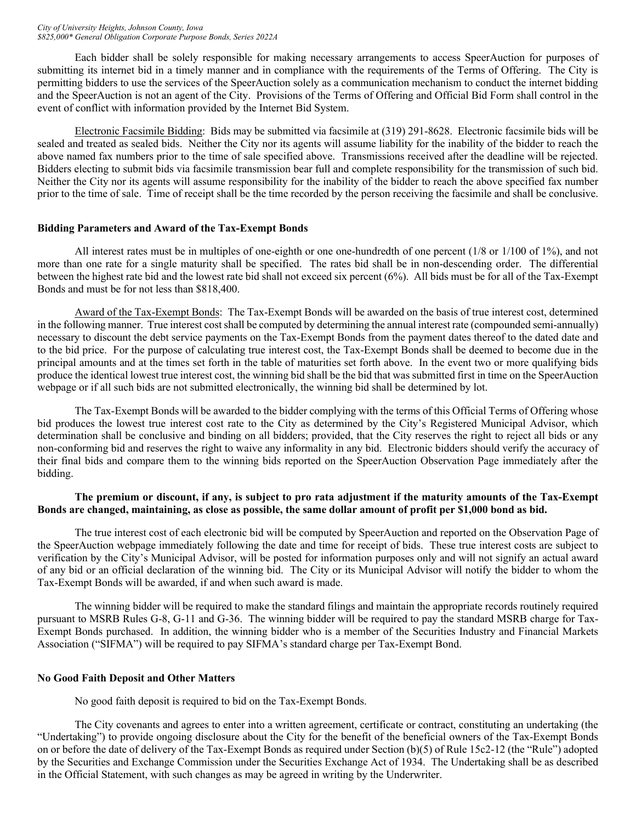Each bidder shall be solely responsible for making necessary arrangements to access SpeerAuction for purposes of submitting its internet bid in a timely manner and in compliance with the requirements of the Terms of Offering. The City is permitting bidders to use the services of the SpeerAuction solely as a communication mechanism to conduct the internet bidding and the SpeerAuction is not an agent of the City. Provisions of the Terms of Offering and Official Bid Form shall control in the event of conflict with information provided by the Internet Bid System.

Electronic Facsimile Bidding: Bids may be submitted via facsimile at (319) 291-8628. Electronic facsimile bids will be sealed and treated as sealed bids. Neither the City nor its agents will assume liability for the inability of the bidder to reach the above named fax numbers prior to the time of sale specified above. Transmissions received after the deadline will be rejected. Bidders electing to submit bids via facsimile transmission bear full and complete responsibility for the transmission of such bid. Neither the City nor its agents will assume responsibility for the inability of the bidder to reach the above specified fax number prior to the time of sale. Time of receipt shall be the time recorded by the person receiving the facsimile and shall be conclusive.

#### **Bidding Parameters and Award of the Tax-Exempt Bonds**

All interest rates must be in multiples of one-eighth or one one-hundredth of one percent (1/8 or 1/100 of 1%), and not more than one rate for a single maturity shall be specified. The rates bid shall be in non-descending order. The differential between the highest rate bid and the lowest rate bid shall not exceed six percent (6%). All bids must be for all of the Tax-Exempt Bonds and must be for not less than \$818,400.

Award of the Tax-Exempt Bonds: The Tax-Exempt Bonds will be awarded on the basis of true interest cost, determined in the following manner. True interest cost shall be computed by determining the annual interest rate (compounded semi-annually) necessary to discount the debt service payments on the Tax-Exempt Bonds from the payment dates thereof to the dated date and to the bid price. For the purpose of calculating true interest cost, the Tax-Exempt Bonds shall be deemed to become due in the principal amounts and at the times set forth in the table of maturities set forth above. In the event two or more qualifying bids produce the identical lowest true interest cost, the winning bid shall be the bid that was submitted first in time on the SpeerAuction webpage or if all such bids are not submitted electronically, the winning bid shall be determined by lot.

The Tax-Exempt Bonds will be awarded to the bidder complying with the terms of this Official Terms of Offering whose bid produces the lowest true interest cost rate to the City as determined by the City's Registered Municipal Advisor, which determination shall be conclusive and binding on all bidders; provided, that the City reserves the right to reject all bids or any non-conforming bid and reserves the right to waive any informality in any bid. Electronic bidders should verify the accuracy of their final bids and compare them to the winning bids reported on the SpeerAuction Observation Page immediately after the bidding.

#### **The premium or discount, if any, is subject to pro rata adjustment if the maturity amounts of the Tax-Exempt Bonds are changed, maintaining, as close as possible, the same dollar amount of profit per \$1,000 bond as bid.**

The true interest cost of each electronic bid will be computed by SpeerAuction and reported on the Observation Page of the SpeerAuction webpage immediately following the date and time for receipt of bids. These true interest costs are subject to verification by the City's Municipal Advisor, will be posted for information purposes only and will not signify an actual award of any bid or an official declaration of the winning bid. The City or its Municipal Advisor will notify the bidder to whom the Tax-Exempt Bonds will be awarded, if and when such award is made.

The winning bidder will be required to make the standard filings and maintain the appropriate records routinely required pursuant to MSRB Rules G-8, G-11 and G-36. The winning bidder will be required to pay the standard MSRB charge for Tax-Exempt Bonds purchased. In addition, the winning bidder who is a member of the Securities Industry and Financial Markets Association ("SIFMA") will be required to pay SIFMA's standard charge per Tax-Exempt Bond.

# **No Good Faith Deposit and Other Matters**

No good faith deposit is required to bid on the Tax-Exempt Bonds.

The City covenants and agrees to enter into a written agreement, certificate or contract, constituting an undertaking (the "Undertaking") to provide ongoing disclosure about the City for the benefit of the beneficial owners of the Tax-Exempt Bonds on or before the date of delivery of the Tax-Exempt Bonds as required under Section (b)(5) of Rule 15c2-12 (the "Rule") adopted by the Securities and Exchange Commission under the Securities Exchange Act of 1934. The Undertaking shall be as described in the Official Statement, with such changes as may be agreed in writing by the Underwriter.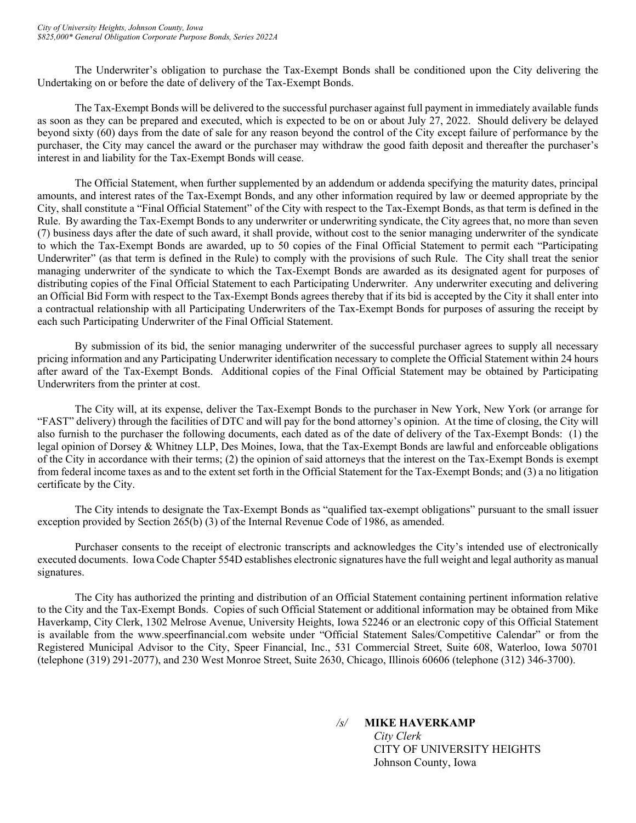The Underwriter's obligation to purchase the Tax-Exempt Bonds shall be conditioned upon the City delivering the Undertaking on or before the date of delivery of the Tax-Exempt Bonds.

The Tax-Exempt Bonds will be delivered to the successful purchaser against full payment in immediately available funds as soon as they can be prepared and executed, which is expected to be on or about July 27, 2022. Should delivery be delayed beyond sixty (60) days from the date of sale for any reason beyond the control of the City except failure of performance by the purchaser, the City may cancel the award or the purchaser may withdraw the good faith deposit and thereafter the purchaser's interest in and liability for the Tax-Exempt Bonds will cease.

The Official Statement, when further supplemented by an addendum or addenda specifying the maturity dates, principal amounts, and interest rates of the Tax-Exempt Bonds, and any other information required by law or deemed appropriate by the City, shall constitute a "Final Official Statement" of the City with respect to the Tax-Exempt Bonds, as that term is defined in the Rule. By awarding the Tax-Exempt Bonds to any underwriter or underwriting syndicate, the City agrees that, no more than seven (7) business days after the date of such award, it shall provide, without cost to the senior managing underwriter of the syndicate to which the Tax-Exempt Bonds are awarded, up to 50 copies of the Final Official Statement to permit each "Participating Underwriter" (as that term is defined in the Rule) to comply with the provisions of such Rule. The City shall treat the senior managing underwriter of the syndicate to which the Tax-Exempt Bonds are awarded as its designated agent for purposes of distributing copies of the Final Official Statement to each Participating Underwriter. Any underwriter executing and delivering an Official Bid Form with respect to the Tax-Exempt Bonds agrees thereby that if its bid is accepted by the City it shall enter into a contractual relationship with all Participating Underwriters of the Tax-Exempt Bonds for purposes of assuring the receipt by each such Participating Underwriter of the Final Official Statement.

By submission of its bid, the senior managing underwriter of the successful purchaser agrees to supply all necessary pricing information and any Participating Underwriter identification necessary to complete the Official Statement within 24 hours after award of the Tax-Exempt Bonds. Additional copies of the Final Official Statement may be obtained by Participating Underwriters from the printer at cost.

The City will, at its expense, deliver the Tax-Exempt Bonds to the purchaser in New York, New York (or arrange for "FAST" delivery) through the facilities of DTC and will pay for the bond attorney's opinion. At the time of closing, the City will also furnish to the purchaser the following documents, each dated as of the date of delivery of the Tax-Exempt Bonds: (1) the legal opinion of Dorsey & Whitney LLP, Des Moines, Iowa, that the Tax-Exempt Bonds are lawful and enforceable obligations of the City in accordance with their terms; (2) the opinion of said attorneys that the interest on the Tax-Exempt Bonds is exempt from federal income taxes as and to the extent set forth in the Official Statement for the Tax-Exempt Bonds; and (3) a no litigation certificate by the City.

The City intends to designate the Tax-Exempt Bonds as "qualified tax-exempt obligations" pursuant to the small issuer exception provided by Section 265(b) (3) of the Internal Revenue Code of 1986, as amended.

Purchaser consents to the receipt of electronic transcripts and acknowledges the City's intended use of electronically executed documents. Iowa Code Chapter 554D establishes electronic signatures have the full weight and legal authority as manual signatures.

The City has authorized the printing and distribution of an Official Statement containing pertinent information relative to the City and the Tax-Exempt Bonds. Copies of such Official Statement or additional information may be obtained from Mike Haverkamp, City Clerk, 1302 Melrose Avenue, University Heights, Iowa 52246 or an electronic copy of this Official Statement is available from the www.speerfinancial.com website under "Official Statement Sales/Competitive Calendar" or from the Registered Municipal Advisor to the City, Speer Financial, Inc., 531 Commercial Street, Suite 608, Waterloo, Iowa 50701 (telephone (319) 291-2077), and 230 West Monroe Street, Suite 2630, Chicago, Illinois 60606 (telephone (312) 346-3700).

*/s/* **MIKE HAVERKAMP**

*City Clerk* CITY OF UNIVERSITY HEIGHTS Johnson County, Iowa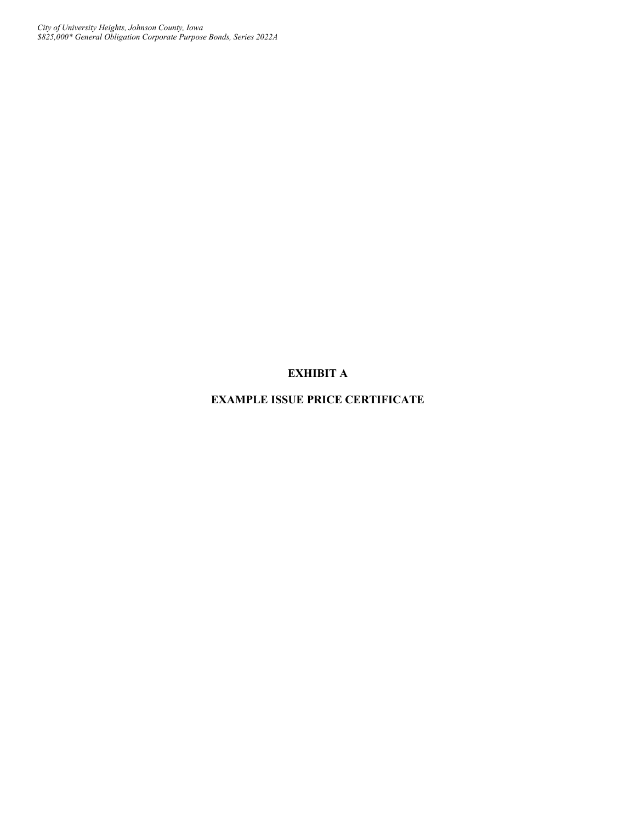# **EXHIBIT A**

# **EXAMPLE ISSUE PRICE CERTIFICATE**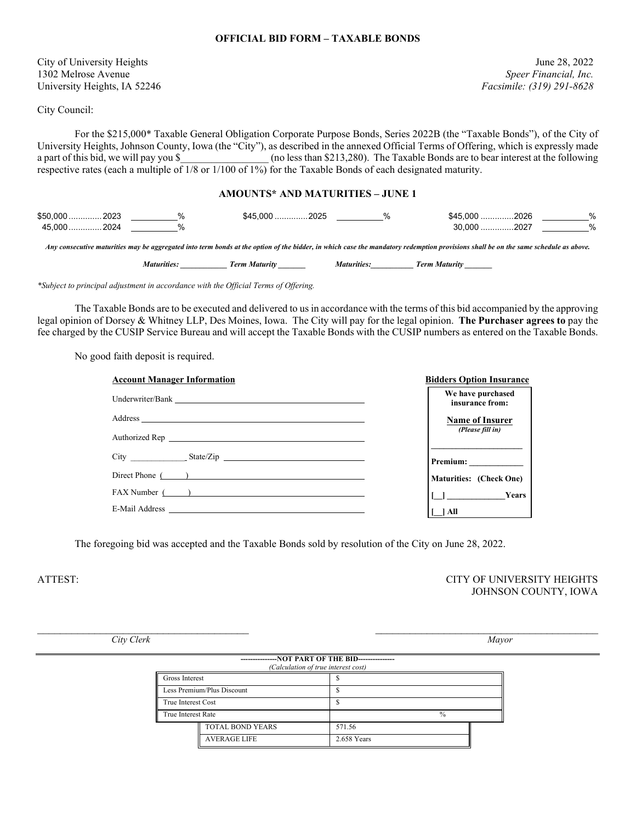#### **OFFICIAL BID FORM – TAXABLE BONDS**

City of University Heights June 28, 2022 1302 Melrose Avenue *Speer Financial, Inc.* University Heights, IA 52246 *Facsimile: (319) 291-8628*

City Council:

For the \$215,000\* Taxable General Obligation Corporate Purpose Bonds, Series 2022B (the "Taxable Bonds"), of the City of University Heights, Johnson County, Iowa (the "City"), as described in the annexed Official Terms of Offering, which is expressly made a part of this bid, we will pay you \$ (no less than \$213,280). The Taxable Bonds are to bear interest at the following respective rates (each a multiple of  $\frac{1}{8}$  or  $\frac{1}{100}$  of  $\frac{1}{8}$ ) for the Taxable Bonds of each designated maturity.

#### **AMOUNTS\* AND MATURITIES – JUNE 1**

| \$50,000<br>2023 | \$45.000<br>nn n r<br>∟∟ב | $\Omega$<br>$\overline{\phantom{a}}$ | \$45.000<br>2026 | % |
|------------------|---------------------------|--------------------------------------|------------------|---|
| 2024<br>45.000   |                           |                                      | ነ በበቦ<br>.202    | % |
|                  |                           |                                      |                  |   |

*Any consecutive maturities may be aggregated into term bonds at the option of the bidder, in which case the mandatory redemption provisions shall be on the same schedule as above.*

*Maturities: \_\_\_\_\_\_\_\_\_\_\_\_ Term Maturity \_\_\_\_\_\_\_ Maturities:\_\_\_\_\_\_\_\_\_\_\_ Term Maturity \_\_\_\_\_\_\_*

| <b>Maturities:</b> |  |  | <b>Term Maturity</b> |
|--------------------|--|--|----------------------|
|--------------------|--|--|----------------------|

*\*Subject to principal adjustment in accordance with the Official Terms of Offering.*

The Taxable Bonds are to be executed and delivered to us in accordance with the terms of this bid accompanied by the approving legal opinion of Dorsey & Whitney LLP, Des Moines, Iowa. The City will pay for the legal opinion. **The Purchaser agrees to** pay the fee charged by the CUSIP Service Bureau and will accept the Taxable Bonds with the CUSIP numbers as entered on the Taxable Bonds.

No good faith deposit is required.

| <b>Account Manager Information</b> | <b>Bidders Option Insurance</b>      |
|------------------------------------|--------------------------------------|
| Underwriter/Bank                   | We have purchased<br>insurance from: |
|                                    | <b>Name of Insurer</b>               |
|                                    | (Please fill in)                     |
|                                    |                                      |
| Direct Phone ( )                   | Maturities: (Check One)              |
| FAX Number ( )                     | $\boxed{\Box}$ Years                 |
|                                    | 1 All                                |

The foregoing bid was accepted and the Taxable Bonds sold by resolution of the City on June 28, 2022.

ATTEST: CITY OF UNIVERSITY HEIGHTS JOHNSON COUNTY, IOWA

*City Clerk Mayor*

| --------------NOT PART OF THE BID---------------<br>(Calculation of true interest cost) |                         |               |  |  |
|-----------------------------------------------------------------------------------------|-------------------------|---------------|--|--|
| <b>Gross Interest</b>                                                                   |                         |               |  |  |
| Less Premium/Plus Discount                                                              |                         |               |  |  |
| True Interest Cost                                                                      |                         |               |  |  |
| True Interest Rate                                                                      |                         | $\frac{0}{0}$ |  |  |
|                                                                                         | <b>TOTAL BOND YEARS</b> | 571.56        |  |  |
|                                                                                         | <b>AVERAGE LIFE</b>     | 2.658 Years   |  |  |

 $\mathcal{L}_\text{max}$  , and the contribution of the contribution of the contribution of the contribution of the contribution of the contribution of the contribution of the contribution of the contribution of the contribution of t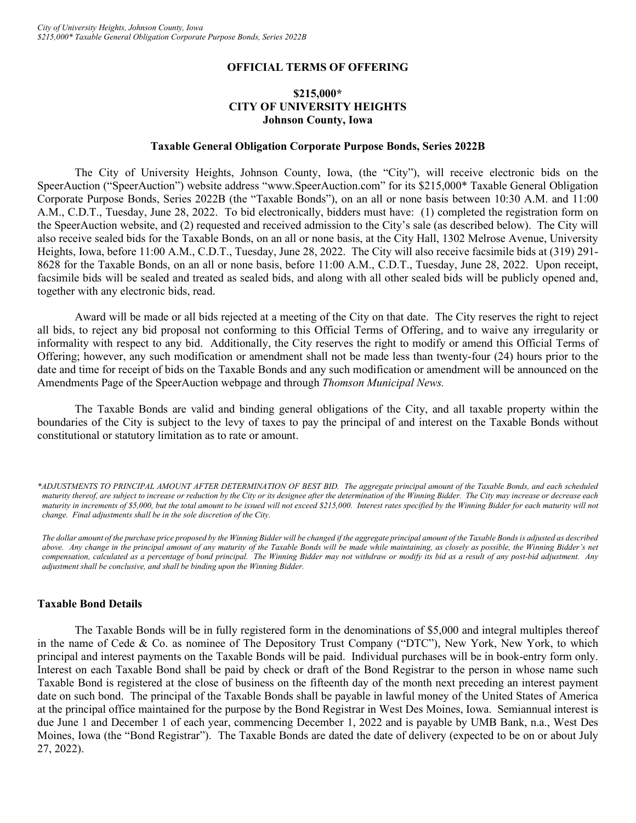#### **OFFICIAL TERMS OF OFFERING**

# **\$215,000\* CITY OF UNIVERSITY HEIGHTS Johnson County, Iowa**

#### **Taxable General Obligation Corporate Purpose Bonds, Series 2022B**

The City of University Heights, Johnson County, Iowa, (the "City"), will receive electronic bids on the SpeerAuction ("SpeerAuction") website address "www.SpeerAuction.com" for its \$215,000\* Taxable General Obligation Corporate Purpose Bonds, Series 2022B (the "Taxable Bonds"), on an all or none basis between 10:30 A.M. and 11:00 A.M., C.D.T., Tuesday, June 28, 2022. To bid electronically, bidders must have: (1) completed the registration form on the SpeerAuction website, and (2) requested and received admission to the City's sale (as described below). The City will also receive sealed bids for the Taxable Bonds, on an all or none basis, at the City Hall, 1302 Melrose Avenue, University Heights, Iowa, before 11:00 A.M., C.D.T., Tuesday, June 28, 2022. The City will also receive facsimile bids at (319) 291- 8628 for the Taxable Bonds, on an all or none basis, before 11:00 A.M., C.D.T., Tuesday, June 28, 2022. Upon receipt, facsimile bids will be sealed and treated as sealed bids, and along with all other sealed bids will be publicly opened and, together with any electronic bids, read.

Award will be made or all bids rejected at a meeting of the City on that date. The City reserves the right to reject all bids, to reject any bid proposal not conforming to this Official Terms of Offering, and to waive any irregularity or informality with respect to any bid. Additionally, the City reserves the right to modify or amend this Official Terms of Offering; however, any such modification or amendment shall not be made less than twenty-four (24) hours prior to the date and time for receipt of bids on the Taxable Bonds and any such modification or amendment will be announced on the Amendments Page of the SpeerAuction webpage and through *Thomson Municipal News.*

The Taxable Bonds are valid and binding general obligations of the City, and all taxable property within the boundaries of the City is subject to the levy of taxes to pay the principal of and interest on the Taxable Bonds without constitutional or statutory limitation as to rate or amount.

*\*ADJUSTMENTS TO PRINCIPAL AMOUNT AFTER DETERMINATION OF BEST BID. The aggregate principal amount of the Taxable Bonds, and each scheduled maturity thereof, are subject to increase or reduction by the City or its designee after the determination of the Winning Bidder. The City may increase or decrease each maturity in increments of \$5,000, but the total amount to be issued will not exceed \$215,000. Interest rates specified by the Winning Bidder for each maturity will not change. Final adjustments shall be in the sole discretion of the City.*

*The dollar amount of the purchase price proposed by the Winning Bidder will be changed if the aggregate principal amount of the Taxable Bonds is adjusted as described above. Any change in the principal amount of any maturity of the Taxable Bonds will be made while maintaining, as closely as possible, the Winning Bidder's net compensation, calculated as a percentage of bond principal. The Winning Bidder may not withdraw or modify its bid as a result of any post-bid adjustment. Any adjustment shall be conclusive, and shall be binding upon the Winning Bidder.*

#### **Taxable Bond Details**

The Taxable Bonds will be in fully registered form in the denominations of \$5,000 and integral multiples thereof in the name of Cede & Co. as nominee of The Depository Trust Company ("DTC"), New York, New York, to which principal and interest payments on the Taxable Bonds will be paid. Individual purchases will be in book-entry form only. Interest on each Taxable Bond shall be paid by check or draft of the Bond Registrar to the person in whose name such Taxable Bond is registered at the close of business on the fifteenth day of the month next preceding an interest payment date on such bond. The principal of the Taxable Bonds shall be payable in lawful money of the United States of America at the principal office maintained for the purpose by the Bond Registrar in West Des Moines, Iowa. Semiannual interest is due June 1 and December 1 of each year, commencing December 1, 2022 and is payable by UMB Bank, n.a., West Des Moines, Iowa (the "Bond Registrar"). The Taxable Bonds are dated the date of delivery (expected to be on or about July 27, 2022).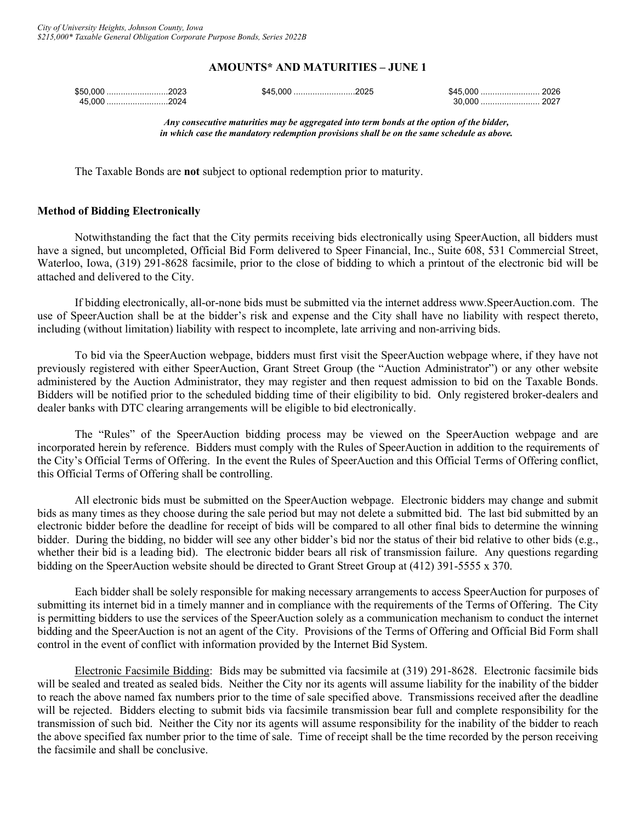#### **AMOUNTS\* AND MATURITIES – JUNE 1**

| \$50,000 2023               | \$45,000 2025 |     |  |
|-----------------------------|---------------|-----|--|
| 45.000<br><sub>.</sub> 2024 |               | nnr |  |

*Any consecutive maturities may be aggregated into term bonds at the option of the bidder, in which case the mandatory redemption provisions shall be on the same schedule as above.*

The Taxable Bonds are **not** subject to optional redemption prior to maturity.

# **Method of Bidding Electronically**

Notwithstanding the fact that the City permits receiving bids electronically using SpeerAuction, all bidders must have a signed, but uncompleted, Official Bid Form delivered to Speer Financial, Inc., Suite 608, 531 Commercial Street, Waterloo, Iowa, (319) 291-8628 facsimile, prior to the close of bidding to which a printout of the electronic bid will be attached and delivered to the City.

If bidding electronically, all-or-none bids must be submitted via the internet address www.SpeerAuction.com. The use of SpeerAuction shall be at the bidder's risk and expense and the City shall have no liability with respect thereto, including (without limitation) liability with respect to incomplete, late arriving and non-arriving bids.

To bid via the SpeerAuction webpage, bidders must first visit the SpeerAuction webpage where, if they have not previously registered with either SpeerAuction, Grant Street Group (the "Auction Administrator") or any other website administered by the Auction Administrator, they may register and then request admission to bid on the Taxable Bonds. Bidders will be notified prior to the scheduled bidding time of their eligibility to bid. Only registered broker-dealers and dealer banks with DTC clearing arrangements will be eligible to bid electronically.

The "Rules" of the SpeerAuction bidding process may be viewed on the SpeerAuction webpage and are incorporated herein by reference. Bidders must comply with the Rules of SpeerAuction in addition to the requirements of the City's Official Terms of Offering. In the event the Rules of SpeerAuction and this Official Terms of Offering conflict, this Official Terms of Offering shall be controlling.

All electronic bids must be submitted on the SpeerAuction webpage. Electronic bidders may change and submit bids as many times as they choose during the sale period but may not delete a submitted bid. The last bid submitted by an electronic bidder before the deadline for receipt of bids will be compared to all other final bids to determine the winning bidder. During the bidding, no bidder will see any other bidder's bid nor the status of their bid relative to other bids (e.g., whether their bid is a leading bid). The electronic bidder bears all risk of transmission failure. Any questions regarding bidding on the SpeerAuction website should be directed to Grant Street Group at (412) 391-5555 x 370.

Each bidder shall be solely responsible for making necessary arrangements to access SpeerAuction for purposes of submitting its internet bid in a timely manner and in compliance with the requirements of the Terms of Offering. The City is permitting bidders to use the services of the SpeerAuction solely as a communication mechanism to conduct the internet bidding and the SpeerAuction is not an agent of the City. Provisions of the Terms of Offering and Official Bid Form shall control in the event of conflict with information provided by the Internet Bid System.

Electronic Facsimile Bidding: Bids may be submitted via facsimile at (319) 291-8628. Electronic facsimile bids will be sealed and treated as sealed bids. Neither the City nor its agents will assume liability for the inability of the bidder to reach the above named fax numbers prior to the time of sale specified above. Transmissions received after the deadline will be rejected. Bidders electing to submit bids via facsimile transmission bear full and complete responsibility for the transmission of such bid. Neither the City nor its agents will assume responsibility for the inability of the bidder to reach the above specified fax number prior to the time of sale. Time of receipt shall be the time recorded by the person receiving the facsimile and shall be conclusive.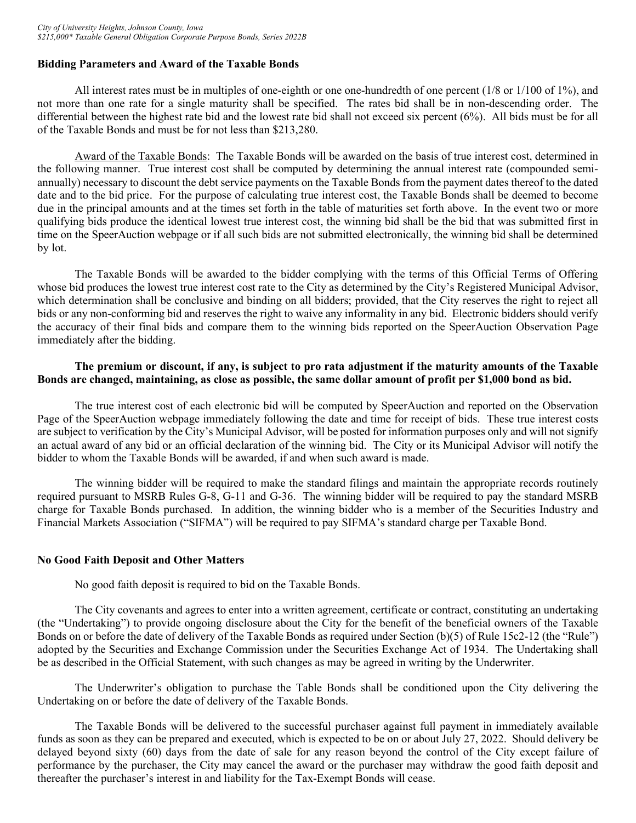# **Bidding Parameters and Award of the Taxable Bonds**

All interest rates must be in multiples of one-eighth or one one-hundredth of one percent (1/8 or 1/100 of 1%), and not more than one rate for a single maturity shall be specified. The rates bid shall be in non-descending order. The differential between the highest rate bid and the lowest rate bid shall not exceed six percent (6%). All bids must be for all of the Taxable Bonds and must be for not less than \$213,280.

Award of the Taxable Bonds: The Taxable Bonds will be awarded on the basis of true interest cost, determined in the following manner. True interest cost shall be computed by determining the annual interest rate (compounded semiannually) necessary to discount the debt service payments on the Taxable Bonds from the payment dates thereof to the dated date and to the bid price. For the purpose of calculating true interest cost, the Taxable Bonds shall be deemed to become due in the principal amounts and at the times set forth in the table of maturities set forth above. In the event two or more qualifying bids produce the identical lowest true interest cost, the winning bid shall be the bid that was submitted first in time on the SpeerAuction webpage or if all such bids are not submitted electronically, the winning bid shall be determined by lot.

The Taxable Bonds will be awarded to the bidder complying with the terms of this Official Terms of Offering whose bid produces the lowest true interest cost rate to the City as determined by the City's Registered Municipal Advisor, which determination shall be conclusive and binding on all bidders; provided, that the City reserves the right to reject all bids or any non-conforming bid and reserves the right to waive any informality in any bid. Electronic bidders should verify the accuracy of their final bids and compare them to the winning bids reported on the SpeerAuction Observation Page immediately after the bidding.

# **The premium or discount, if any, is subject to pro rata adjustment if the maturity amounts of the Taxable Bonds are changed, maintaining, as close as possible, the same dollar amount of profit per \$1,000 bond as bid.**

The true interest cost of each electronic bid will be computed by SpeerAuction and reported on the Observation Page of the SpeerAuction webpage immediately following the date and time for receipt of bids. These true interest costs are subject to verification by the City's Municipal Advisor, will be posted for information purposes only and will not signify an actual award of any bid or an official declaration of the winning bid. The City or its Municipal Advisor will notify the bidder to whom the Taxable Bonds will be awarded, if and when such award is made.

The winning bidder will be required to make the standard filings and maintain the appropriate records routinely required pursuant to MSRB Rules G-8, G-11 and G-36. The winning bidder will be required to pay the standard MSRB charge for Taxable Bonds purchased. In addition, the winning bidder who is a member of the Securities Industry and Financial Markets Association ("SIFMA") will be required to pay SIFMA's standard charge per Taxable Bond.

#### **No Good Faith Deposit and Other Matters**

No good faith deposit is required to bid on the Taxable Bonds.

The City covenants and agrees to enter into a written agreement, certificate or contract, constituting an undertaking (the "Undertaking") to provide ongoing disclosure about the City for the benefit of the beneficial owners of the Taxable Bonds on or before the date of delivery of the Taxable Bonds as required under Section (b)(5) of Rule 15c2-12 (the "Rule") adopted by the Securities and Exchange Commission under the Securities Exchange Act of 1934. The Undertaking shall be as described in the Official Statement, with such changes as may be agreed in writing by the Underwriter.

The Underwriter's obligation to purchase the Table Bonds shall be conditioned upon the City delivering the Undertaking on or before the date of delivery of the Taxable Bonds.

The Taxable Bonds will be delivered to the successful purchaser against full payment in immediately available funds as soon as they can be prepared and executed, which is expected to be on or about July 27, 2022. Should delivery be delayed beyond sixty (60) days from the date of sale for any reason beyond the control of the City except failure of performance by the purchaser, the City may cancel the award or the purchaser may withdraw the good faith deposit and thereafter the purchaser's interest in and liability for the Tax-Exempt Bonds will cease.